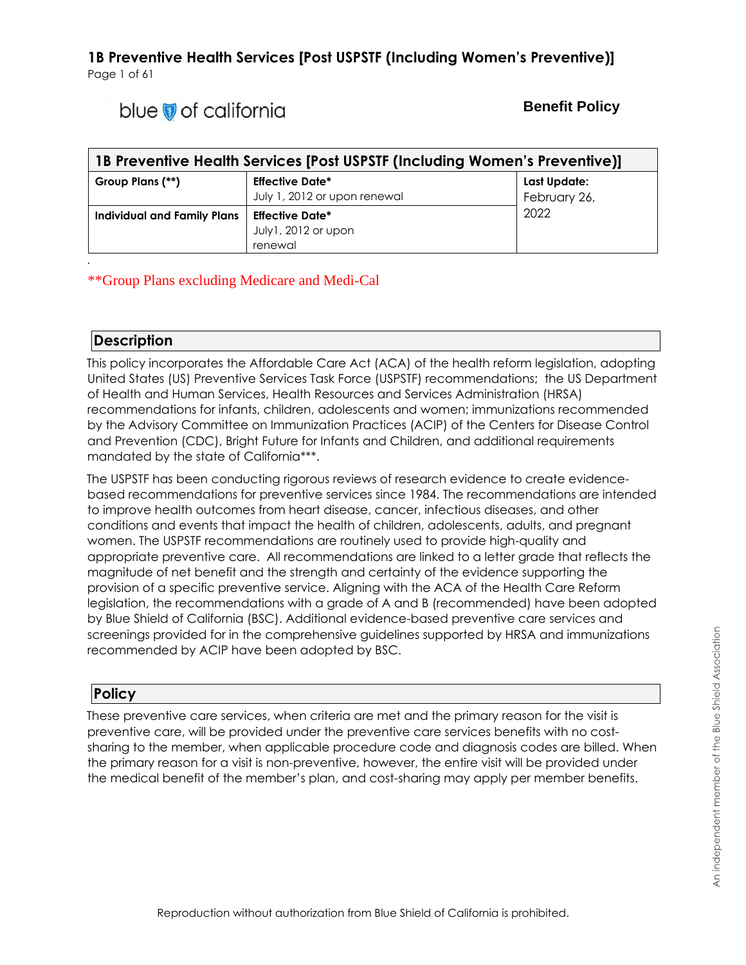# blue of california

### **Benefit Policy**

| 1B Preventive Health Services [Post USPSTF (Including Women's Preventive)] |                                                          |                              |
|----------------------------------------------------------------------------|----------------------------------------------------------|------------------------------|
| Group Plans (**)                                                           | <b>Effective Date*</b><br>July 1, 2012 or upon renewal   | Last Update:<br>February 26, |
| Individual and Family Plans                                                | <b>Effective Date*</b><br>July1, 2012 or upon<br>renewal | 2022                         |

#### \*\*Group Plans excluding Medicare and Medi-Cal

#### **Description**

*.*

This policy incorporates the Affordable Care Act (ACA) of the health reform legislation, adopting United States (US) Preventive Services Task Force (USPSTF) recommendations; the US Department of Health and Human Services, Health Resources and Services Administration (HRSA) recommendations for infants, children, adolescents and women; immunizations recommended by the Advisory Committee on Immunization Practices (ACIP) of the Centers for Disease Control and Prevention (CDC), Bright Future for Infants and Children, and additional requirements mandated by the state of California\*\*\*.

The USPSTF has been conducting rigorous reviews of research evidence to create evidencebased recommendations for preventive services since 1984. The recommendations are intended to improve health outcomes from heart disease, cancer, infectious diseases, and other conditions and events that impact the health of children, adolescents, adults, and pregnant women. The USPSTF recommendations are routinely used to provide high-quality and appropriate preventive care. All recommendations are linked to a letter grade that reflects the magnitude of net benefit and the strength and certainty of the evidence supporting the provision of a specific preventive service. Aligning with the ACA of the Health Care Reform legislation, the recommendations with a grade of A and B (recommended) have been adopted by Blue Shield of California (BSC). Additional evidence-based preventive care services and screenings provided for in the comprehensive guidelines supported by HRSA and immunizations recommended by ACIP have been adopted by BSC.

#### **Policy**

These preventive care services, when criteria are met and the primary reason for the visit is preventive care, will be provided under the preventive care services benefits with no costsharing to the member, when applicable procedure code and diagnosis codes are billed. When the primary reason for a visit is non-preventive, however, the entire visit will be provided under the medical benefit of the member's plan, and cost-sharing may apply per member benefits.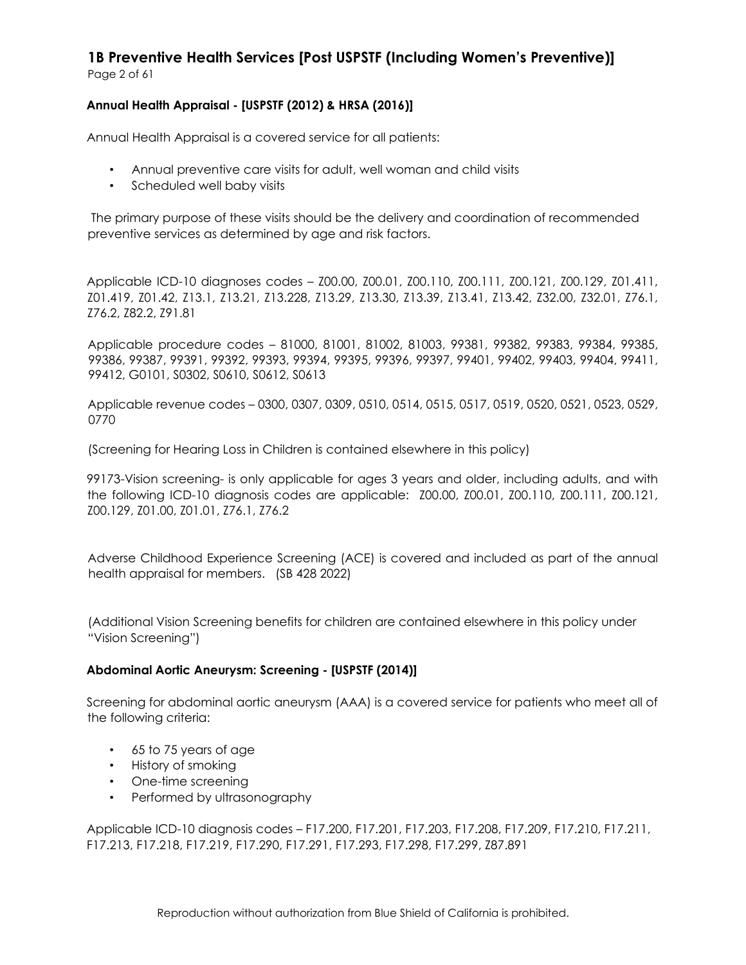#### **Annual Health Appraisal - [USPSTF (2012) & HRSA (2016)]**

Annual Health Appraisal is a covered service for all patients:

- Annual preventive care visits for adult, well woman and child visits
- Scheduled well baby visits

The primary purpose of these visits should be the delivery and coordination of recommended preventive services as determined by age and risk factors.

Applicable ICD-10 diagnoses codes – Z00.00, Z00.01, Z00.110, Z00.111, Z00.121, Z00.129, Z01.411, Z01.419, Z01.42, Z13.1, Z13.21, Z13.228, Z13.29, Z13.30, Z13.39, Z13.41, Z13.42, Z32.00, Z32.01, Z76.1, Z76.2, Z82.2, Z91.81

Applicable procedure codes – 81000, 81001, 81002, 81003, 99381, 99382, 99383, 99384, 99385, 99386, 99387, 99391, 99392, 99393, 99394, 99395, 99396, 99397, 99401, 99402, 99403, 99404, 99411, 99412, G0101, S0302, S0610, S0612, S0613

Applicable revenue codes – 0300, 0307, 0309, 0510, 0514, 0515, 0517, 0519, 0520, 0521, 0523, 0529, 0770

(Screening for Hearing Loss in Children is contained elsewhere in this policy)

99173-Vision screening- is only applicable for ages 3 years and older, including adults, and with the following ICD-10 diagnosis codes are applicable: Z00.00, Z00.01, Z00.110, Z00.111, Z00.121, Z00.129, Z01.00, Z01.01, Z76.1, Z76.2

Adverse Childhood Experience Screening (ACE) is covered and included as part of the annual health appraisal for members. (SB 428 2022)

(Additional Vision Screening benefits for children are contained elsewhere in this policy under "Vision Screening")

#### **Abdominal Aortic Aneurysm: Screening - [USPSTF (2014)]**

Screening for abdominal aortic aneurysm (AAA) is a covered service for patients who meet all of the following criteria:

- 65 to 75 years of age
- History of smoking
- One-time screening
- Performed by ultrasonography

Applicable ICD-10 diagnosis codes – F17.200, F17.201, F17.203, F17.208, F17.209, F17.210, F17.211, F17.213, F17.218, F17.219, F17.290, F17.291, F17.293, F17.298, F17.299, Z87.891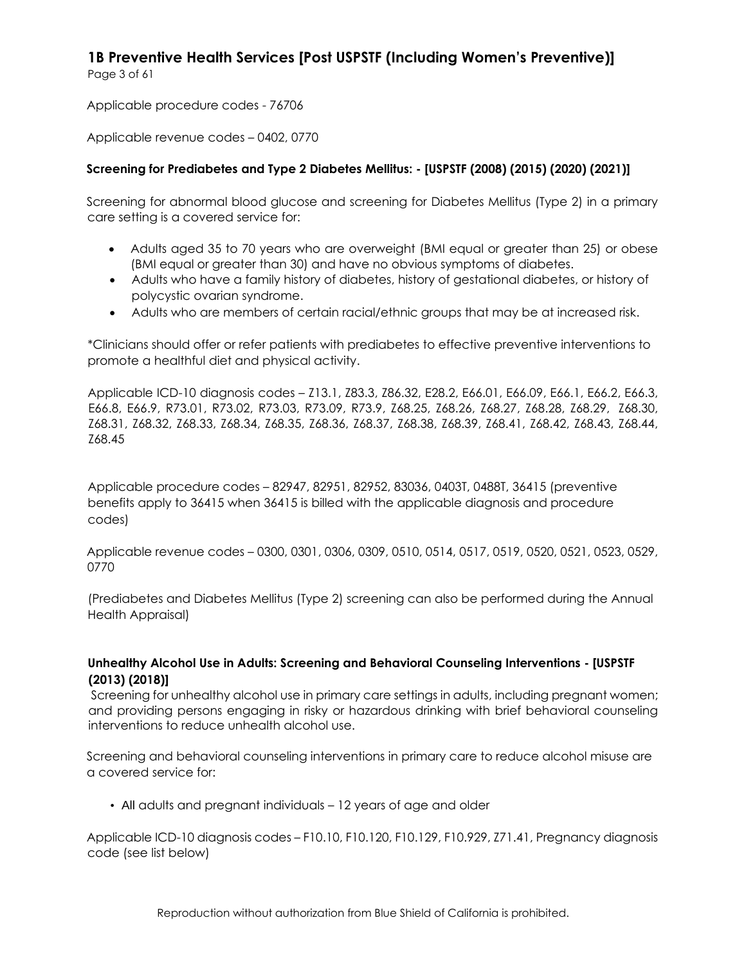Page 3 of 61

Applicable procedure codes - 76706

Applicable revenue codes – 0402, 0770

#### **Screening for Prediabetes and Type 2 Diabetes Mellitus: - [USPSTF (2008) (2015) (2020) (2021)]**

Screening for abnormal blood glucose and screening for Diabetes Mellitus (Type 2) in a primary care setting is a covered service for:

- Adults aged 35 to 70 years who are overweight (BMI equal or greater than 25) or obese (BMI equal or greater than 30) and have no obvious symptoms of diabetes.
- Adults who have a family history of diabetes, history of gestational diabetes, or history of polycystic ovarian syndrome.
- Adults who are members of certain racial/ethnic groups that may be at increased risk.

\*Clinicians should offer or refer patients with prediabetes to effective preventive interventions to promote a healthful diet and physical activity.

Applicable ICD-10 diagnosis codes – Z13.1, Z83.3, Z86.32, E28.2, E66.01, E66.09, E66.1, E66.2, E66.3, E66.8, E66.9, R73.01, R73.02, R73.03, R73.09, R73.9, Z68.25, Z68.26, Z68.27, Z68.28, Z68.29, Z68.30, Z68.31, Z68.32, Z68.33, Z68.34, Z68.35, Z68.36, Z68.37, Z68.38, Z68.39, Z68.41, Z68.42, Z68.43, Z68.44, Z68.45

Applicable procedure codes – 82947, 82951, 82952, 83036, 0403T, 0488T, 36415 (preventive benefits apply to 36415 when 36415 is billed with the applicable diagnosis and procedure codes)

Applicable revenue codes – 0300, 0301, 0306, 0309, 0510, 0514, 0517, 0519, 0520, 0521, 0523, 0529, 0770

(Prediabetes and Diabetes Mellitus (Type 2) screening can also be performed during the Annual Health Appraisal)

#### **Unhealthy Alcohol Use in Adults: Screening and Behavioral Counseling Interventions - [USPSTF (2013) (2018)]**

Screening for unhealthy alcohol use in primary care settings in adults, including pregnant women; and providing persons engaging in risky or hazardous drinking with brief behavioral counseling interventions to reduce unhealth alcohol use.

Screening and behavioral counseling interventions in primary care to reduce alcohol misuse are a covered service for:

• All adults and pregnant individuals – 12 years of age and older

Applicable ICD-10 diagnosis codes – F10.10, F10.120, F10.129, F10.929, Z71.41, Pregnancy diagnosis code (see list below)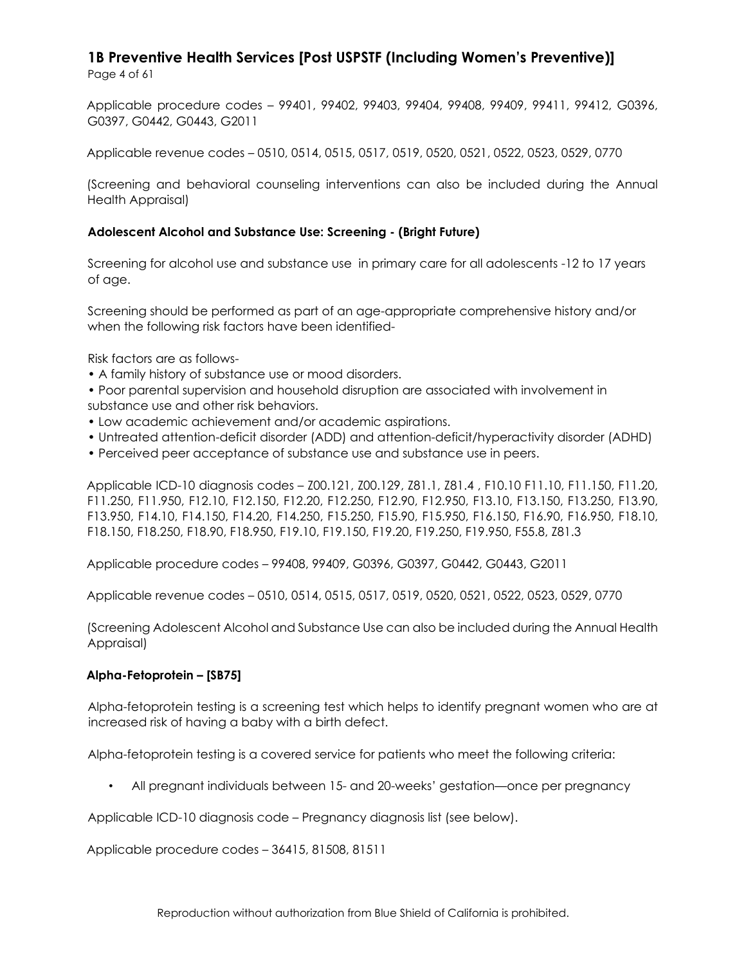Applicable procedure codes – 99401, 99402, 99403, 99404, 99408, 99409, 99411, 99412, G0396, G0397, G0442, G0443, G2011

Applicable revenue codes – 0510, 0514, 0515, 0517, 0519, 0520, 0521, 0522, 0523, 0529, 0770

(Screening and behavioral counseling interventions can also be included during the Annual Health Appraisal)

#### **Adolescent Alcohol and Substance Use: Screening - (Bright Future)**

Screening for alcohol use and substance use in primary care for all adolescents -12 to 17 years of age.

Screening should be performed as part of an age-appropriate comprehensive history and/or when the following risk factors have been identified-

Risk factors are as follows-

• A family history of substance use or mood disorders.

• Poor parental supervision and household disruption are associated with involvement in substance use and other risk behaviors.

- Low academic achievement and/or academic aspirations.
- Untreated attention-deficit disorder (ADD) and attention-deficit/hyperactivity disorder (ADHD)
- Perceived peer acceptance of substance use and substance use in peers.

Applicable ICD-10 diagnosis codes – Z00.121, Z00.129, Z81.1, Z81.4 , F10.10 F11.10, F11.150, F11.20, F11.250, F11.950, F12.10, F12.150, F12.20, F12.250, F12.90, F12.950, F13.10, F13.150, F13.250, F13.90, F13.950, F14.10, F14.150, F14.20, F14.250, F15.250, F15.90, F15.950, F16.150, F16.90, F16.950, F18.10, F18.150, F18.250, F18.90, F18.950, F19.10, F19.150, F19.20, F19.250, F19.950, F55.8, Z81.3

Applicable procedure codes – 99408, 99409, G0396, G0397, G0442, G0443, G2011

Applicable revenue codes – 0510, 0514, 0515, 0517, 0519, 0520, 0521, 0522, 0523, 0529, 0770

(Screening Adolescent Alcohol and Substance Use can also be included during the Annual Health Appraisal)

#### **Alpha-Fetoprotein – [SB75]**

Alpha-fetoprotein testing is a screening test which helps to identify pregnant women who are at increased risk of having a baby with a birth defect.

Alpha-fetoprotein testing is a covered service for patients who meet the following criteria:

• All pregnant individuals between 15- and 20-weeks' gestation—once per pregnancy

Applicable ICD-10 diagnosis code – Pregnancy diagnosis list (see below).

Applicable procedure codes – 36415, 81508, 81511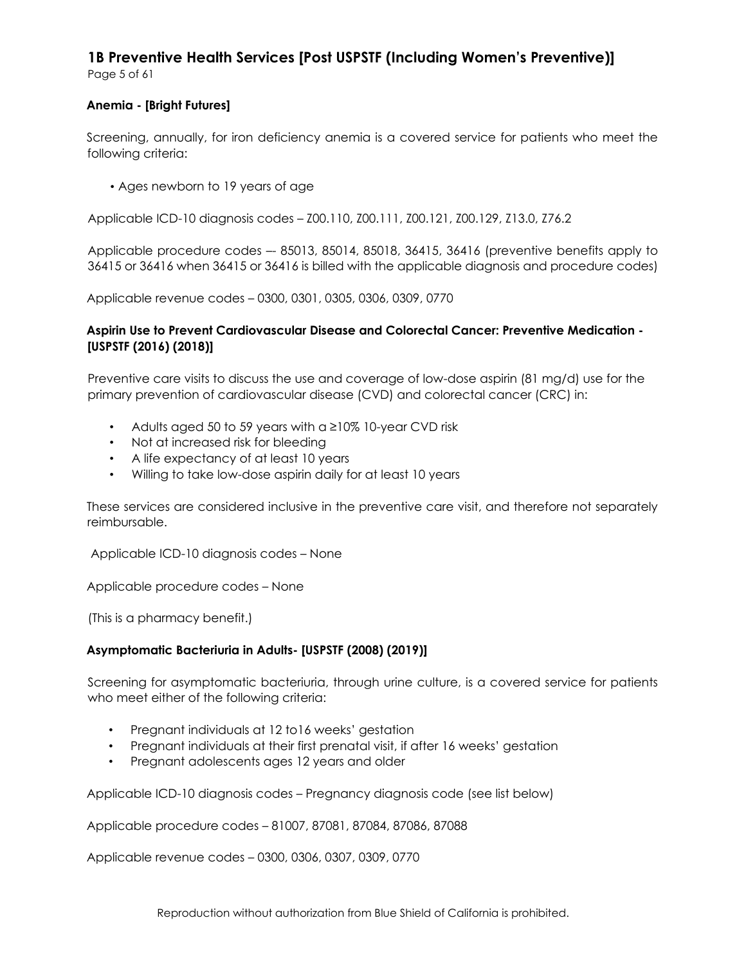Page 5 of 61

#### **Anemia - [Bright Futures]**

Screening, annually, for iron deficiency anemia is a covered service for patients who meet the following criteria:

• Ages newborn to 19 years of age

Applicable ICD-10 diagnosis codes – Z00.110, Z00.111, Z00.121, Z00.129, Z13.0, Z76.2

Applicable procedure codes –- 85013, 85014, 85018, 36415, 36416 (preventive benefits apply to 36415 or 36416 when 36415 or 36416 is billed with the applicable diagnosis and procedure codes)

Applicable revenue codes – 0300, 0301, 0305, 0306, 0309, 0770

#### **Aspirin Use to Prevent Cardiovascular Disease and Colorectal Cancer: Preventive Medication - [USPSTF (2016) (2018)]**

Preventive care visits to discuss the use and coverage of low-dose aspirin (81 mg/d) use for the primary prevention of cardiovascular disease (CVD) and colorectal cancer (CRC) in:

- Adults aged 50 to 59 years with a ≥10% 10-year CVD risk
- Not at increased risk for bleeding
- A life expectancy of at least 10 years
- Willing to take low-dose aspirin daily for at least 10 years

These services are considered inclusive in the preventive care visit, and therefore not separately reimbursable.

Applicable ICD-10 diagnosis codes – None

Applicable procedure codes – None

(This is a pharmacy benefit.)

#### **Asymptomatic Bacteriuria in Adults- [USPSTF (2008) (2019)]**

Screening for asymptomatic bacteriuria, through urine culture, is a covered service for patients who meet either of the following criteria:

- Pregnant individuals at 12 to16 weeks' gestation
- Pregnant individuals at their first prenatal visit, if after 16 weeks' gestation
- Pregnant adolescents ages 12 years and older

Applicable ICD-10 diagnosis codes – Pregnancy diagnosis code (see list below)

Applicable procedure codes – 81007, 87081, 87084, 87086, 87088

Applicable revenue codes – 0300, 0306, 0307, 0309, 0770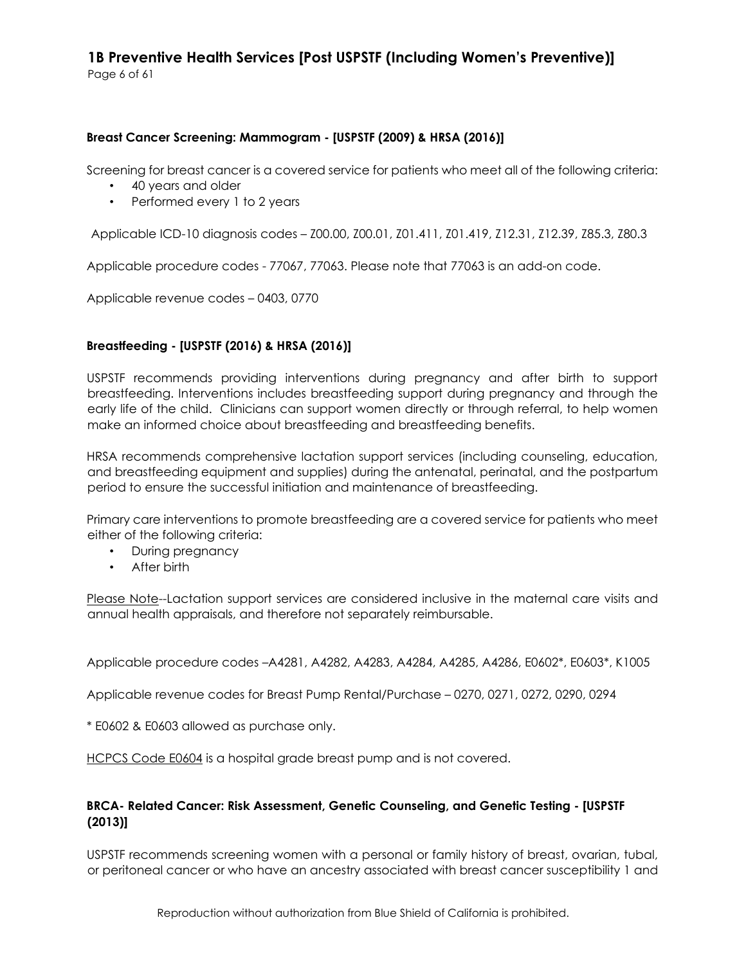#### **Breast Cancer Screening: Mammogram - [USPSTF (2009) & HRSA (2016)]**

Screening for breast cancer is a covered service for patients who meet all of the following criteria:

- 40 years and older
- Performed every 1 to 2 years

Applicable ICD-10 diagnosis codes – Z00.00, Z00.01, Z01.411, Z01.419, Z12.31, Z12.39, Z85.3, Z80.3

Applicable procedure codes - 77067, 77063. Please note that 77063 is an add-on code.

Applicable revenue codes – 0403, 0770

#### **Breastfeeding - [USPSTF (2016) & HRSA (2016)]**

USPSTF recommends providing interventions during pregnancy and after birth to support breastfeeding. Interventions includes breastfeeding support during pregnancy and through the early life of the child. Clinicians can support women directly or through referral, to help women make an informed choice about breastfeeding and breastfeeding benefits.

HRSA recommends comprehensive lactation support services (including counseling, education, and breastfeeding equipment and supplies) during the antenatal, perinatal, and the postpartum period to ensure the successful initiation and maintenance of breastfeeding.

Primary care interventions to promote breastfeeding are a covered service for patients who meet either of the following criteria:

- During pregnancy
- After birth

Please Note--Lactation support services are considered inclusive in the maternal care visits and annual health appraisals, and therefore not separately reimbursable.

Applicable procedure codes –A4281, A4282, A4283, A4284, A4285, A4286, E0602\*, E0603\*, K1005

Applicable revenue codes for Breast Pump Rental/Purchase – 0270, 0271, 0272, 0290, 0294

\* E0602 & E0603 allowed as purchase only.

HCPCS Code E0604 is a hospital grade breast pump and is not covered.

#### **BRCA- Related Cancer: Risk Assessment, Genetic Counseling, and Genetic Testing - [USPSTF (2013)]**

USPSTF recommends screening women with a personal or family history of breast, ovarian, tubal, or peritoneal cancer or who have an ancestry associated with breast cancer susceptibility 1 and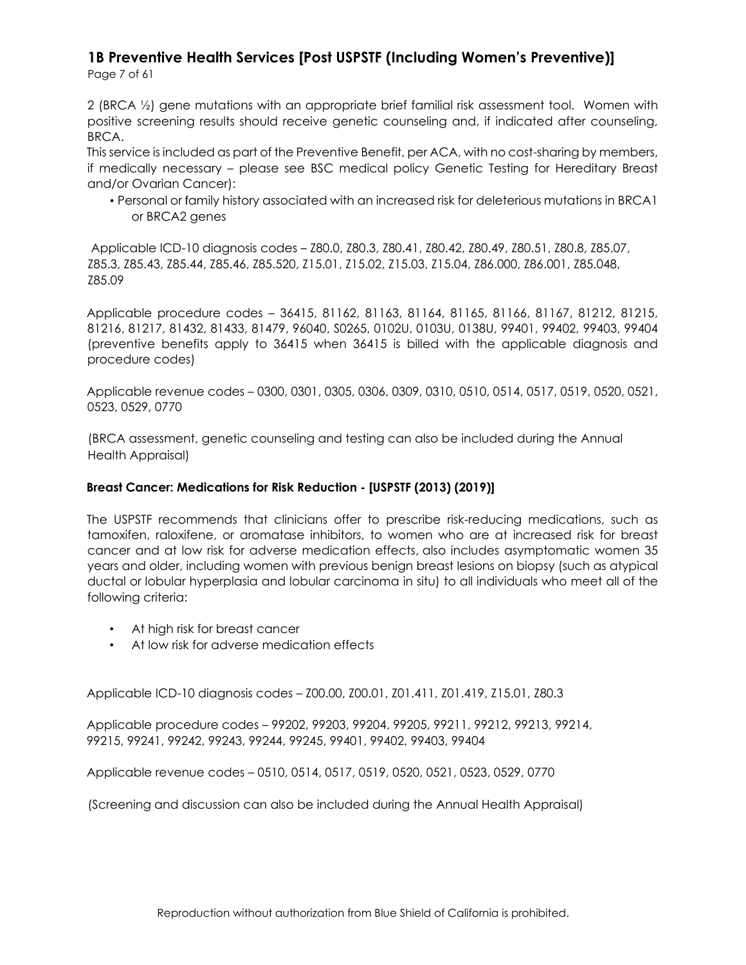Page 7 of 61

2 (BRCA ½) gene mutations with an appropriate brief familial risk assessment tool. Women with positive screening results should receive genetic counseling and, if indicated after counseling, BRCA.

This service is included as part of the Preventive Benefit, per ACA, with no cost-sharing by members, if medically necessary – please see BSC medical policy Genetic Testing for Hereditary Breast and/or Ovarian Cancer):

• Personal or family history associated with an increased risk for deleterious mutations in BRCA1 or BRCA2 genes

Applicable ICD-10 diagnosis codes – Z80.0, Z80.3, Z80.41, Z80.42, Z80.49, Z80.51, Z80.8, Z85.07, Z85.3, Z85.43, Z85.44, Z85.46, Z85.520, Z15.01, Z15.02, Z15.03, Z15.04, Z86.000, Z86.001, Z85.048, Z85.09

Applicable procedure codes – 36415, 81162, 81163, 81164, 81165, 81166, 81167, 81212, 81215, 81216, 81217, 81432, 81433, 81479, 96040, S0265, 0102U, 0103U, 0138U, 99401, 99402, 99403, 99404 (preventive benefits apply to 36415 when 36415 is billed with the applicable diagnosis and procedure codes)

Applicable revenue codes – 0300, 0301, 0305, 0306, 0309, 0310, 0510, 0514, 0517, 0519, 0520, 0521, 0523, 0529, 0770

(BRCA assessment, genetic counseling and testing can also be included during the Annual Health Appraisal)

#### **Breast Cancer: Medications for Risk Reduction - [USPSTF (2013) (2019)]**

The USPSTF recommends that clinicians offer to prescribe risk-reducing medications, such as tamoxifen, raloxifene, or aromatase inhibitors, to women who are at increased risk for breast cancer and at low risk for adverse medication effects, also includes asymptomatic women 35 years and older, including women with previous benign breast lesions on biopsy (such as atypical ductal or lobular hyperplasia and lobular carcinoma in situ) to all individuals who meet all of the following criteria:

- At high risk for breast cancer
- At low risk for adverse medication effects

Applicable ICD-10 diagnosis codes – Z00.00, Z00.01, Z01.411, Z01.419, Z15.01, Z80.3

Applicable procedure codes – 99202, 99203, 99204, 99205, 99211, 99212, 99213, 99214, 99215, 99241, 99242, 99243, 99244, 99245, 99401, 99402, 99403, 99404

Applicable revenue codes – 0510, 0514, 0517, 0519, 0520, 0521, 0523, 0529, 0770

(Screening and discussion can also be included during the Annual Health Appraisal)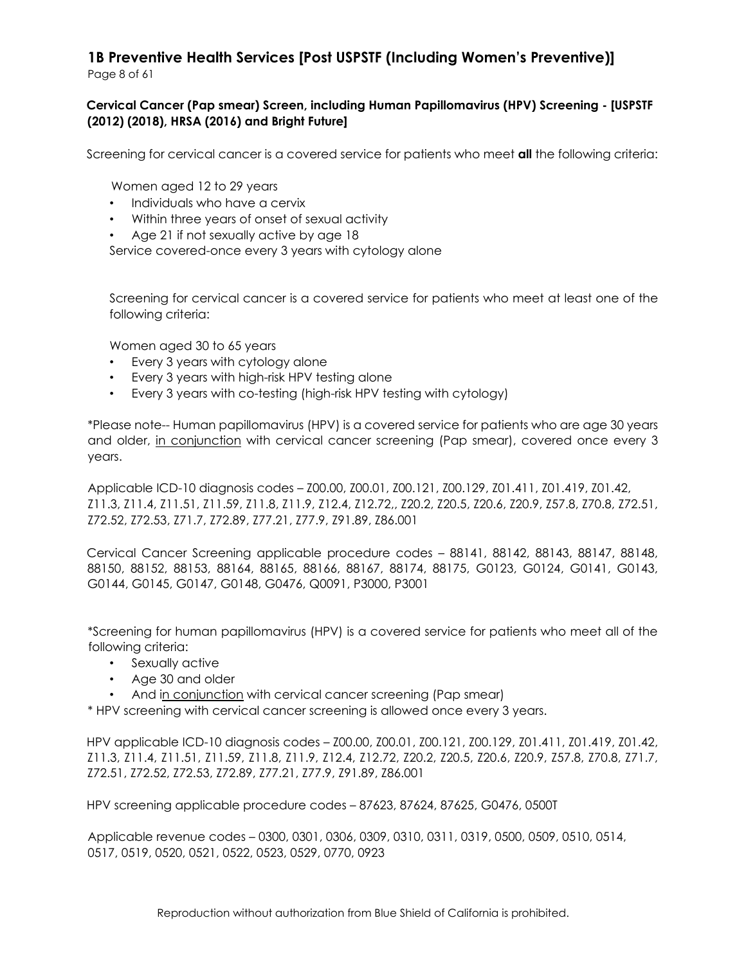#### **Cervical Cancer (Pap smear) Screen, including Human Papillomavirus (HPV) Screening - [USPSTF (2012) (2018), HRSA (2016) and Bright Future]**

Screening for cervical cancer is a covered service for patients who meet **all** the following criteria:

Women aged 12 to 29 years

- Individuals who have a cervix
- Within three years of onset of sexual activity
- Age 21 if not sexually active by age 18

Service covered-once every 3 years with cytology alone

Screening for cervical cancer is a covered service for patients who meet at least one of the following criteria:

Women aged 30 to 65 years

- Every 3 years with cytology alone
- Every 3 years with high-risk HPV testing alone
- Every 3 years with co-testing (high-risk HPV testing with cytology)

\*Please note-- Human papillomavirus (HPV) is a covered service for patients who are age 30 years and older, in conjunction with cervical cancer screening (Pap smear), covered once every 3 years.

Applicable ICD-10 diagnosis codes – Z00.00, Z00.01, Z00.121, Z00.129, Z01.411, Z01.419, Z01.42, Z11.3, Z11.4, Z11.51, Z11.59, Z11.8, Z11.9, Z12.4, Z12.72,, Z20.2, Z20.5, Z20.6, Z20.9, Z57.8, Z70.8, Z72.51, Z72.52, Z72.53, Z71.7, Z72.89, Z77.21, Z77.9, Z91.89, Z86.001

Cervical Cancer Screening applicable procedure codes – 88141, 88142, 88143, 88147, 88148, 88150, 88152, 88153, 88164, 88165, 88166, 88167, 88174, 88175, G0123, G0124, G0141, G0143, G0144, G0145, G0147, G0148, G0476, Q0091, P3000, P3001

\*Screening for human papillomavirus (HPV) is a covered service for patients who meet all of the following criteria:

- Sexually active
- Age 30 and older
- And in conjunction with cervical cancer screening (Pap smear)

\* HPV screening with cervical cancer screening is allowed once every 3 years.

HPV applicable ICD-10 diagnosis codes – Z00.00, Z00.01, Z00.121, Z00.129, Z01.411, Z01.419, Z01.42, Z11.3, Z11.4, Z11.51, Z11.59, Z11.8, Z11.9, Z12.4, Z12.72, Z20.2, Z20.5, Z20.6, Z20.9, Z57.8, Z70.8, Z71.7, Z72.51, Z72.52, Z72.53, Z72.89, Z77.21, Z77.9, Z91.89, Z86.001

HPV screening applicable procedure codes – 87623, 87624, 87625, G0476, 0500T

Applicable revenue codes – 0300, 0301, 0306, 0309, 0310, 0311, 0319, 0500, 0509, 0510, 0514, 0517, 0519, 0520, 0521, 0522, 0523, 0529, 0770, 0923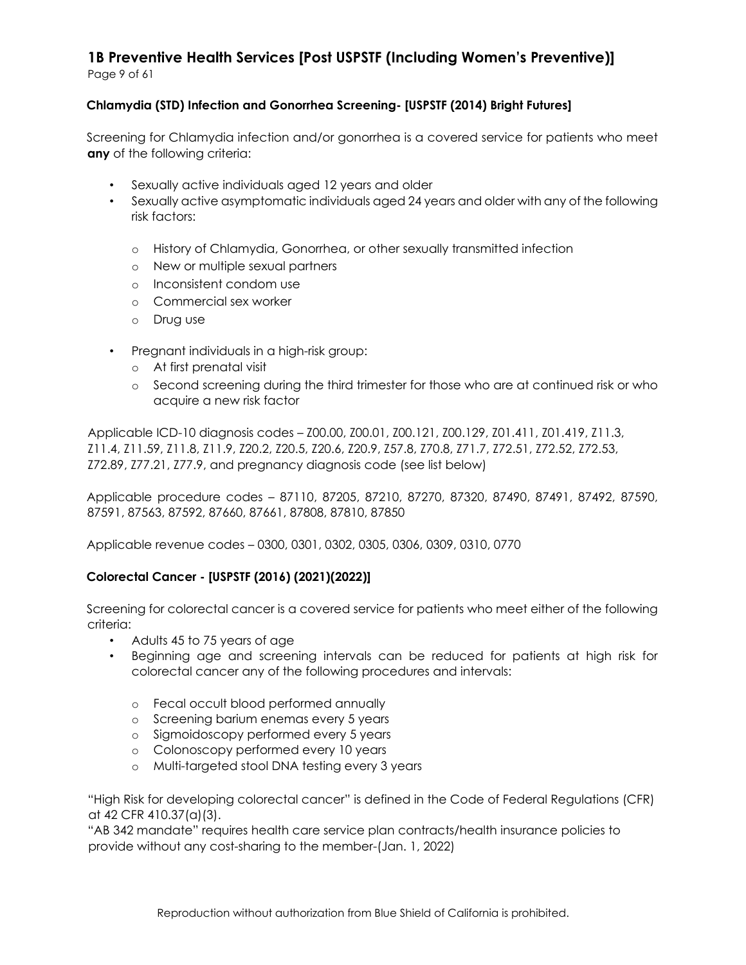**Chlamydia (STD) Infection and Gonorrhea Screening- [USPSTF (2014) Bright Futures]** 

Screening for Chlamydia infection and/or gonorrhea is a covered service for patients who meet **any** of the following criteria:

- Sexually active individuals aged 12 years and older
- Sexually active asymptomatic individuals aged 24 years and older with any of the following risk factors:
	- o History of Chlamydia, Gonorrhea, or other sexually transmitted infection
	- o New or multiple sexual partners
	- o Inconsistent condom use
	- o Commercial sex worker
	- o Drug use
- Pregnant individuals in a high-risk group:
	- o At first prenatal visit
	- o Second screening during the third trimester for those who are at continued risk or who acquire a new risk factor

Applicable ICD-10 diagnosis codes – Z00.00, Z00.01, Z00.121, Z00.129, Z01.411, Z01.419, Z11.3, Z11.4, Z11.59, Z11.8, Z11.9, Z20.2, Z20.5, Z20.6, Z20.9, Z57.8, Z70.8, Z71.7, Z72.51, Z72.52, Z72.53, Z72.89, Z77.21, Z77.9, and pregnancy diagnosis code (see list below)

Applicable procedure codes – 87110, 87205, 87210, 87270, 87320, 87490, 87491, 87492, 87590, 87591, 87563, 87592, 87660, 87661, 87808, 87810, 87850

Applicable revenue codes – 0300, 0301, 0302, 0305, 0306, 0309, 0310, 0770

#### **Colorectal Cancer - [USPSTF (2016) (2021)(2022)]**

Screening for colorectal cancer is a covered service for patients who meet either of the following criteria:

- Adults 45 to 75 years of age
- Beginning age and screening intervals can be reduced for patients at high risk for colorectal cancer any of the following procedures and intervals:
	- o Fecal occult blood performed annually
	- o Screening barium enemas every 5 years
	- o Sigmoidoscopy performed every 5 years
	- o Colonoscopy performed every 10 years
	- o Multi-targeted stool DNA testing every 3 years

"High Risk for developing colorectal cancer" is defined in the Code of Federal Regulations (CFR) at 42 CFR 410.37(a)(3).

"AB 342 mandate" requires health care service plan contracts/health insurance policies to provide without any cost-sharing to the member-(Jan. 1, 2022)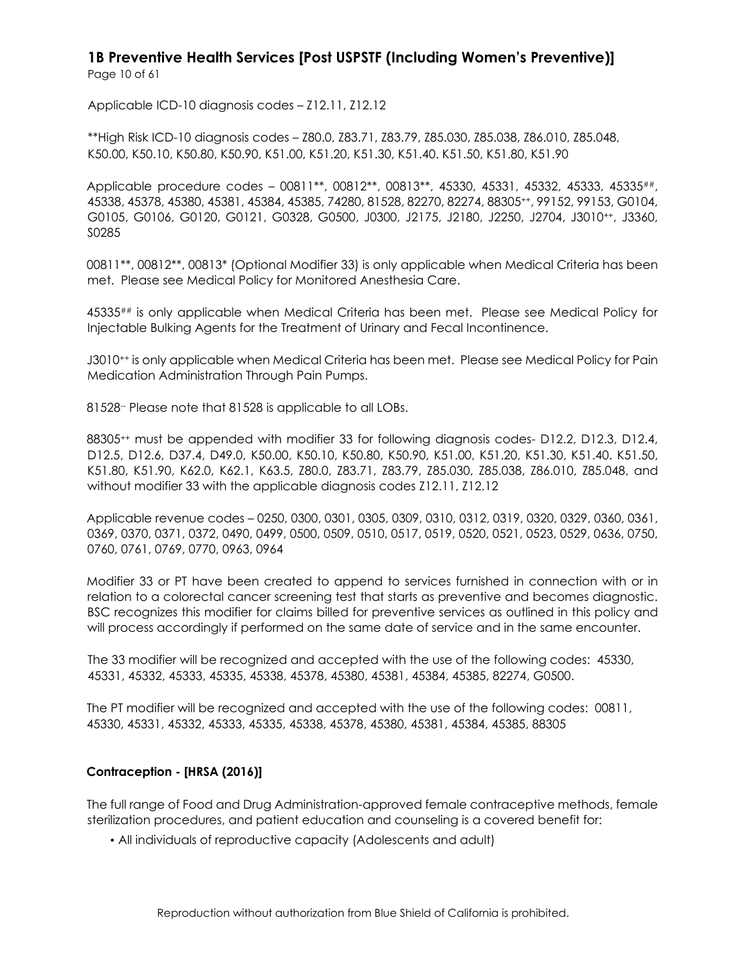Page 10 of 61

Applicable ICD-10 diagnosis codes – Z12.11, Z12.12

\*\*High Risk ICD-10 diagnosis codes – Z80.0, Z83.71, Z83.79, Z85.030, Z85.038, Z86.010, Z85.048, K50.00, K50.10, K50.80, K50.90, K51.00, K51.20, K51.30, K51.40. K51.50, K51.80, K51.90

Applicable procedure codes – 00811\*\*, 00812\*\*, 00813\*\*, 45330, 45331, 45332, 45333, 45335##, 45338, 45378, 45380, 45381, 45384, 45385, 74280, 81528, 82270, 82274, 88305++, 99152, 99153, G0104, G0105, G0106, G0120, G0121, G0328, G0500, J0300, J2175, J2180, J2250, J2704, J3010++, J3360, S0285

00811\*\*, 00812\*\*, 00813\* (Optional Modifier 33) is only applicable when Medical Criteria has been met. Please see Medical Policy for Monitored Anesthesia Care.

45335## is only applicable when Medical Criteria has been met. Please see Medical Policy for Injectable Bulking Agents for the Treatment of Urinary and Fecal Incontinence.

J3010++ is only applicable when Medical Criteria has been met. Please see Medical Policy for Pain Medication Administration Through Pain Pumps.

81528-- Please note that 81528 is applicable to all LOBs.

88305++ must be appended with modifier 33 for following diagnosis codes- D12.2, D12.3, D12.4, D12.5, D12.6, D37.4, D49.0, K50.00, K50.10, K50.80, K50.90, K51.00, K51.20, K51.30, K51.40. K51.50, K51.80, K51.90, K62.0, K62.1, K63.5, Z80.0, Z83.71, Z83.79, Z85.030, Z85.038, Z86.010, Z85.048, and without modifier 33 with the applicable diagnosis codes Z12.11, Z12.12

Applicable revenue codes – 0250, 0300, 0301, 0305, 0309, 0310, 0312, 0319, 0320, 0329, 0360, 0361, 0369, 0370, 0371, 0372, 0490, 0499, 0500, 0509, 0510, 0517, 0519, 0520, 0521, 0523, 0529, 0636, 0750, 0760, 0761, 0769, 0770, 0963, 0964

Modifier 33 or PT have been created to append to services furnished in connection with or in relation to a colorectal cancer screening test that starts as preventive and becomes diagnostic. BSC recognizes this modifier for claims billed for preventive services as outlined in this policy and will process accordingly if performed on the same date of service and in the same encounter.

The 33 modifier will be recognized and accepted with the use of the following codes: 45330, 45331, 45332, 45333, 45335, 45338, 45378, 45380, 45381, 45384, 45385, 82274, G0500.

The PT modifier will be recognized and accepted with the use of the following codes: 00811, 45330, 45331, 45332, 45333, 45335, 45338, 45378, 45380, 45381, 45384, 45385, 88305

#### **Contraception - [HRSA (2016)]**

The full range of Food and Drug Administration-approved female contraceptive methods, female sterilization procedures, and patient education and counseling is a covered benefit for:

• All individuals of reproductive capacity (Adolescents and adult)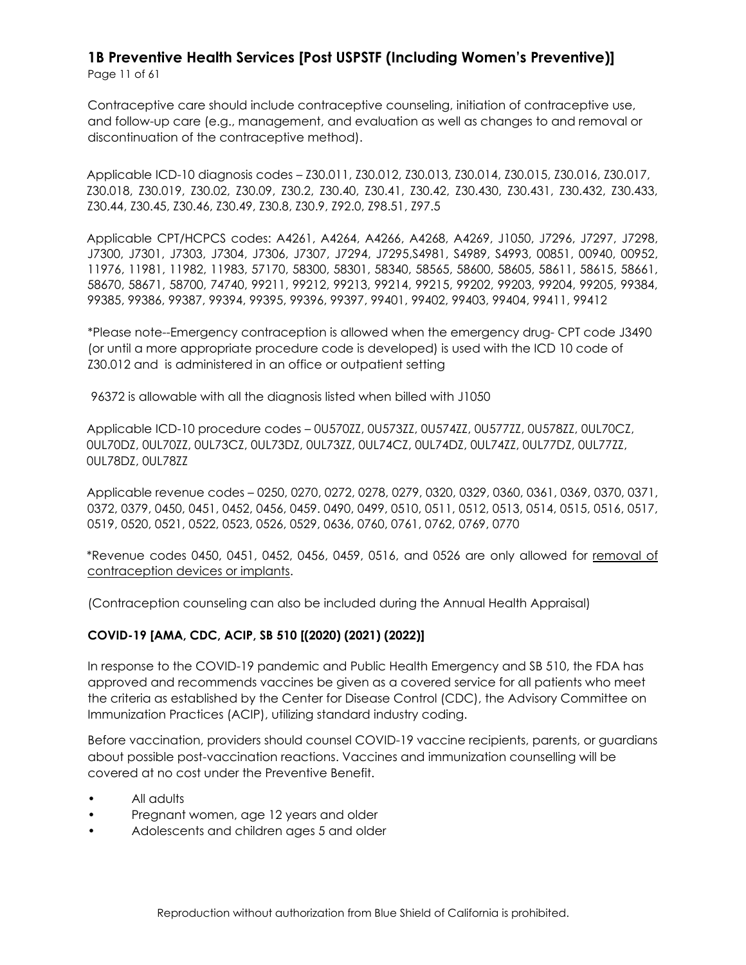Contraceptive care should include contraceptive counseling, initiation of contraceptive use, and follow-up care (e.g., management, and evaluation as well as changes to and removal or discontinuation of the contraceptive method).

Applicable ICD-10 diagnosis codes – Z30.011, Z30.012, Z30.013, Z30.014, Z30.015, Z30.016, Z30.017, Z30.018, Z30.019, Z30.02, Z30.09, Z30.2, Z30.40, Z30.41, Z30.42, Z30.430, Z30.431, Z30.432, Z30.433, Z30.44, Z30.45, Z30.46, Z30.49, Z30.8, Z30.9, Z92.0, Z98.51, Z97.5

Applicable CPT/HCPCS codes: A4261, A4264, A4266, A4268, A4269, J1050, J7296, J7297, J7298, J7300, J7301, J7303, J7304, J7306, J7307, J7294, J7295,S4981, S4989, S4993, 00851, 00940, 00952, 11976, 11981, 11982, 11983, 57170, 58300, 58301, 58340, 58565, 58600, 58605, 58611, 58615, 58661, 58670, 58671, 58700, 74740, 99211, 99212, 99213, 99214, 99215, 99202, 99203, 99204, 99205, 99384, 99385, 99386, 99387, 99394, 99395, 99396, 99397, 99401, 99402, 99403, 99404, 99411, 99412

\*Please note--Emergency contraception is allowed when the emergency drug- CPT code J3490 (or until a more appropriate procedure code is developed) is used with the ICD 10 code of Z30.012 and is administered in an office or outpatient setting

96372 is allowable with all the diagnosis listed when billed with J1050

Applicable ICD-10 procedure codes – 0U570ZZ, 0U573ZZ, 0U574ZZ, 0U577ZZ, 0U578ZZ, 0UL70CZ, 0UL70DZ, 0UL70ZZ, 0UL73CZ, 0UL73DZ, 0UL73ZZ, 0UL74CZ, 0UL74DZ, 0UL74ZZ, 0UL77DZ, 0UL77ZZ, 0UL78DZ, 0UL78ZZ

Applicable revenue codes – 0250, 0270, 0272, 0278, 0279, 0320, 0329, 0360, 0361, 0369, 0370, 0371, 0372, 0379, 0450, 0451, 0452, 0456, 0459. 0490, 0499, 0510, 0511, 0512, 0513, 0514, 0515, 0516, 0517, 0519, 0520, 0521, 0522, 0523, 0526, 0529, 0636, 0760, 0761, 0762, 0769, 0770

\*Revenue codes 0450, 0451, 0452, 0456, 0459, 0516, and 0526 are only allowed for removal of contraception devices or implants.

(Contraception counseling can also be included during the Annual Health Appraisal)

### **COVID-19 [AMA, CDC, ACIP, SB 510 [(2020) (2021) (2022)]**

In response to the COVID-19 pandemic and Public Health Emergency and SB 510, the FDA has approved and recommends vaccines be given as a covered service for all patients who meet the criteria as established by the Center for Disease Control (CDC), the Advisory Committee on Immunization Practices (ACIP), utilizing standard industry coding.

Before vaccination, providers should counsel COVID-19 vaccine recipients, parents, or guardians about possible post-vaccination reactions. Vaccines and immunization counselling will be covered at no cost under the Preventive Benefit.

- All adults
- Pregnant women, age 12 years and older
- Adolescents and children ages 5 and older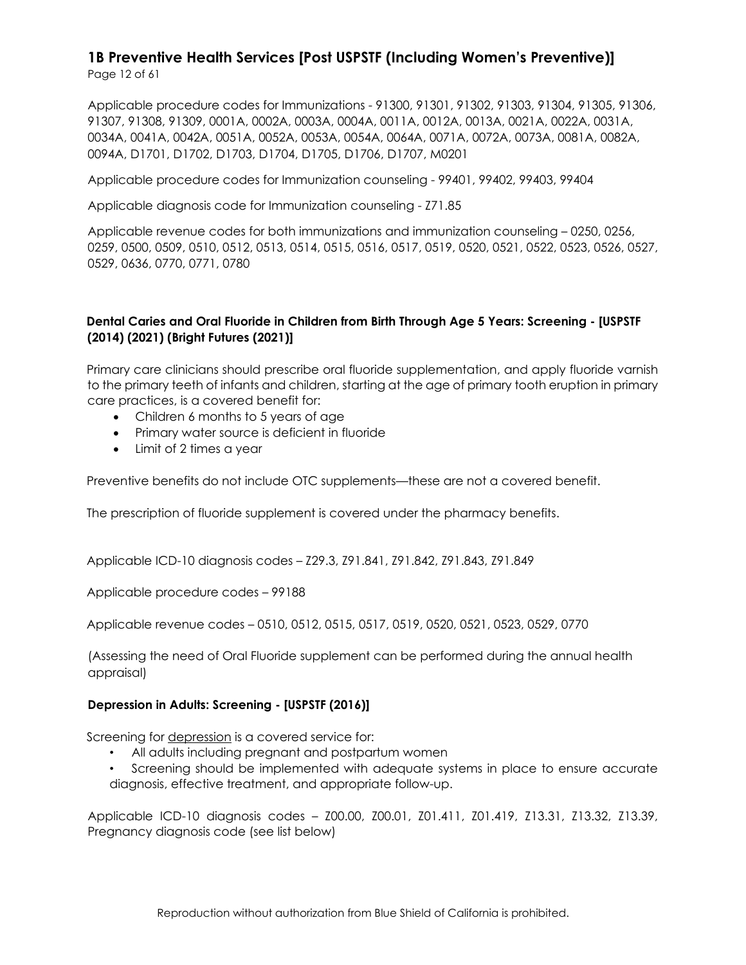Page 12 of 61

Applicable procedure codes for Immunizations - 91300, 91301, 91302, 91303, 91304, 91305, 91306, 91307, 91308, 91309, 0001A, 0002A, 0003A, 0004A, 0011A, 0012A, 0013A, 0021A, 0022A, 0031A, 0034A, 0041A, 0042A, 0051A, 0052A, 0053A, 0054A, 0064A, 0071A, 0072A, 0073A, 0081A, 0082A, 0094A, D1701, D1702, D1703, D1704, D1705, D1706, D1707, M0201

Applicable procedure codes for Immunization counseling - 99401, 99402, 99403, 99404

Applicable diagnosis code for Immunization counseling - Z71.85

Applicable revenue codes for both immunizations and immunization counseling – 0250, 0256, 0259, 0500, 0509, 0510, 0512, 0513, 0514, 0515, 0516, 0517, 0519, 0520, 0521, 0522, 0523, 0526, 0527, 0529, 0636, 0770, 0771, 0780

#### **Dental Caries and Oral Fluoride in Children from Birth Through Age 5 Years: Screening - [USPSTF (2014) (2021) (Bright Futures (2021)]**

Primary care clinicians should prescribe oral fluoride supplementation, and apply fluoride varnish to the primary teeth of infants and children, starting at the age of primary tooth eruption in primary care practices, is a covered benefit for:

- Children 6 months to 5 years of age
- Primary water source is deficient in fluoride
- Limit of 2 times a year

Preventive benefits do not include OTC supplements—these are not a covered benefit.

The prescription of fluoride supplement is covered under the pharmacy benefits.

Applicable ICD-10 diagnosis codes – Z29.3, Z91.841, Z91.842, Z91.843, Z91.849

Applicable procedure codes – 99188

Applicable revenue codes – 0510, 0512, 0515, 0517, 0519, 0520, 0521, 0523, 0529, 0770

(Assessing the need of Oral Fluoride supplement can be performed during the annual health appraisal)

#### **Depression in Adults: Screening - [USPSTF (2016)]**

Screening for depression is a covered service for:

- All adults including pregnant and postpartum women
- Screening should be implemented with adequate systems in place to ensure accurate diagnosis, effective treatment, and appropriate follow-up.

Applicable ICD-10 diagnosis codes – Z00.00, Z00.01, Z01.411, Z01.419, Z13.31, Z13.32, Z13.39, Pregnancy diagnosis code (see list below)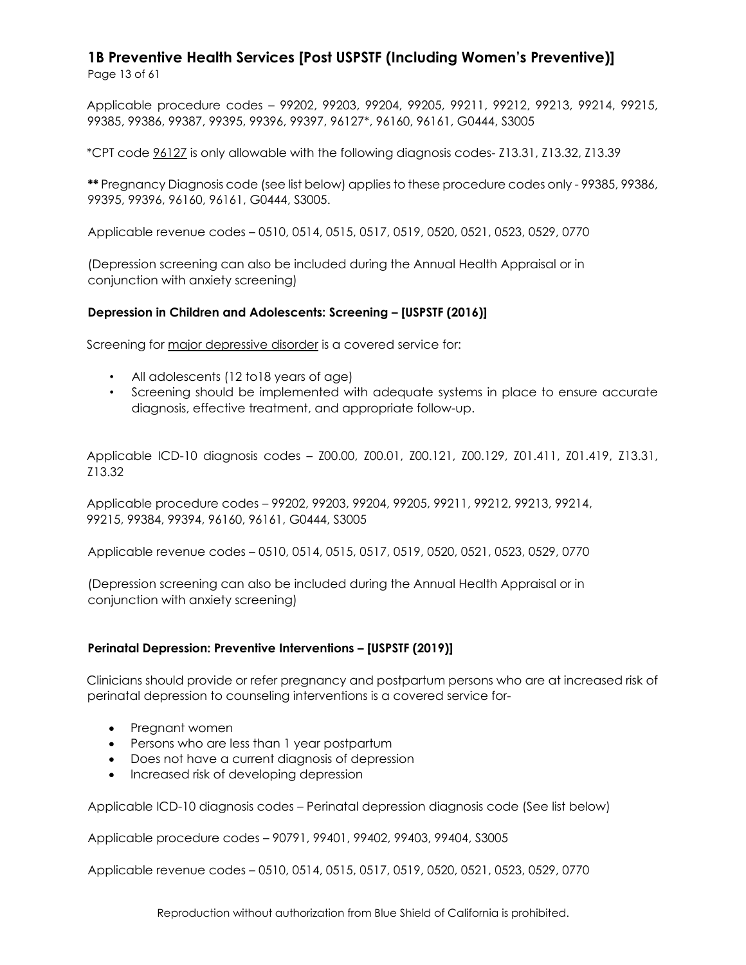Applicable procedure codes – 99202, 99203, 99204, 99205, 99211, 99212, 99213, 99214, 99215, 99385, 99386, 99387, 99395, 99396, 99397, 96127\*, 96160, 96161, G0444, S3005

\*CPT code 96127 is only allowable with the following diagnosis codes- Z13.31, Z13.32, Z13.39

**\*\*** Pregnancy Diagnosis code (see list below) applies to these procedure codes only - 99385, 99386, 99395, 99396, 96160, 96161, G0444, S3005.

Applicable revenue codes – 0510, 0514, 0515, 0517, 0519, 0520, 0521, 0523, 0529, 0770

(Depression screening can also be included during the Annual Health Appraisal or in conjunction with anxiety screening)

#### **Depression in Children and Adolescents: Screening – [USPSTF (2016)]**

Screening for major depressive disorder is a covered service for:

- All adolescents (12 to18 years of age)
- Screening should be implemented with adequate systems in place to ensure accurate diagnosis, effective treatment, and appropriate follow-up.

Applicable ICD-10 diagnosis codes – Z00.00, Z00.01, Z00.121, Z00.129, Z01.411, Z01.419, Z13.31, Z13.32

Applicable procedure codes – 99202, 99203, 99204, 99205, 99211, 99212, 99213, 99214, 99215, 99384, 99394, 96160, 96161, G0444, S3005

Applicable revenue codes – 0510, 0514, 0515, 0517, 0519, 0520, 0521, 0523, 0529, 0770

(Depression screening can also be included during the Annual Health Appraisal or in conjunction with anxiety screening)

#### **Perinatal Depression: Preventive Interventions – [USPSTF (2019)]**

Clinicians should provide or refer pregnancy and postpartum persons who are at increased risk of perinatal depression to counseling interventions is a covered service for-

- Pregnant women
- Persons who are less than 1 year postpartum
- Does not have a current diagnosis of depression
- Increased risk of developing depression

Applicable ICD-10 diagnosis codes – Perinatal depression diagnosis code (See list below)

Applicable procedure codes – 90791, 99401, 99402, 99403, 99404, S3005

Applicable revenue codes – 0510, 0514, 0515, 0517, 0519, 0520, 0521, 0523, 0529, 0770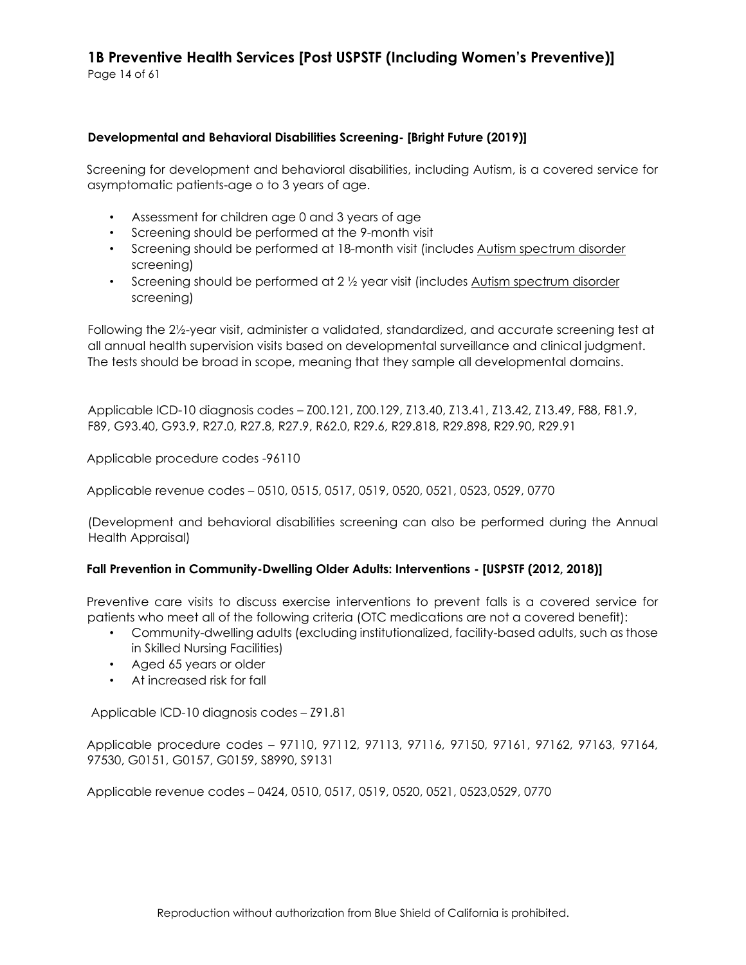Page 14 of 61

#### **Developmental and Behavioral Disabilities Screening- [Bright Future (2019)]**

Screening for development and behavioral disabilities, including Autism, is a covered service for asymptomatic patients-age o to 3 years of age.

- Assessment for children age 0 and 3 years of age
- Screening should be performed at the 9-month visit
- Screening should be performed at 18-month visit (includes Autism spectrum disorder screening)
- Screening should be performed at 2 1/2 year visit (includes Autism spectrum disorder screening)

Following the 2½-year visit, administer a validated, standardized, and accurate screening test at all annual health supervision visits based on developmental surveillance and clinical judgment. The tests should be broad in scope, meaning that they sample all developmental domains.

Applicable ICD-10 diagnosis codes – Z00.121, Z00.129, Z13.40, Z13.41, Z13.42, Z13.49, F88, F81.9, F89, G93.40, G93.9, R27.0, R27.8, R27.9, R62.0, R29.6, R29.818, R29.898, R29.90, R29.91

Applicable procedure codes -96110

Applicable revenue codes – 0510, 0515, 0517, 0519, 0520, 0521, 0523, 0529, 0770

(Development and behavioral disabilities screening can also be performed during the Annual Health Appraisal)

#### **Fall Prevention in Community-Dwelling Older Adults: Interventions - [USPSTF (2012, 2018)]**

Preventive care visits to discuss exercise interventions to prevent falls is a covered service for patients who meet all of the following criteria (OTC medications are not a covered benefit):

- Community-dwelling adults (excluding institutionalized, facility-based adults, such as those in Skilled Nursing Facilities)
- Aged 65 years or older
- At increased risk for fall

Applicable ICD-10 diagnosis codes – Z91.81

Applicable procedure codes – 97110, 97112, 97113, 97116, 97150, 97161, 97162, 97163, 97164, 97530, G0151, G0157, G0159, S8990, S9131

Applicable revenue codes – 0424, 0510, 0517, 0519, 0520, 0521, 0523,0529, 0770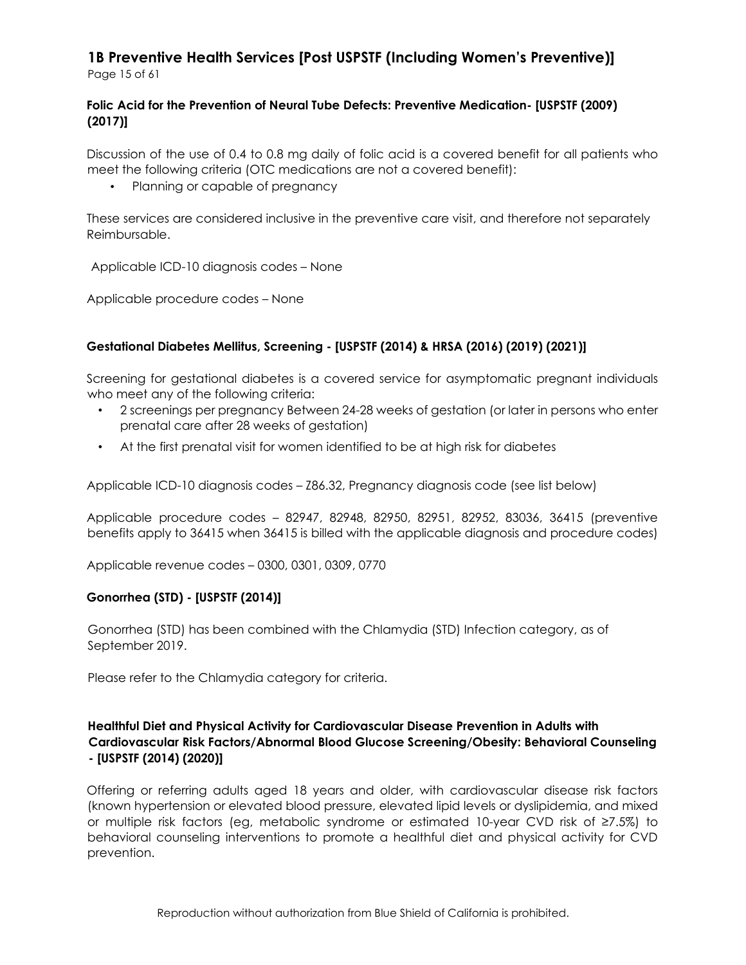#### **Folic Acid for the Prevention of Neural Tube Defects: Preventive Medication- [USPSTF (2009) (2017)]**

Discussion of the use of 0.4 to 0.8 mg daily of folic acid is a covered benefit for all patients who meet the following criteria (OTC medications are not a covered benefit):

• Planning or capable of pregnancy

These services are considered inclusive in the preventive care visit, and therefore not separately Reimbursable.

Applicable ICD-10 diagnosis codes – None

Applicable procedure codes – None

#### **Gestational Diabetes Mellitus, Screening - [USPSTF (2014) & HRSA (2016) (2019) (2021)]**

Screening for gestational diabetes is a covered service for asymptomatic pregnant individuals who meet any of the following criteria:

- 2 screenings per pregnancy Between 24-28 weeks of gestation (or later in persons who enter prenatal care after 28 weeks of gestation)
- At the first prenatal visit for women identified to be at high risk for diabetes

Applicable ICD-10 diagnosis codes – Z86.32, Pregnancy diagnosis code (see list below)

Applicable procedure codes – 82947, 82948, 82950, 82951, 82952, 83036, 36415 (preventive benefits apply to 36415 when 36415 is billed with the applicable diagnosis and procedure codes)

Applicable revenue codes – 0300, 0301, 0309, 0770

#### **Gonorrhea (STD) - [USPSTF (2014)]**

Gonorrhea (STD) has been combined with the Chlamydia (STD) Infection category, as of September 2019.

Please refer to the Chlamydia category for criteria.

#### **Healthful Diet and Physical Activity for Cardiovascular Disease Prevention in Adults with Cardiovascular Risk Factors/Abnormal Blood Glucose Screening/Obesity: Behavioral Counseling - [USPSTF (2014) (2020)]**

Offering or referring adults aged 18 years and older, with cardiovascular disease risk factors (known hypertension or elevated blood pressure, elevated lipid levels or dyslipidemia, and mixed or multiple risk factors (eg, metabolic syndrome or estimated 10-year CVD risk of ≥7.5%) to behavioral counseling interventions to promote a healthful diet and physical activity for CVD prevention.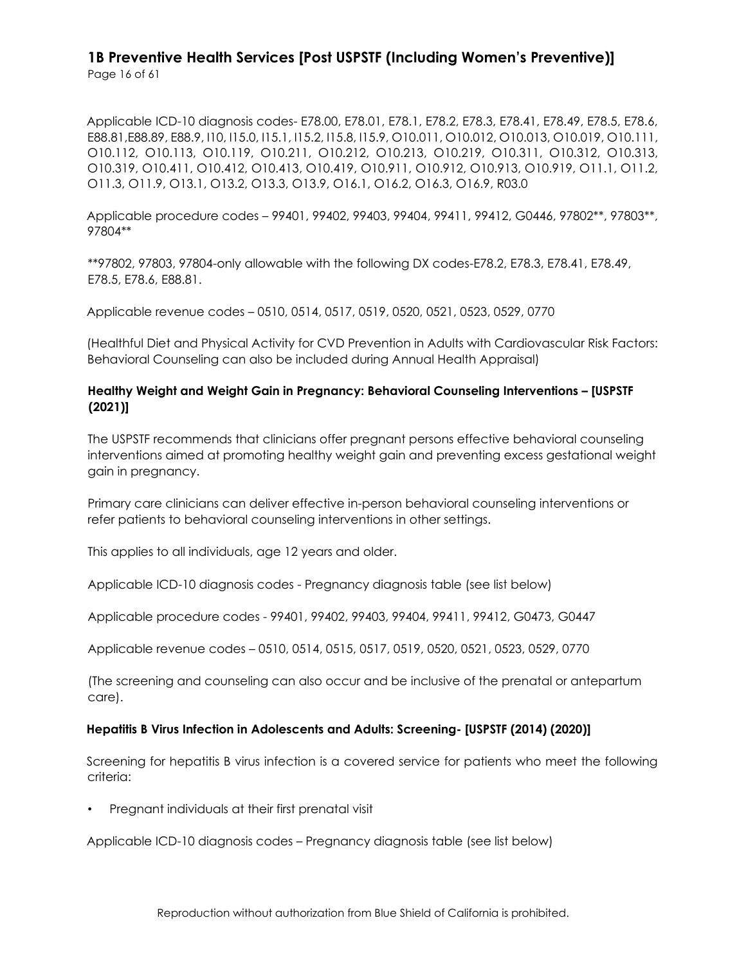Applicable ICD-10 diagnosis codes- E78.00, E78.01, E78.1, E78.2, E78.3, E78.41, E78.49, E78.5, E78.6, E88.81,E88.89, E88.9, I10, I15.0, I15.1, I15.2, I15.8, I15.9, O10.011, O10.012, O10.013, O10.019, O10.111, O10.112, O10.113, O10.119, O10.211, O10.212, O10.213, O10.219, O10.311, O10.312, O10.313, O10.319, O10.411, O10.412, O10.413, O10.419, O10.911, O10.912, O10.913, O10.919, O11.1, O11.2, O11.3, O11.9, O13.1, O13.2, O13.3, O13.9, O16.1, O16.2, O16.3, O16.9, R03.0

Applicable procedure codes – 99401, 99402, 99403, 99404, 99411, 99412, G0446, 97802\*\*, 97803\*\*, 97804\*\*

\*\*97802, 97803, 97804-only allowable with the following DX codes-E78.2, E78.3, E78.41, E78.49, E78.5, E78.6, E88.81.

Applicable revenue codes – 0510, 0514, 0517, 0519, 0520, 0521, 0523, 0529, 0770

(Healthful Diet and Physical Activity for CVD Prevention in Adults with Cardiovascular Risk Factors: Behavioral Counseling can also be included during Annual Health Appraisal)

#### **Healthy Weight and Weight Gain in Pregnancy: Behavioral Counseling Interventions – [USPSTF (2021)]**

The USPSTF recommends that clinicians offer pregnant persons effective behavioral counseling interventions aimed at promoting healthy weight gain and preventing excess gestational weight gain in pregnancy.

Primary care clinicians can deliver effective in-person behavioral counseling interventions or refer patients to behavioral counseling interventions in other settings.

This applies to all individuals, age 12 years and older.

Applicable ICD-10 diagnosis codes - Pregnancy diagnosis table (see list below)

Applicable procedure codes - 99401, 99402, 99403, 99404, 99411, 99412, G0473, G0447

Applicable revenue codes – 0510, 0514, 0515, 0517, 0519, 0520, 0521, 0523, 0529, 0770

(The screening and counseling can also occur and be inclusive of the prenatal or antepartum care).

#### **Hepatitis B Virus Infection in Adolescents and Adults: Screening- [USPSTF (2014) (2020)]**

Screening for hepatitis B virus infection is a covered service for patients who meet the following criteria:

• Pregnant individuals at their first prenatal visit

Applicable ICD-10 diagnosis codes – Pregnancy diagnosis table (see list below)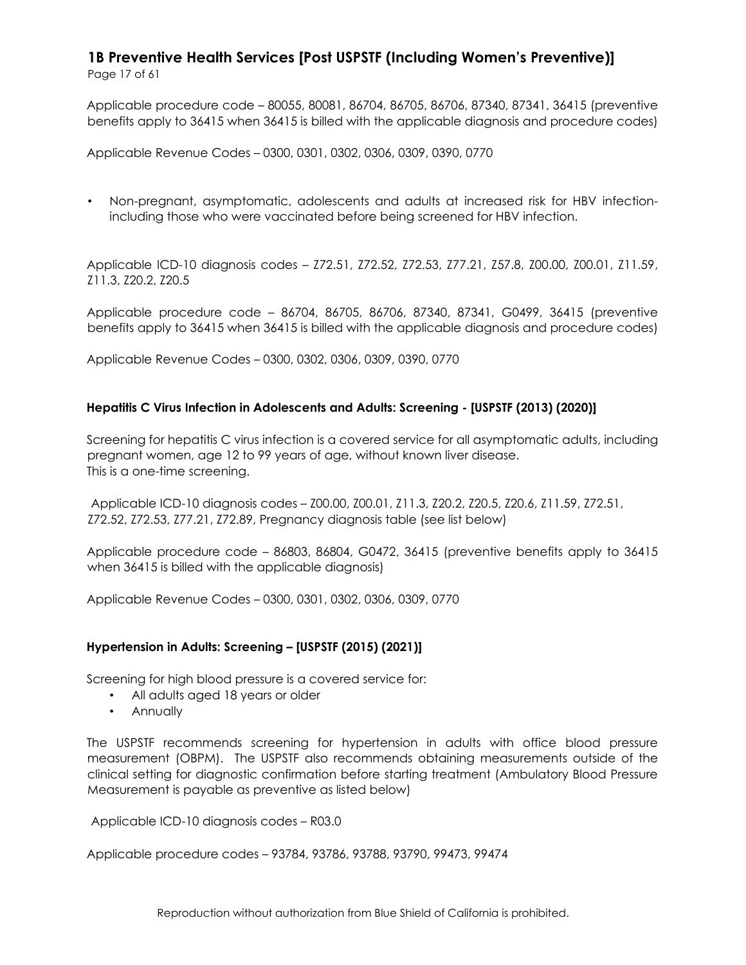Applicable procedure code – 80055, 80081, 86704, 86705, 86706, 87340, 87341, 36415 (preventive benefits apply to 36415 when 36415 is billed with the applicable diagnosis and procedure codes)

Applicable Revenue Codes – 0300, 0301, 0302, 0306, 0309, 0390, 0770

• Non-pregnant, asymptomatic, adolescents and adults at increased risk for HBV infectionincluding those who were vaccinated before being screened for HBV infection.

Applicable ICD-10 diagnosis codes – Z72.51, Z72.52, Z72.53, Z77.21, Z57.8, Z00.00, Z00.01, Z11.59, Z11.3, Z20.2, Z20.5

Applicable procedure code – 86704, 86705, 86706, 87340, 87341, G0499, 36415 (preventive benefits apply to 36415 when 36415 is billed with the applicable diagnosis and procedure codes)

Applicable Revenue Codes – 0300, 0302, 0306, 0309, 0390, 0770

#### **Hepatitis C Virus Infection in Adolescents and Adults: Screening - [USPSTF (2013) (2020)]**

Screening for hepatitis C virus infection is a covered service for all asymptomatic adults, including pregnant women, age 12 to 99 years of age, without known liver disease. This is a one-time screening.

Applicable ICD-10 diagnosis codes – Z00.00, Z00.01, Z11.3, Z20.2, Z20.5, Z20.6, Z11.59, Z72.51, Z72.52, Z72.53, Z77.21, Z72.89, Pregnancy diagnosis table (see list below)

Applicable procedure code – 86803, 86804, G0472, 36415 (preventive benefits apply to 36415 when 36415 is billed with the applicable diagnosis)

Applicable Revenue Codes – 0300, 0301, 0302, 0306, 0309, 0770

#### **Hypertension in Adults: Screening – [USPSTF (2015) (2021)]**

Screening for high blood pressure is a covered service for:

- All adults aged 18 years or older
- Annually

The USPSTF recommends screening for hypertension in adults with office blood pressure measurement (OBPM). The USPSTF also recommends obtaining measurements outside of the clinical setting for diagnostic confirmation before starting treatment (Ambulatory Blood Pressure Measurement is payable as preventive as listed below)

Applicable ICD-10 diagnosis codes – R03.0

Applicable procedure codes – 93784, 93786, 93788, 93790, 99473, 99474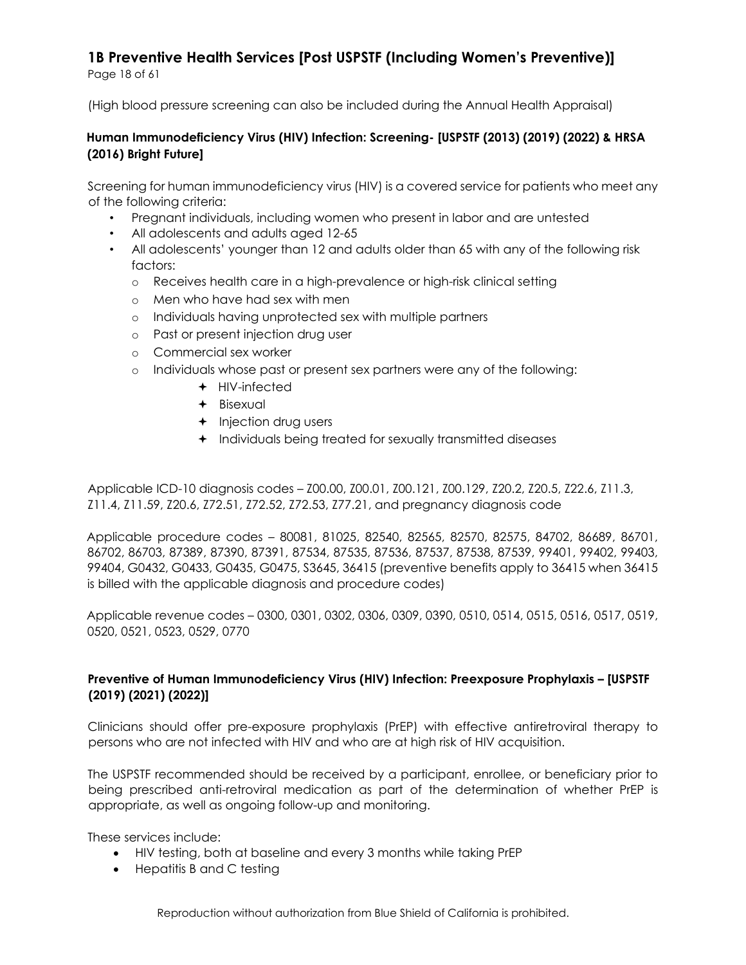Page 18 of 61

(High blood pressure screening can also be included during the Annual Health Appraisal)

#### **Human Immunodeficiency Virus (HIV) Infection: Screening- [USPSTF (2013) (2019) (2022) & HRSA (2016) Bright Future]**

Screening for human immunodeficiency virus (HIV) is a covered service for patients who meet any of the following criteria:

- Pregnant individuals, including women who present in labor and are untested
- All adolescents and adults aged 12-65
- All adolescents' younger than 12 and adults older than 65 with any of the following risk factors:
	- o Receives health care in a high-prevalence or high-risk clinical setting
	- o Men who have had sex with men
	- o Individuals having unprotected sex with multiple partners
	- o Past or present injection drug user
	- o Commercial sex worker
	- o Individuals whose past or present sex partners were any of the following:
		- $+$  HIV-infected
		- + Bisexual
		- + Injection drug users
		- Individuals being treated for sexually transmitted diseases

Applicable ICD-10 diagnosis codes – Z00.00, Z00.01, Z00.121, Z00.129, Z20.2, Z20.5, Z22.6, Z11.3, Z11.4, Z11.59, Z20.6, Z72.51, Z72.52, Z72.53, Z77.21, and pregnancy diagnosis code

Applicable procedure codes – 80081, 81025, 82540, 82565, 82570, 82575, 84702, 86689, 86701, 86702, 86703, 87389, 87390, 87391, 87534, 87535, 87536, 87537, 87538, 87539, 99401, 99402, 99403, 99404, G0432, G0433, G0435, G0475, S3645, 36415 (preventive benefits apply to 36415 when 36415 is billed with the applicable diagnosis and procedure codes)

Applicable revenue codes – 0300, 0301, 0302, 0306, 0309, 0390, 0510, 0514, 0515, 0516, 0517, 0519, 0520, 0521, 0523, 0529, 0770

#### **Preventive of Human Immunodeficiency Virus (HIV) Infection: Preexposure Prophylaxis – [USPSTF (2019) (2021) (2022)]**

Clinicians should offer pre-exposure prophylaxis (PrEP) with effective antiretroviral therapy to persons who are not infected with HIV and who are at high risk of HIV acquisition.

The USPSTF recommended should be received by a participant, enrollee, or beneficiary prior to being prescribed anti-retroviral medication as part of the determination of whether PrEP is appropriate, as well as ongoing follow-up and monitoring.

These services include:

- HIV testing, both at baseline and every 3 months while taking PrEP
- Hepatitis B and C testing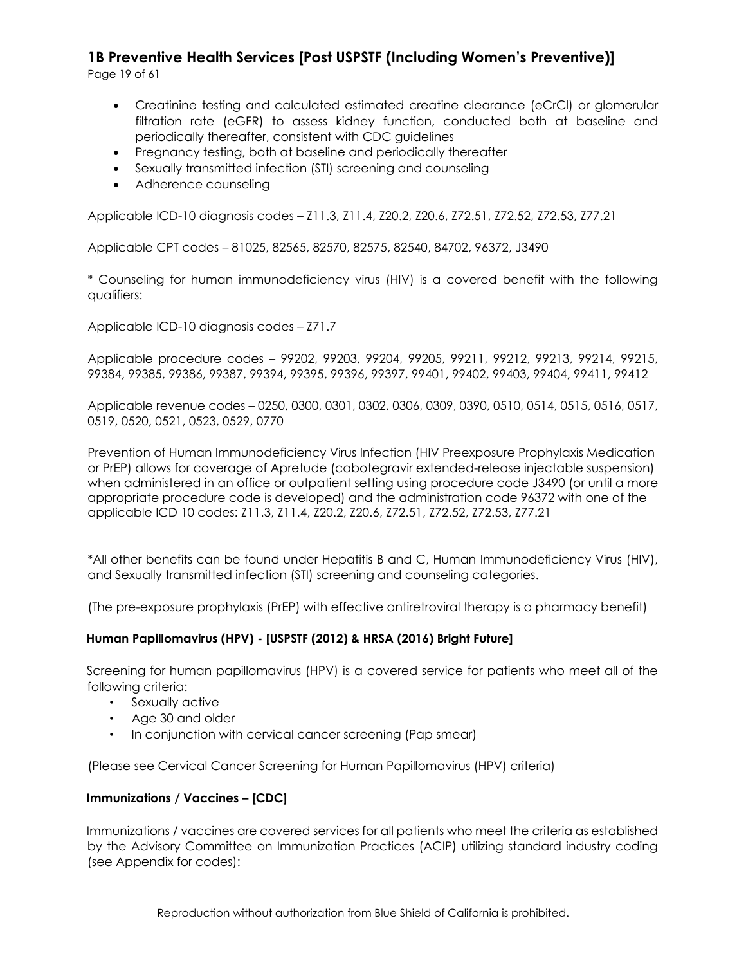Page 19 of 61

- Creatinine testing and calculated estimated creatine clearance (eCrCl) or glomerular filtration rate (eGFR) to assess kidney function, conducted both at baseline and periodically thereafter, consistent with CDC guidelines
- Pregnancy testing, both at baseline and periodically thereafter
- Sexually transmitted infection (STI) screening and counseling
- Adherence counseling

Applicable ICD-10 diagnosis codes – Z11.3, Z11.4, Z20.2, Z20.6, Z72.51, Z72.52, Z72.53, Z77.21

Applicable CPT codes – 81025, 82565, 82570, 82575, 82540, 84702, 96372, J3490

\* Counseling for human immunodeficiency virus (HIV) is a covered benefit with the following qualifiers:

Applicable ICD-10 diagnosis codes – Z71.7

Applicable procedure codes – 99202, 99203, 99204, 99205, 99211, 99212, 99213, 99214, 99215, 99384, 99385, 99386, 99387, 99394, 99395, 99396, 99397, 99401, 99402, 99403, 99404, 99411, 99412

Applicable revenue codes – 0250, 0300, 0301, 0302, 0306, 0309, 0390, 0510, 0514, 0515, 0516, 0517, 0519, 0520, 0521, 0523, 0529, 0770

Prevention of Human Immunodeficiency Virus Infection (HIV Preexposure Prophylaxis Medication or PrEP) allows for coverage of Apretude (cabotegravir extended-release injectable suspension) when administered in an office or outpatient setting using procedure code J3490 (or until a more appropriate procedure code is developed) and the administration code 96372 with one of the applicable ICD 10 codes: Z11.3, Z11.4, Z20.2, Z20.6, Z72.51, Z72.52, Z72.53, Z77.21

\*All other benefits can be found under Hepatitis B and C, Human Immunodeficiency Virus (HIV), and Sexually transmitted infection (STI) screening and counseling categories.

(The pre-exposure prophylaxis (PrEP) with effective antiretroviral therapy is a pharmacy benefit)

#### **Human Papillomavirus (HPV) - [USPSTF (2012) & HRSA (2016) Bright Future]**

Screening for human papillomavirus (HPV) is a covered service for patients who meet all of the following criteria:

- Sexually active
- Age 30 and older
- In conjunction with cervical cancer screening (Pap smear)

(Please see Cervical Cancer Screening for Human Papillomavirus (HPV) criteria)

#### **Immunizations / Vaccines – [CDC]**

Immunizations / vaccines are covered services for all patients who meet the criteria as established by the Advisory Committee on Immunization Practices (ACIP) utilizing standard industry coding (see Appendix for codes):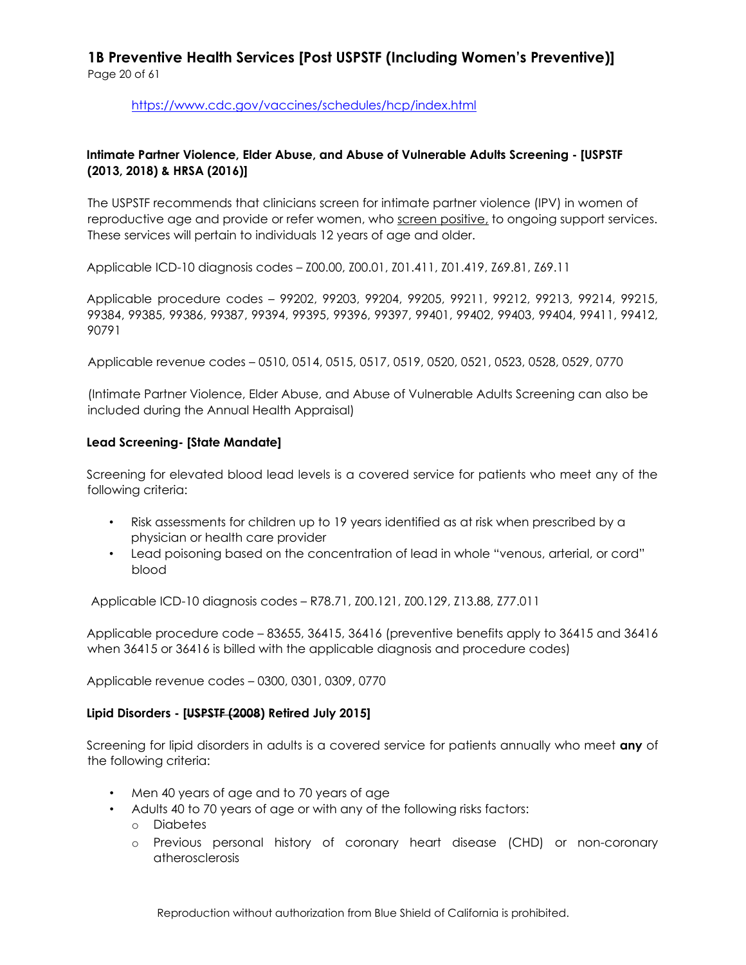<https://www.cdc.gov/vaccines/schedules/hcp/index.html>

#### **Intimate Partner Violence, Elder Abuse, and Abuse of Vulnerable Adults Screening - [USPSTF (2013, 2018) & HRSA (2016)]**

The USPSTF recommends that clinicians screen for intimate partner violence (IPV) in women of reproductive age and provide or refer women, who screen positive, to ongoing support services. These services will pertain to individuals 12 years of age and older.

Applicable ICD-10 diagnosis codes – Z00.00, Z00.01, Z01.411, Z01.419, Z69.81, Z69.11

Applicable procedure codes – 99202, 99203, 99204, 99205, 99211, 99212, 99213, 99214, 99215, 99384, 99385, 99386, 99387, 99394, 99395, 99396, 99397, 99401, 99402, 99403, 99404, 99411, 99412, 90791

Applicable revenue codes – 0510, 0514, 0515, 0517, 0519, 0520, 0521, 0523, 0528, 0529, 0770

(Intimate Partner Violence, Elder Abuse, and Abuse of Vulnerable Adults Screening can also be included during the Annual Health Appraisal)

#### **Lead Screening- [State Mandate]**

Screening for elevated blood lead levels is a covered service for patients who meet any of the following criteria:

- Risk assessments for children up to 19 years identified as at risk when prescribed by a physician or health care provider
- Lead poisoning based on the concentration of lead in whole "venous, arterial, or cord" blood

Applicable ICD-10 diagnosis codes – R78.71, Z00.121, Z00.129, Z13.88, Z77.011

Applicable procedure code – 83655, 36415, 36416 (preventive benefits apply to 36415 and 36416 when 36415 or 36416 is billed with the applicable diagnosis and procedure codes)

Applicable revenue codes – 0300, 0301, 0309, 0770

#### **Lipid Disorders - [USPSTF (2008) Retired July 2015]**

Screening for lipid disorders in adults is a covered service for patients annually who meet **any** of the following criteria:

- Men 40 years of age and to 70 years of age
- Adults 40 to 70 years of age or with any of the following risks factors:
	- o Diabetes
	- o Previous personal history of coronary heart disease (CHD) or non-coronary atherosclerosis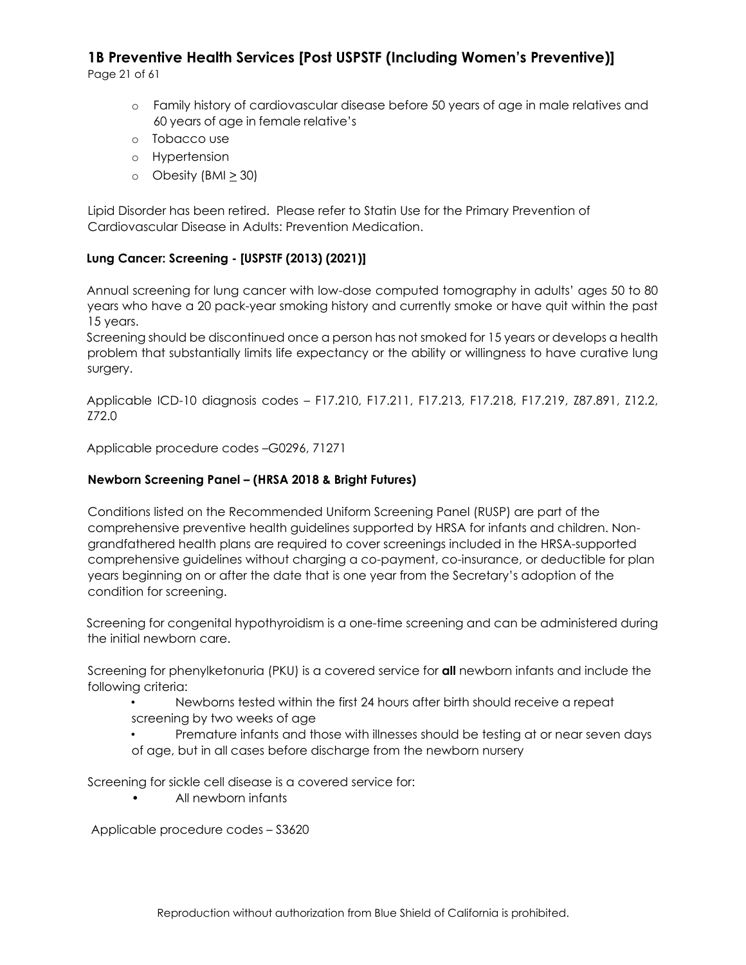Page 21 of 61

- o Family history of cardiovascular disease before 50 years of age in male relatives and 60 years of age in female relative's
- o Tobacco use
- o Hypertension
- $\circ$  Obesity (BMI > 30)

Lipid Disorder has been retired. Please refer to Statin Use for the Primary Prevention of Cardiovascular Disease in Adults: Prevention Medication.

### **Lung Cancer: Screening - [USPSTF (2013) (2021)]**

Annual screening for lung cancer with low-dose computed tomography in adults' ages 50 to 80 years who have a 20 pack-year smoking history and currently smoke or have quit within the past 15 years.

Screening should be discontinued once a person has not smoked for 15 years or develops a health problem that substantially limits life expectancy or the ability or willingness to have curative lung surgery.

Applicable ICD-10 diagnosis codes – F17.210, F17.211, F17.213, F17.218, F17.219, Z87.891, Z12.2, Z72.0

Applicable procedure codes –G0296, 71271

#### **Newborn Screening Panel – (HRSA 2018 & Bright Futures)**

Conditions listed on the Recommended Uniform Screening Panel (RUSP) are part of the comprehensive preventive health guidelines supported by HRSA for infants and children. Nongrandfathered health plans are required to cover screenings included in the HRSA-supported comprehensive guidelines without charging a co-payment, co-insurance, or deductible for plan years beginning on or after the date that is one year from the Secretary's adoption of the condition for screening.

Screening for congenital hypothyroidism is a one-time screening and can be administered during the initial newborn care.

Screening for phenylketonuria (PKU) is a covered service for **all** newborn infants and include the following criteria:

- Newborns tested within the first 24 hours after birth should receive a repeat screening by two weeks of age
- Premature infants and those with illnesses should be testing at or near seven days of age, but in all cases before discharge from the newborn nursery

Screening for sickle cell disease is a covered service for:

• All newborn infants

Applicable procedure codes – S3620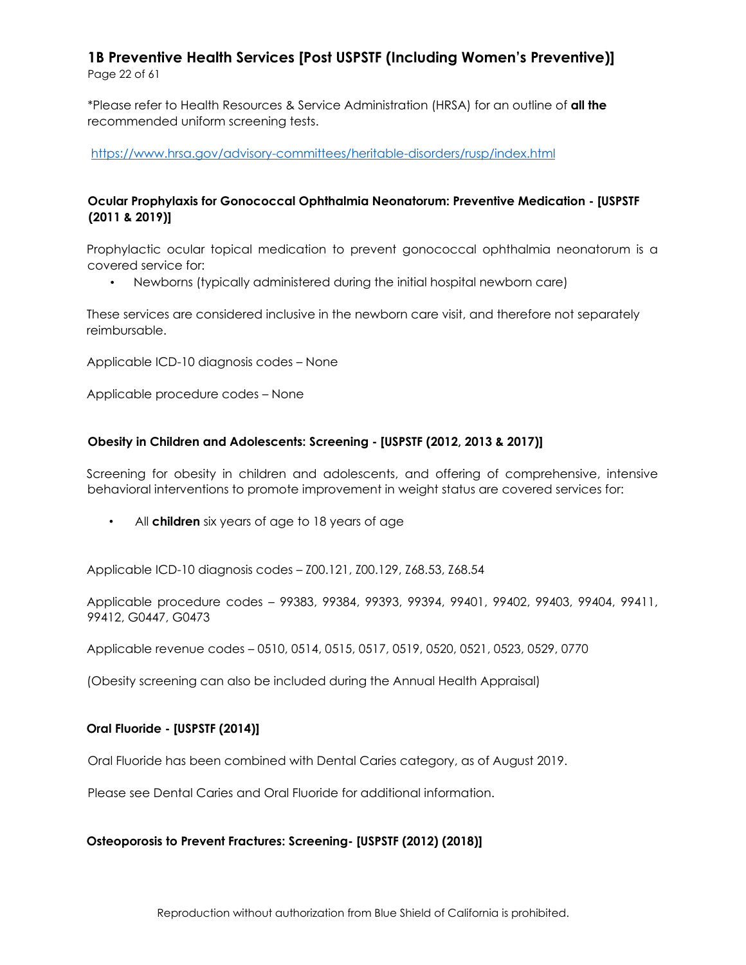\*Please refer to Health Resources & Service Administration (HRSA) for an outline of **all the**  recommended uniform screening tests.

<https://www.hrsa.gov/advisory-committees/heritable-disorders/rusp/index.html>

#### **Ocular Prophylaxis for Gonococcal Ophthalmia Neonatorum: Preventive Medication - [USPSTF (2011 & 2019)]**

Prophylactic ocular topical medication to prevent gonococcal ophthalmia neonatorum is a covered service for:

• Newborns (typically administered during the initial hospital newborn care)

These services are considered inclusive in the newborn care visit, and therefore not separately reimbursable.

Applicable ICD-10 diagnosis codes – None

Applicable procedure codes – None

#### **Obesity in Children and Adolescents: Screening - [USPSTF (2012, 2013 & 2017)]**

Screening for obesity in children and adolescents, and offering of comprehensive, intensive behavioral interventions to promote improvement in weight status are covered services for:

• All **children** six years of age to 18 years of age

Applicable ICD-10 diagnosis codes – Z00.121, Z00.129, Z68.53, Z68.54

Applicable procedure codes – 99383, 99384, 99393, 99394, 99401, 99402, 99403, 99404, 99411, 99412, G0447, G0473

Applicable revenue codes – 0510, 0514, 0515, 0517, 0519, 0520, 0521, 0523, 0529, 0770

(Obesity screening can also be included during the Annual Health Appraisal)

#### **Oral Fluoride - [USPSTF (2014)]**

Oral Fluoride has been combined with Dental Caries category, as of August 2019.

Please see Dental Caries and Oral Fluoride for additional information.

#### **Osteoporosis to Prevent Fractures: Screening- [USPSTF (2012) (2018)]**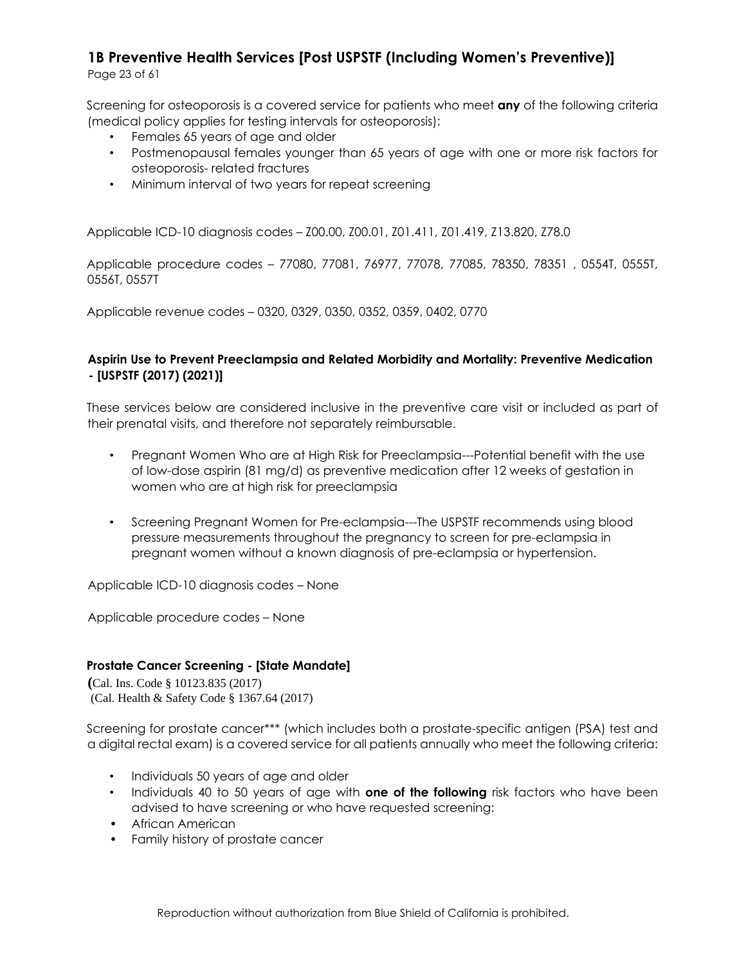Page 23 of 61

Screening for osteoporosis is a covered service for patients who meet **any** of the following criteria (medical policy applies for testing intervals for osteoporosis):

- Females 65 years of age and older
- Postmenopausal females younger than 65 years of age with one or more risk factors for osteoporosis- related fractures
- Minimum interval of two years for repeat screening

Applicable ICD-10 diagnosis codes – Z00.00, Z00.01, Z01.411, Z01.419, Z13.820, Z78.0

Applicable procedure codes – 77080, 77081, 76977, 77078, 77085, 78350, 78351 , 0554T, 0555T, 0556T, 0557T

Applicable revenue codes – 0320, 0329, 0350, 0352, 0359, 0402, 0770

#### **Aspirin Use to Prevent Preeclampsia and Related Morbidity and Mortality: Preventive Medication - [USPSTF (2017) (2021)]**

These services below are considered inclusive in the preventive care visit or included as part of their prenatal visits, and therefore not separately reimbursable.

- Pregnant Women Who are at High Risk for Preeclampsia---Potential benefit with the use of low-dose aspirin (81 mg/d) as preventive medication after 12 weeks of gestation in women who are at high risk for preeclampsia
- Screening Pregnant Women for Pre-eclampsia---The USPSTF recommends using blood pressure measurements throughout the pregnancy to screen for pre-eclampsia in pregnant women without a known diagnosis of pre-eclampsia or hypertension.

Applicable ICD-10 diagnosis codes – None

Applicable procedure codes – None

#### **Prostate Cancer Screening - [State Mandate]**

**(**Cal. Ins. Code § 10123.835 (2017) (Cal. Health & Safety Code § 1367.64 (2017)

Screening for prostate cancer\*\*\* (which includes both a prostate-specific antigen (PSA) test and a digital rectal exam) is a covered service for all patients annually who meet the following criteria:

- Individuals 50 years of age and older
- Individuals 40 to 50 years of age with **one of the following** risk factors who have been advised to have screening or who have requested screening:
- African American
- Family history of prostate cancer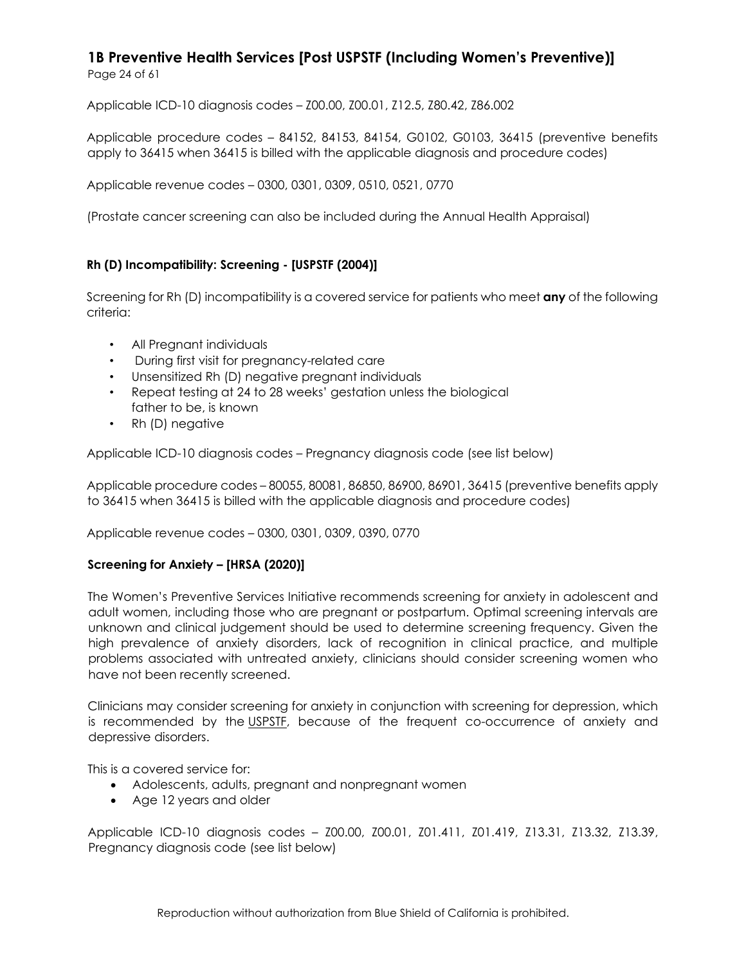Applicable ICD-10 diagnosis codes – Z00.00, Z00.01, Z12.5, Z80.42, Z86.002

Applicable procedure codes – 84152, 84153, 84154, G0102, G0103, 36415 (preventive benefits apply to 36415 when 36415 is billed with the applicable diagnosis and procedure codes)

Applicable revenue codes – 0300, 0301, 0309, 0510, 0521, 0770

(Prostate cancer screening can also be included during the Annual Health Appraisal)

#### **Rh (D) Incompatibility: Screening - [USPSTF (2004)]**

Screening for Rh (D) incompatibility is a covered service for patients who meet **any** of the following criteria:

- All Pregnant individuals
- During first visit for pregnancy-related care
- Unsensitized Rh (D) negative pregnant individuals
- Repeat testing at 24 to 28 weeks' gestation unless the biological father to be, is known
- Rh (D) negative

Applicable ICD-10 diagnosis codes – Pregnancy diagnosis code (see list below)

Applicable procedure codes – 80055, 80081, 86850, 86900, 86901, 36415 (preventive benefits apply to 36415 when 36415 is billed with the applicable diagnosis and procedure codes)

Applicable revenue codes – 0300, 0301, 0309, 0390, 0770

#### **Screening for Anxiety – [HRSA (2020)]**

The Women's Preventive Services Initiative recommends screening for anxiety in adolescent and adult women, including those who are pregnant or postpartum. Optimal screening intervals are unknown and clinical judgement should be used to determine screening frequency. Given the high prevalence of anxiety disorders, lack of recognition in clinical practice, and multiple problems associated with untreated anxiety, clinicians should consider screening women who have not been recently screened.

Clinicians may consider screening for anxiety in conjunction with screening for depression, which is recommended by the USPSTE, because of the frequent co-occurrence of anxiety and depressive disorders.

This is a covered service for:

- Adolescents, adults, pregnant and nonpregnant women
- Age 12 years and older

Applicable ICD-10 diagnosis codes – Z00.00, Z00.01, Z01.411, Z01.419, Z13.31, Z13.32, Z13.39, Pregnancy diagnosis code (see list below)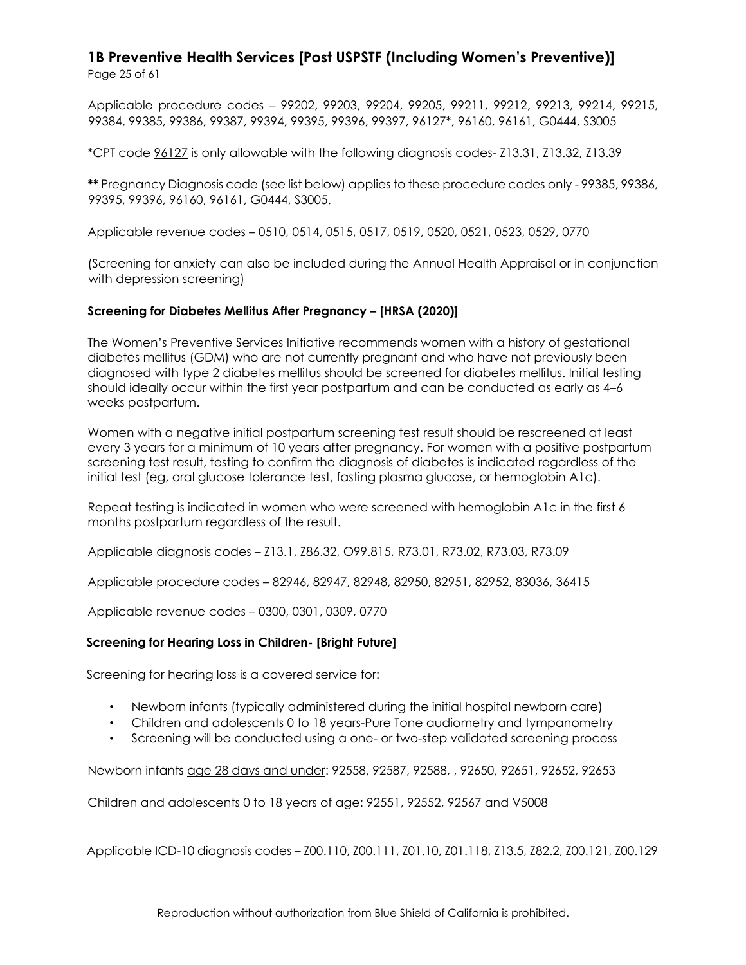Applicable procedure codes – 99202, 99203, 99204, 99205, 99211, 99212, 99213, 99214, 99215, 99384, 99385, 99386, 99387, 99394, 99395, 99396, 99397, 96127\*, 96160, 96161, G0444, S3005

\*CPT code 96127 is only allowable with the following diagnosis codes- Z13.31, Z13.32, Z13.39

**\*\*** Pregnancy Diagnosis code (see list below) applies to these procedure codes only - 99385, 99386, 99395, 99396, 96160, 96161, G0444, S3005.

Applicable revenue codes – 0510, 0514, 0515, 0517, 0519, 0520, 0521, 0523, 0529, 0770

(Screening for anxiety can also be included during the Annual Health Appraisal or in conjunction with depression screening)

#### **Screening for Diabetes Mellitus After Pregnancy – [HRSA (2020)]**

The Women's Preventive Services Initiative recommends women with a history of gestational diabetes mellitus (GDM) who are not currently pregnant and who have not previously been diagnosed with type 2 diabetes mellitus should be screened for diabetes mellitus. Initial testing should ideally occur within the first year postpartum and can be conducted as early as 4–6 weeks postpartum.

Women with a negative initial postpartum screening test result should be rescreened at least every 3 years for a minimum of 10 years after pregnancy. For women with a positive postpartum screening test result, testing to confirm the diagnosis of diabetes is indicated regardless of the initial test (eg, oral glucose tolerance test, fasting plasma glucose, or hemoglobin A1c).

Repeat testing is indicated in women who were screened with hemoglobin A1c in the first 6 months postpartum regardless of the result.

Applicable diagnosis codes – Z13.1, Z86.32, O99.815, R73.01, R73.02, R73.03, R73.09

Applicable procedure codes – 82946, 82947, 82948, 82950, 82951, 82952, 83036, 36415

Applicable revenue codes – 0300, 0301, 0309, 0770

#### **Screening for Hearing Loss in Children- [Bright Future]**

Screening for hearing loss is a covered service for:

- Newborn infants (typically administered during the initial hospital newborn care)
- Children and adolescents 0 to 18 years-Pure Tone audiometry and tympanometry
- Screening will be conducted using a one- or two-step validated screening process

Newborn infants age 28 days and under: 92558, 92587, 92588, , 92650, 92651, 92652, 92653

Children and adolescents 0 to 18 years of age: 92551, 92552, 92567 and V5008

Applicable ICD-10 diagnosis codes – Z00.110, Z00.111, Z01.10, Z01.118, Z13.5, Z82.2, Z00.121, Z00.129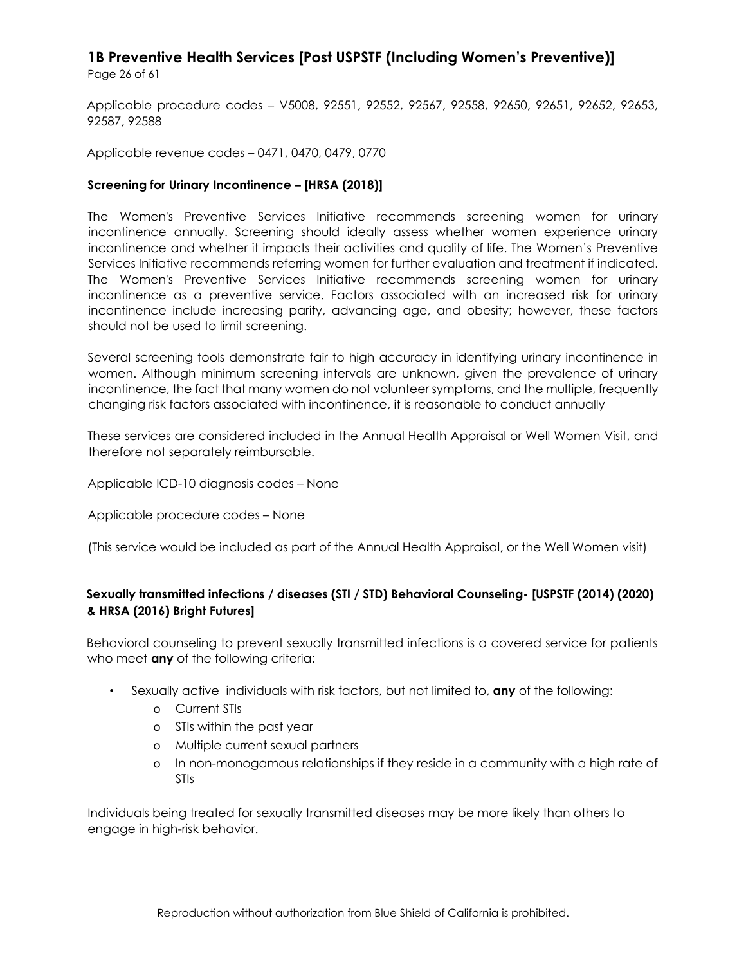Page 26 of 61

Applicable procedure codes – V5008, 92551, 92552, 92567, 92558, 92650, 92651, 92652, 92653, 92587, 92588

Applicable revenue codes – 0471, 0470, 0479, 0770

#### **Screening for Urinary Incontinence – [HRSA (2018)]**

The Women's Preventive Services Initiative recommends screening women for urinary incontinence annually. Screening should ideally assess whether women experience urinary incontinence and whether it impacts their activities and quality of life. The Women's Preventive Services Initiative recommends referring women for further evaluation and treatment if indicated. The Women's Preventive Services Initiative recommends screening women for urinary incontinence as a preventive service. Factors associated with an increased risk for urinary incontinence include increasing parity, advancing age, and obesity; however, these factors should not be used to limit screening.

Several screening tools demonstrate fair to high accuracy in identifying urinary incontinence in women. Although minimum screening intervals are unknown, given the prevalence of urinary incontinence, the fact that many women do not volunteer symptoms, and the multiple, frequently changing risk factors associated with incontinence, it is reasonable to conduct annually

These services are considered included in the Annual Health Appraisal or Well Women Visit, and therefore not separately reimbursable.

Applicable ICD-10 diagnosis codes – None

Applicable procedure codes – None

(This service would be included as part of the Annual Health Appraisal, or the Well Women visit)

#### **Sexually transmitted infections / diseases (STI / STD) Behavioral Counseling- [USPSTF (2014) (2020) & HRSA (2016) Bright Futures]**

Behavioral counseling to prevent sexually transmitted infections is a covered service for patients who meet **any** of the following criteria:

- Sexually active individuals with risk factors, but not limited to, **any** of the following:
	- o Current STIs
	- o STIs within the past year
	- o Multiple current sexual partners
	- o In non-monogamous relationships if they reside in a community with a high rate of STIs

Individuals being treated for sexually transmitted diseases may be more likely than others to engage in high-risk behavior.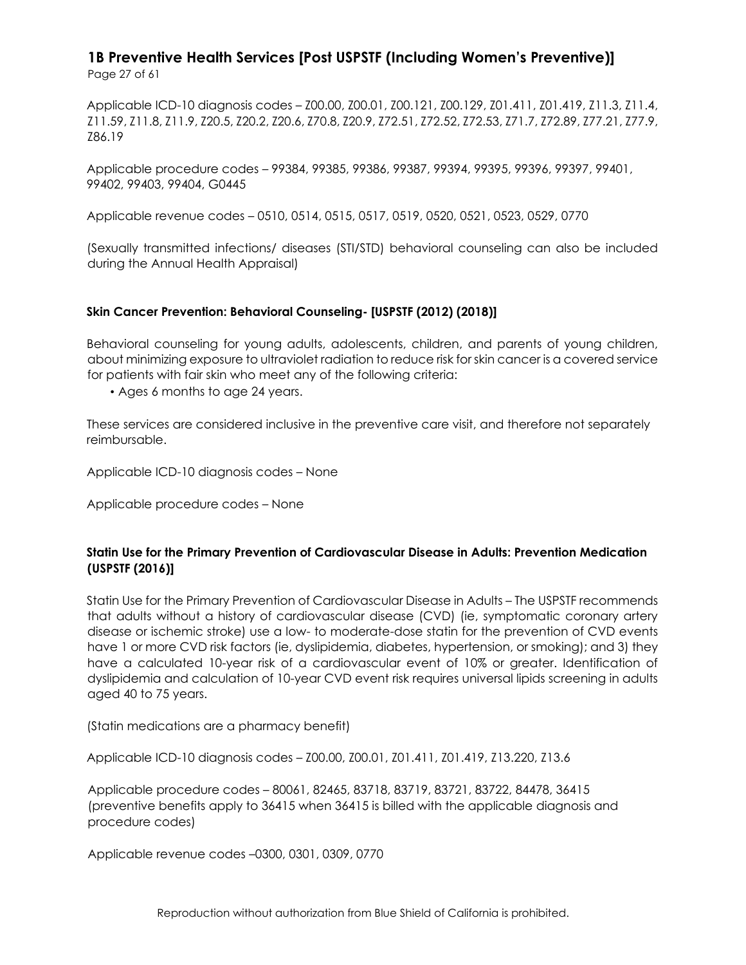Applicable ICD-10 diagnosis codes – Z00.00, Z00.01, Z00.121, Z00.129, Z01.411, Z01.419, Z11.3, Z11.4, Z11.59, Z11.8, Z11.9, Z20.5, Z20.2, Z20.6, Z70.8, Z20.9, Z72.51, Z72.52, Z72.53, Z71.7, Z72.89, Z77.21, Z77.9, Z86.19

Applicable procedure codes – 99384, 99385, 99386, 99387, 99394, 99395, 99396, 99397, 99401, 99402, 99403, 99404, G0445

Applicable revenue codes – 0510, 0514, 0515, 0517, 0519, 0520, 0521, 0523, 0529, 0770

(Sexually transmitted infections/ diseases (STI/STD) behavioral counseling can also be included during the Annual Health Appraisal)

#### **Skin Cancer Prevention: Behavioral Counseling- [USPSTF (2012) (2018)]**

Behavioral counseling for young adults, adolescents, children, and parents of young children, about minimizing exposure to ultraviolet radiation to reduce risk for skin cancer is a covered service for patients with fair skin who meet any of the following criteria:

• Ages 6 months to age 24 years.

These services are considered inclusive in the preventive care visit, and therefore not separately reimbursable.

Applicable ICD-10 diagnosis codes – None

Applicable procedure codes – None

#### **Statin Use for the Primary Prevention of Cardiovascular Disease in Adults: Prevention Medication (USPSTF (2016)]**

Statin Use for the Primary Prevention of Cardiovascular Disease in Adults – The USPSTF recommends that adults without a history of cardiovascular disease (CVD) (ie, symptomatic coronary artery disease or ischemic stroke) use a low- to moderate-dose statin for the prevention of CVD events have 1 or more CVD risk factors (ie, dyslipidemia, diabetes, hypertension, or smoking); and 3) they have a calculated 10-year risk of a cardiovascular event of 10% or greater. Identification of dyslipidemia and calculation of 10-year CVD event risk requires universal lipids screening in adults aged 40 to 75 years.

(Statin medications are a pharmacy benefit)

Applicable ICD-10 diagnosis codes – Z00.00, Z00.01, Z01.411, Z01.419, Z13.220, Z13.6

Applicable procedure codes – 80061, 82465, 83718, 83719, 83721, 83722, 84478, 36415 (preventive benefits apply to 36415 when 36415 is billed with the applicable diagnosis and procedure codes)

Applicable revenue codes –0300, 0301, 0309, 0770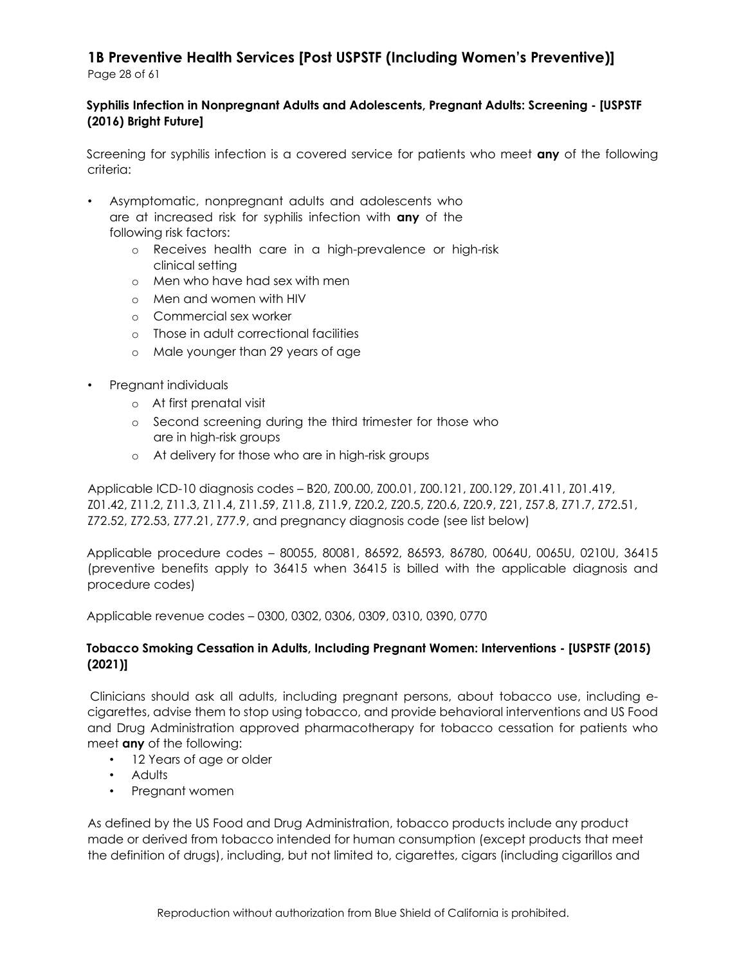#### **Syphilis Infection in Nonpregnant Adults and Adolescents, Pregnant Adults: Screening - [USPSTF (2016) Bright Future]**

Screening for syphilis infection is a covered service for patients who meet **any** of the following criteria:

- Asymptomatic, nonpregnant adults and adolescents who are at increased risk for syphilis infection with **any** of the following risk factors:
	- o Receives health care in a high-prevalence or high-risk clinical setting
	- o Men who have had sex with men
	- o Men and women with HIV
	- o Commercial sex worker
	- o Those in adult correctional facilities
	- o Male younger than 29 years of age
- Pregnant individuals
	- o At first prenatal visit
	- o Second screening during the third trimester for those who are in high-risk groups
	- o At delivery for those who are in high-risk groups

Applicable ICD-10 diagnosis codes – B20, Z00.00, Z00.01, Z00.121, Z00.129, Z01.411, Z01.419, Z01.42, Z11.2, Z11.3, Z11.4, Z11.59, Z11.8, Z11.9, Z20.2, Z20.5, Z20.6, Z20.9, Z21, Z57.8, Z71.7, Z72.51, Z72.52, Z72.53, Z77.21, Z77.9, and pregnancy diagnosis code (see list below)

Applicable procedure codes – 80055, 80081, 86592, 86593, 86780, 0064U, 0065U, 0210U, 36415 (preventive benefits apply to 36415 when 36415 is billed with the applicable diagnosis and procedure codes)

Applicable revenue codes – 0300, 0302, 0306, 0309, 0310, 0390, 0770

#### **Tobacco Smoking Cessation in Adults, Including Pregnant Women: Interventions - [USPSTF (2015) (2021)]**

Clinicians should ask all adults, including pregnant persons, about tobacco use, including ecigarettes, advise them to stop using tobacco, and provide behavioral interventions and US Food and Drug Administration approved pharmacotherapy for tobacco cessation for patients who meet **any** of the following:

- 12 Years of age or older
- Adults
- Pregnant women

As defined by the US Food and Drug Administration, tobacco products include any product made or derived from tobacco intended for human consumption (except products that meet the definition of drugs), including, but not limited to, cigarettes, cigars (including cigarillos and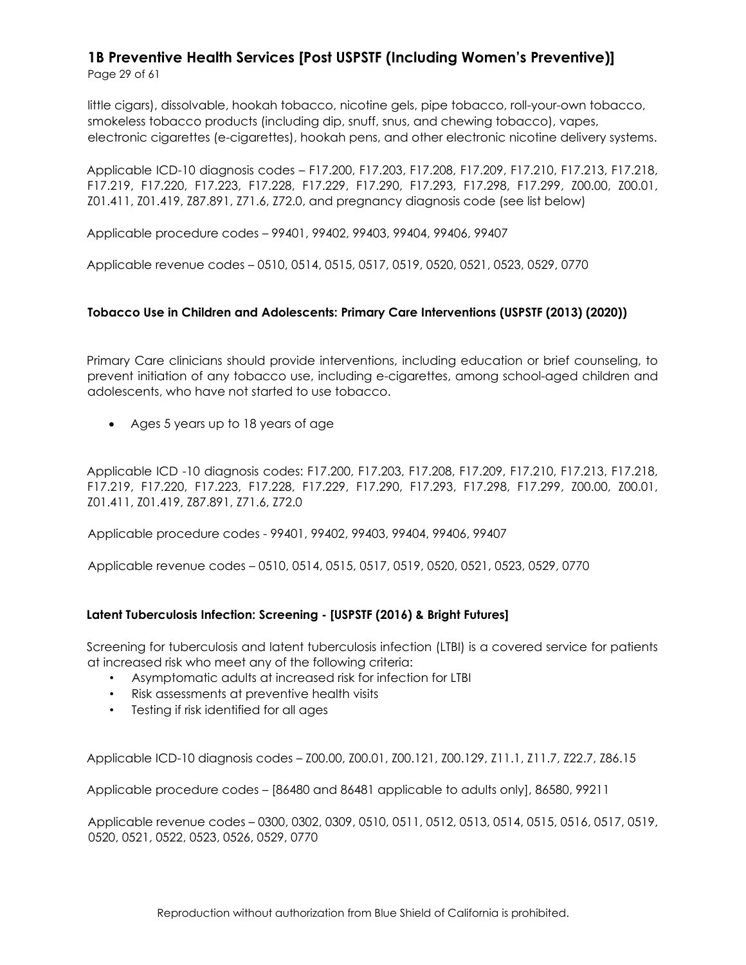Page 29 of 61

little cigars), dissolvable, hookah tobacco, nicotine gels, pipe tobacco, roll-your-own tobacco, smokeless tobacco products (including dip, snuff, snus, and chewing tobacco), vapes, electronic cigarettes (e-cigarettes), hookah pens, and other electronic nicotine delivery systems.

Applicable ICD-10 diagnosis codes – F17.200, F17.203, F17.208, F17.209, F17.210, F17.213, F17.218, F17.219, F17.220, F17.223, F17.228, F17.229, F17.290, F17.293, F17.298, F17.299, Z00.00, Z00.01, Z01.411, Z01.419, Z87.891, Z71.6, Z72.0, and pregnancy diagnosis code (see list below)

Applicable procedure codes – 99401, 99402, 99403, 99404, 99406, 99407

Applicable revenue codes – 0510, 0514, 0515, 0517, 0519, 0520, 0521, 0523, 0529, 0770

#### **Tobacco Use in Children and Adolescents: Primary Care Interventions (USPSTF (2013) (2020))**

Primary Care clinicians should provide interventions, including education or brief counseling, to prevent initiation of any tobacco use, including e-cigarettes, among school-aged children and adolescents, who have not started to use tobacco.

• Ages 5 years up to 18 years of age

Applicable ICD -10 diagnosis codes: F17.200, F17.203, F17.208, F17.209, F17.210, F17.213, F17.218, F17.219, F17.220, F17.223, F17.228, F17.229, F17.290, F17.293, F17.298, F17.299, Z00.00, Z00.01, Z01.411, Z01.419, Z87.891, Z71.6, Z72.0

Applicable procedure codes - 99401, 99402, 99403, 99404, 99406, 99407

Applicable revenue codes – 0510, 0514, 0515, 0517, 0519, 0520, 0521, 0523, 0529, 0770

#### **Latent Tuberculosis Infection: Screening - [USPSTF (2016) & Bright Futures]**

Screening for tuberculosis and latent tuberculosis infection (LTBI) is a covered service for patients at increased risk who meet any of the following criteria:

- Asymptomatic adults at increased risk for infection for LTBI
- Risk assessments at preventive health visits
- Testing if risk identified for all ages

Applicable ICD-10 diagnosis codes – Z00.00, Z00.01, Z00.121, Z00.129, Z11.1, Z11.7, Z22.7, Z86.15

Applicable procedure codes – [86480 and 86481 applicable to adults only], 86580, 99211

Applicable revenue codes – 0300, 0302, 0309, 0510, 0511, 0512, 0513, 0514, 0515, 0516, 0517, 0519, 0520, 0521, 0522, 0523, 0526, 0529, 0770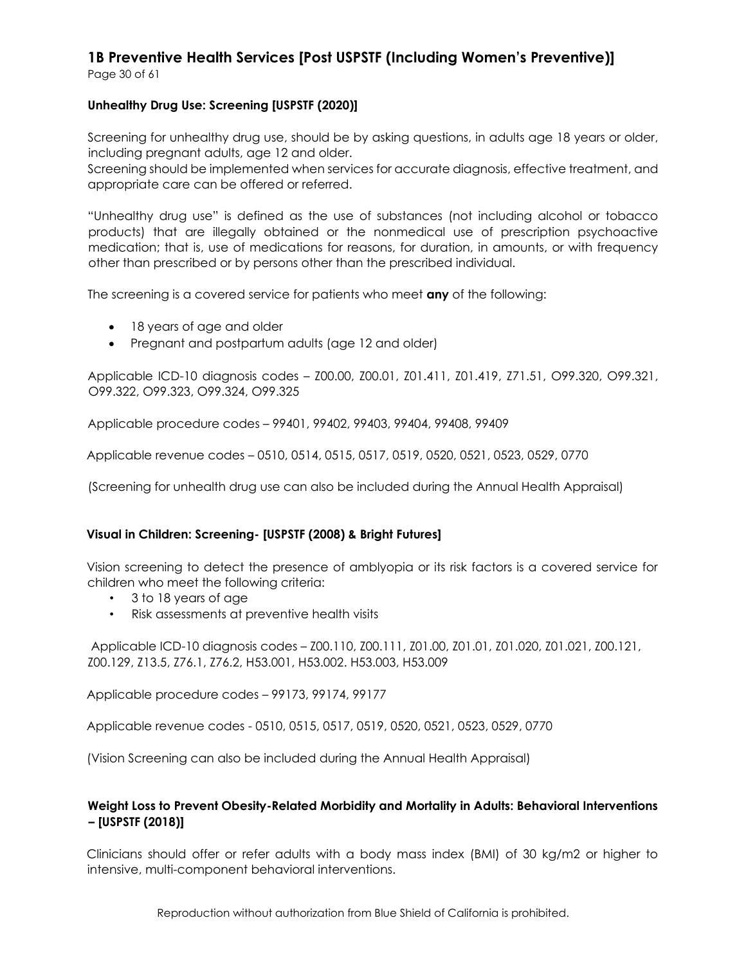Page 30 of 61

#### **Unhealthy Drug Use: Screening [USPSTF (2020)]**

Screening for unhealthy drug use, should be by asking questions, in adults age 18 years or older, including pregnant adults, age 12 and older.

Screening should be implemented when services for accurate diagnosis, effective treatment, and appropriate care can be offered or referred.

"Unhealthy drug use" is defined as the use of substances (not including alcohol or tobacco products) that are illegally obtained or the nonmedical use of prescription psychoactive medication; that is, use of medications for reasons, for duration, in amounts, or with frequency other than prescribed or by persons other than the prescribed individual.

The screening is a covered service for patients who meet **any** of the following:

- 18 years of age and older
- Pregnant and postpartum adults (age 12 and older)

Applicable ICD-10 diagnosis codes – Z00.00, Z00.01, Z01.411, Z01.419, Z71.51, O99.320, O99.321, O99.322, O99.323, O99.324, O99.325

Applicable procedure codes – 99401, 99402, 99403, 99404, 99408, 99409

Applicable revenue codes – 0510, 0514, 0515, 0517, 0519, 0520, 0521, 0523, 0529, 0770

(Screening for unhealth drug use can also be included during the Annual Health Appraisal)

#### **Visual in Children: Screening- [USPSTF (2008) & Bright Futures]**

Vision screening to detect the presence of amblyopia or its risk factors is a covered service for children who meet the following criteria:

- 3 to 18 years of age
- Risk assessments at preventive health visits

Applicable ICD-10 diagnosis codes – Z00.110, Z00.111, Z01.00, Z01.01, Z01.020, Z01.021, Z00.121, Z00.129, Z13.5, Z76.1, Z76.2, H53.001, H53.002. H53.003, H53.009

Applicable procedure codes – 99173, 99174, 99177

Applicable revenue codes - 0510, 0515, 0517, 0519, 0520, 0521, 0523, 0529, 0770

(Vision Screening can also be included during the Annual Health Appraisal)

#### **Weight Loss to Prevent Obesity-Related Morbidity and Mortality in Adults: Behavioral Interventions – [USPSTF (2018)]**

Clinicians should offer or refer adults with a body mass index (BMI) of 30 kg/m2 or higher to intensive, multi-component behavioral interventions.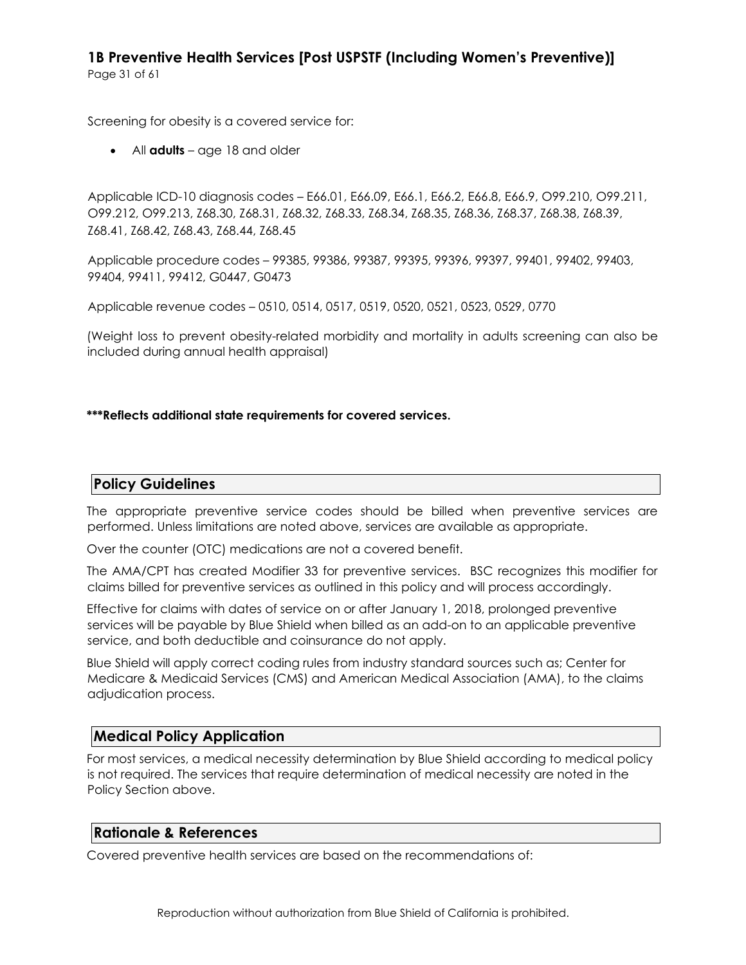Screening for obesity is a covered service for:

• All **adults** – age 18 and older

Applicable ICD-10 diagnosis codes – E66.01, E66.09, E66.1, E66.2, E66.8, E66.9, O99.210, O99.211, O99.212, O99.213, Z68.30, Z68.31, Z68.32, Z68.33, Z68.34, Z68.35, Z68.36, Z68.37, Z68.38, Z68.39, Z68.41, Z68.42, Z68.43, Z68.44, Z68.45

Applicable procedure codes – 99385, 99386, 99387, 99395, 99396, 99397, 99401, 99402, 99403, 99404, 99411, 99412, G0447, G0473

Applicable revenue codes – 0510, 0514, 0517, 0519, 0520, 0521, 0523, 0529, 0770

(Weight loss to prevent obesity-related morbidity and mortality in adults screening can also be included during annual health appraisal)

#### **\*\*\*Reflects additional state requirements for covered services.**

#### **Policy Guidelines**

The appropriate preventive service codes should be billed when preventive services are performed. Unless limitations are noted above, services are available as appropriate.

Over the counter (OTC) medications are not a covered benefit.

The AMA/CPT has created Modifier 33 for preventive services. BSC recognizes this modifier for claims billed for preventive services as outlined in this policy and will process accordingly.

Effective for claims with dates of service on or after January 1, 2018, prolonged preventive services will be payable by Blue Shield when billed as an add-on to an applicable preventive service, and both deductible and coinsurance do not apply.

Blue Shield will apply correct coding rules from industry standard sources such as; Center for Medicare & Medicaid Services (CMS) and American Medical Association (AMA), to the claims adjudication process.

#### **Medical Policy Application**

For most services, a medical necessity determination by Blue Shield according to medical policy is not required. The services that require determination of medical necessity are noted in the Policy Section above.

#### **Rationale & References**

Covered preventive health services are based on the recommendations of: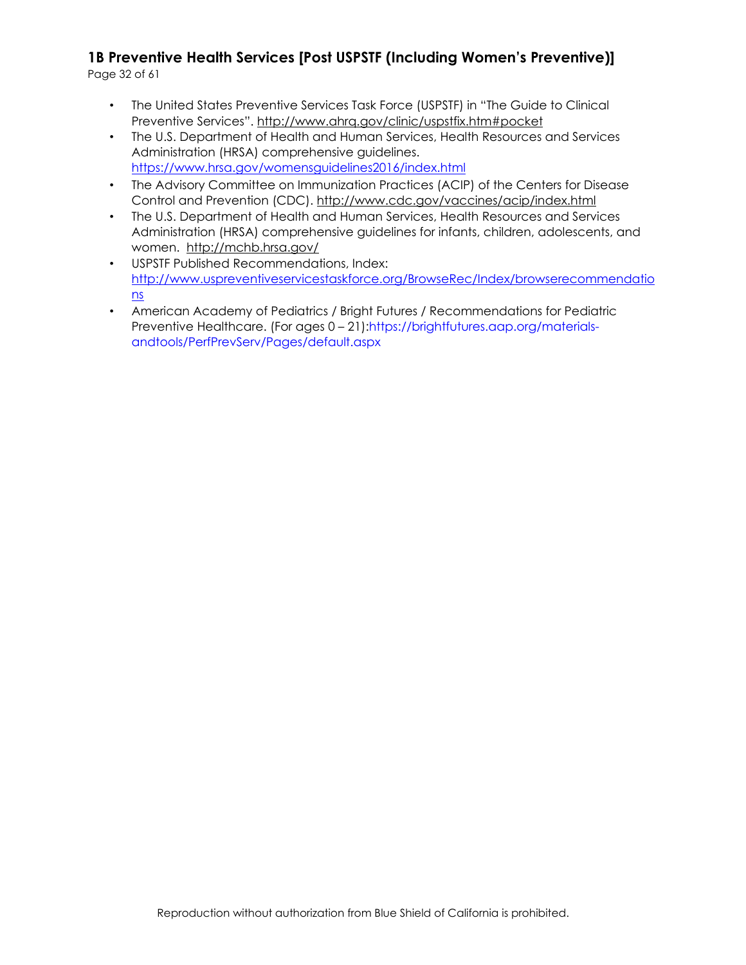Page 32 of 61

- The United States Preventive Services Task Force (USPSTF) in "The Guide to Clinical Preventive Services"[.](http://www.ahrq.gov/clinic/uspstfix.htm#pocket) <http://www.ahrq.gov/clinic/uspstfix.htm#pocket>
- The U.S. Department of Health and Human Services, Health Resources and Services Administration (HRSA) comprehensive guidelines. <https://www.hrsa.gov/womensguidelines2016/index.html>
- The Advisory Committee on Immunization Practices (ACIP) of the Centers for Disease Control and Prevention (CDC).<http://www.cdc.gov/vaccines/acip/index.html>
- The U.S. Department of Health and Human Services, Health Resources and Services Administration (HRSA) comprehensive guidelines for infants, children, adolescents, and women. <http://mchb.hrsa.gov/>
- USPSTF Published Recommendations, Index: [http://www.uspreventiveservicestaskforce.org/BrowseRec/Index/browserecommendatio](http://www.uspreventiveservicestaskforce.org/BrowseRec/Index/browse-recommendations) [ns](http://www.uspreventiveservicestaskforce.org/BrowseRec/Index/browse-recommendations)
- American Academy of Pediatrics / Bright Futures / Recommendations for Pediatric Preventive Healthcare. (For ages 0 – 21):https://brightfutures.aap.org/materialsandtools/PerfPrevServ/Pages/default.aspx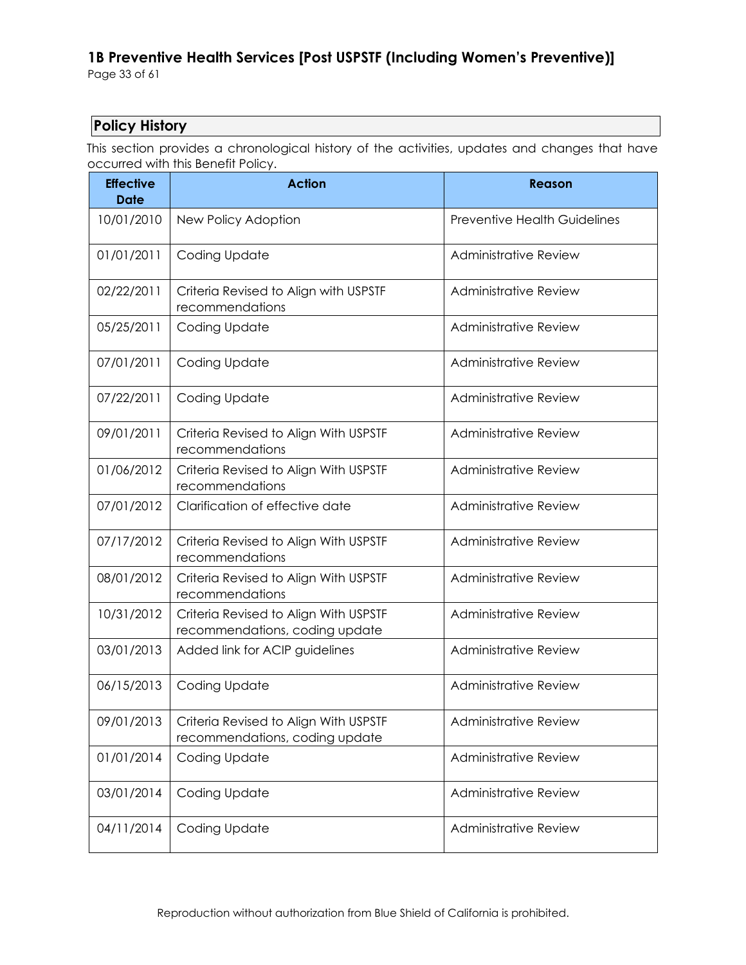## **Policy History**

This section provides a chronological history of the activities, updates and changes that have occurred with this Benefit Policy.

| <b>Effective</b><br><b>Date</b> | <b>Action</b>                                                           | <b>Reason</b>                       |
|---------------------------------|-------------------------------------------------------------------------|-------------------------------------|
| 10/01/2010                      | New Policy Adoption                                                     | <b>Preventive Health Guidelines</b> |
| 01/01/2011                      | Coding Update                                                           | Administrative Review               |
| 02/22/2011                      | Criteria Revised to Align with USPSTF<br>recommendations                | <b>Administrative Review</b>        |
| 05/25/2011                      | Coding Update                                                           | <b>Administrative Review</b>        |
| 07/01/2011                      | Coding Update                                                           | <b>Administrative Review</b>        |
| 07/22/2011                      | Coding Update                                                           | <b>Administrative Review</b>        |
| 09/01/2011                      | Criteria Revised to Align With USPSTF<br>recommendations                | <b>Administrative Review</b>        |
| 01/06/2012                      | Criteria Revised to Align With USPSTF<br>recommendations                | Administrative Review               |
| 07/01/2012                      | Clarification of effective date                                         | <b>Administrative Review</b>        |
| 07/17/2012                      | Criteria Revised to Align With USPSTF<br>recommendations                | <b>Administrative Review</b>        |
| 08/01/2012                      | Criteria Revised to Align With USPSTF<br>recommendations                | <b>Administrative Review</b>        |
| 10/31/2012                      | Criteria Revised to Align With USPSTF<br>recommendations, coding update | <b>Administrative Review</b>        |
| 03/01/2013                      | Added link for ACIP guidelines                                          | <b>Administrative Review</b>        |
| 06/15/2013                      | Coding Update                                                           | <b>Administrative Review</b>        |
| 09/01/2013                      | Criteria Revised to Align With USPSTF<br>recommendations, coding update | Administrative Review               |
| 01/01/2014                      | Coding Update                                                           | <b>Administrative Review</b>        |
| 03/01/2014                      | Coding Update                                                           | <b>Administrative Review</b>        |
| 04/11/2014                      | Coding Update                                                           | <b>Administrative Review</b>        |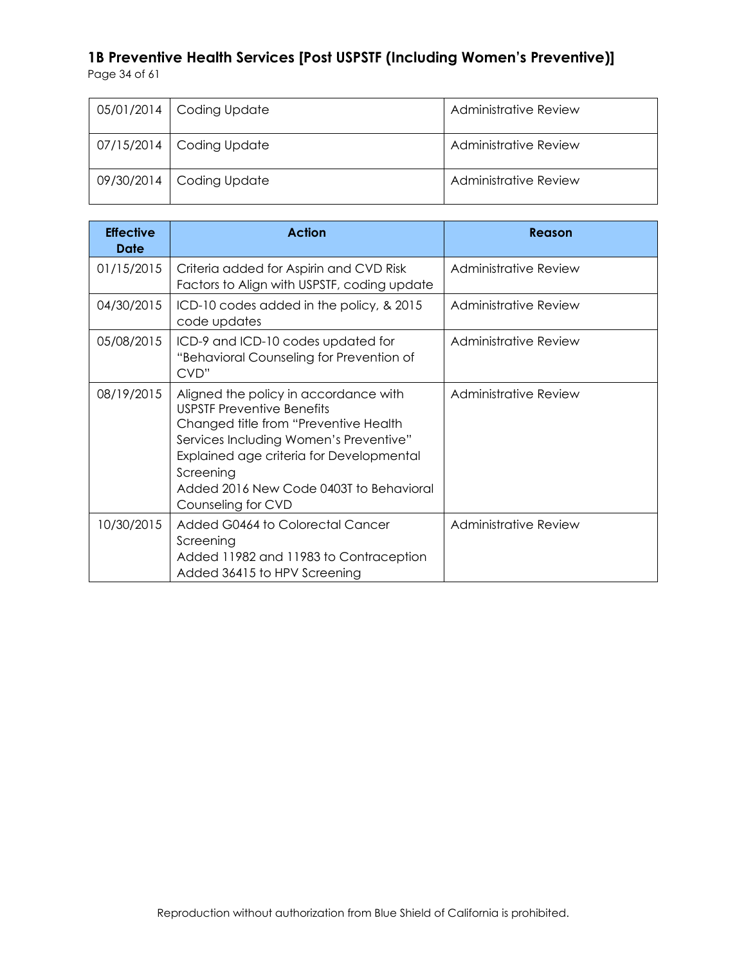| 05/01/2014   Coding Update | Administrative Review |
|----------------------------|-----------------------|
| 07/15/2014   Coding Update | Administrative Review |
| 09/30/2014   Coding Update | Administrative Review |

| <b>Effective</b><br>Date | <b>Action</b>                                                                                                                                                                                                                                                                           | Reason                |
|--------------------------|-----------------------------------------------------------------------------------------------------------------------------------------------------------------------------------------------------------------------------------------------------------------------------------------|-----------------------|
| 01/15/2015               | Criteria added for Aspirin and CVD Risk<br>Factors to Align with USPSTF, coding update                                                                                                                                                                                                  | Administrative Review |
| 04/30/2015               | ICD-10 codes added in the policy, & 2015<br>code updates                                                                                                                                                                                                                                | Administrative Review |
| 05/08/2015               | ICD-9 and ICD-10 codes updated for<br>"Behavioral Counseling for Prevention of<br>CVD"                                                                                                                                                                                                  | Administrative Review |
| 08/19/2015               | Aligned the policy in accordance with<br><b>USPSTF Preventive Benefits</b><br>Changed title from "Preventive Health<br>Services Including Women's Preventive"<br>Explained age criteria for Developmental<br>Screening<br>Added 2016 New Code 0403T to Behavioral<br>Counseling for CVD | Administrative Review |
| 10/30/2015               | Added G0464 to Colorectal Cancer<br>Screening<br>Added 11982 and 11983 to Contraception<br>Added 36415 to HPV Screening                                                                                                                                                                 | Administrative Review |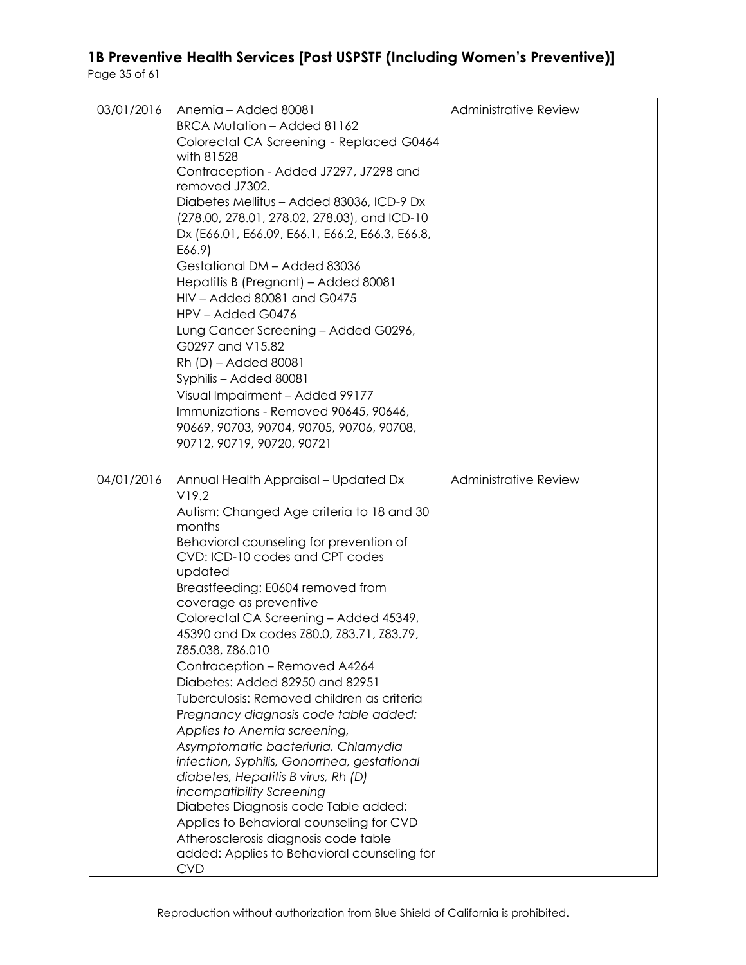| 03/01/2016 | Anemia - Added 80081<br>BRCA Mutation - Added 81162<br>Colorectal CA Screening - Replaced G0464<br>with 81528<br>Contraception - Added J7297, J7298 and<br>removed J7302.<br>Diabetes Mellitus - Added 83036, ICD-9 Dx<br>(278.00, 278.01, 278.02, 278.03), and ICD-10<br>Dx (E66.01, E66.09, E66.1, E66.2, E66.3, E66.8,<br>E66.9)<br>Gestational DM - Added 83036<br>Hepatitis B (Pregnant) - Added 80081<br>HIV - Added 80081 and G0475<br>HPV - Added G0476<br>Lung Cancer Screening - Added G0296,<br>G0297 and V15.82<br>Rh (D) – Added 80081<br>Syphilis - Added 80081<br>Visual Impairment - Added 99177<br>Immunizations - Removed 90645, 90646,<br>90669, 90703, 90704, 90705, 90706, 90708,<br>90712, 90719, 90720, 90721                                                                                                                                                                                  | <b>Administrative Review</b> |
|------------|-----------------------------------------------------------------------------------------------------------------------------------------------------------------------------------------------------------------------------------------------------------------------------------------------------------------------------------------------------------------------------------------------------------------------------------------------------------------------------------------------------------------------------------------------------------------------------------------------------------------------------------------------------------------------------------------------------------------------------------------------------------------------------------------------------------------------------------------------------------------------------------------------------------------------|------------------------------|
| 04/01/2016 | Annual Health Appraisal - Updated Dx<br>V19.2<br>Autism: Changed Age criteria to 18 and 30<br>months<br>Behavioral counseling for prevention of<br>CVD: ICD-10 codes and CPT codes<br>updated<br>Breastfeeding: E0604 removed from<br>coverage as preventive<br>Colorectal CA Screening - Added 45349,<br>45390 and Dx codes Z80.0, Z83.71, Z83.79,<br>Z85.038, Z86.010<br>Contraception - Removed A4264<br>Diabetes: Added 82950 and 82951<br>Tuberculosis: Removed children as criteria<br>Pregnancy diagnosis code table added:<br>Applies to Anemia screening,<br>Asymptomatic bacteriuria, Chlamydia<br>infection, Syphilis, Gonorrhea, gestational<br>diabetes, Hepatitis B virus, Rh (D)<br>incompatibility Screening<br>Diabetes Diagnosis code Table added:<br>Applies to Behavioral counseling for CVD<br>Atherosclerosis diagnosis code table<br>added: Applies to Behavioral counseling for<br><b>CVD</b> | <b>Administrative Review</b> |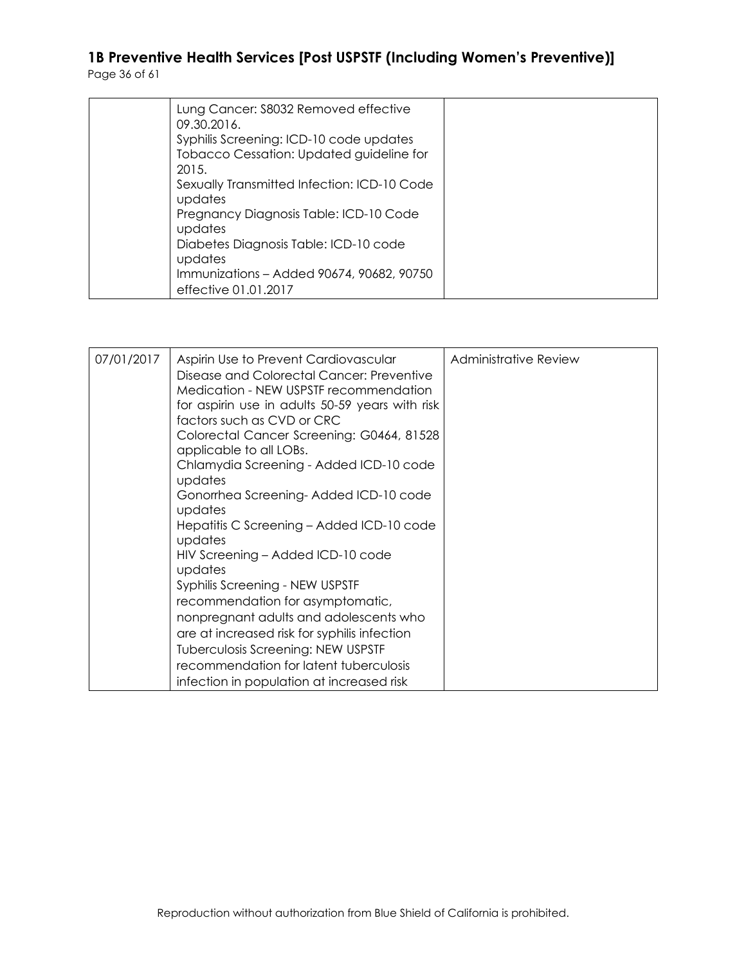| Lung Cancer: \$8032 Removed effective<br>09.30.2016.                                         |  |
|----------------------------------------------------------------------------------------------|--|
| Syphilis Screening: ICD-10 code updates<br>Tobacco Cessation: Updated guideline for<br>2015. |  |
| Sexually Transmitted Infection: ICD-10 Code<br>updates                                       |  |
| Pregnancy Diagnosis Table: ICD-10 Code<br>updates                                            |  |
| Diabetes Diagnosis Table: ICD-10 code<br>updates                                             |  |
| Immunizations - Added 90674, 90682, 90750<br>effective 01.01.2017                            |  |

| Disease and Colorectal Cancer: Preventive<br>Medication - NEW USPSTF recommendation<br>for aspirin use in adults 50-59 years with risk<br>factors such as CVD or CRC<br>Colorectal Cancer Screening: G0464, 81528<br>applicable to all LOBs.<br>Chlamydia Screening - Added ICD-10 code<br>updates<br>Gonorrhea Screening-Added ICD-10 code<br>updates<br>Hepatitis C Screening - Added ICD-10 code<br>updates<br>HIV Screening - Added ICD-10 code<br>updates<br>Syphilis Screening - NEW USPSTF<br>recommendation for asymptomatic,<br>nonpregnant adults and adolescents who<br>are at increased risk for syphilis infection<br><b>Tuberculosis Screening: NEW USPSTF</b><br>recommendation for latent tuberculosis<br>infection in population at increased risk | 07/01/2017 | Aspirin Use to Prevent Cardiovascular | Administrative Review |
|---------------------------------------------------------------------------------------------------------------------------------------------------------------------------------------------------------------------------------------------------------------------------------------------------------------------------------------------------------------------------------------------------------------------------------------------------------------------------------------------------------------------------------------------------------------------------------------------------------------------------------------------------------------------------------------------------------------------------------------------------------------------|------------|---------------------------------------|-----------------------|
|---------------------------------------------------------------------------------------------------------------------------------------------------------------------------------------------------------------------------------------------------------------------------------------------------------------------------------------------------------------------------------------------------------------------------------------------------------------------------------------------------------------------------------------------------------------------------------------------------------------------------------------------------------------------------------------------------------------------------------------------------------------------|------------|---------------------------------------|-----------------------|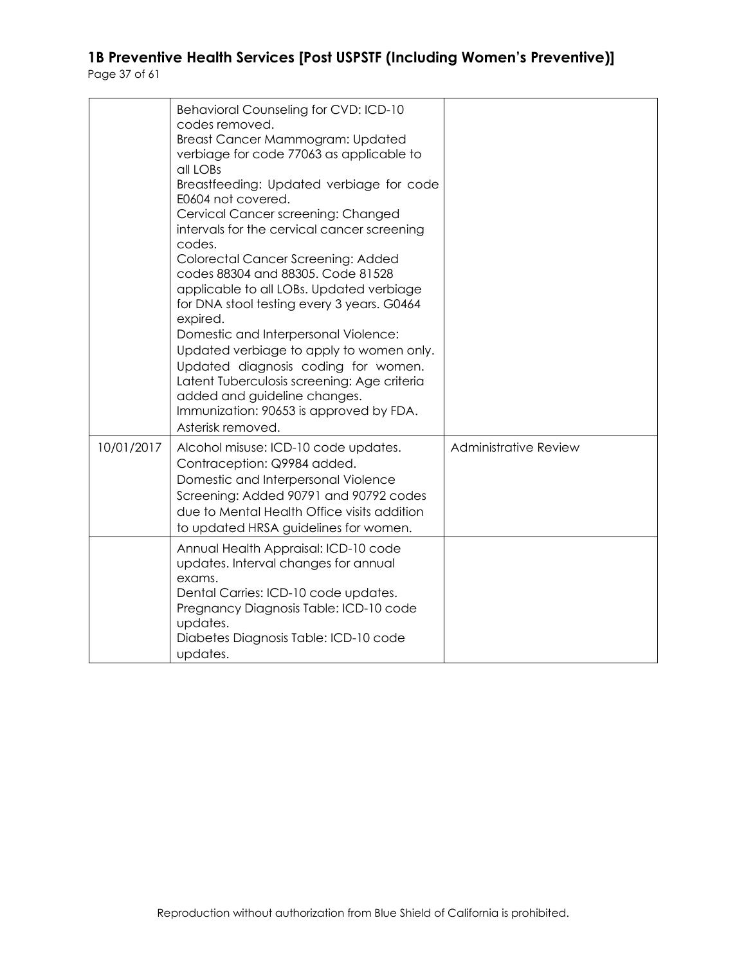|            | <b>Behavioral Counseling for CVD: ICD-10</b><br>codes removed.<br>Breast Cancer Mammogram: Updated<br>verbiage for code 77063 as applicable to<br>all LOBs<br>Breastfeeding: Updated verbiage for code<br>E0604 not covered.<br>Cervical Cancer screening: Changed<br>intervals for the cervical cancer screening<br>codes.<br>Colorectal Cancer Screening: Added<br>codes 88304 and 88305. Code 81528<br>applicable to all LOBs. Updated verbiage<br>for DNA stool testing every 3 years. G0464<br>expired.<br>Domestic and Interpersonal Violence:<br>Updated verbiage to apply to women only.<br>Updated diagnosis coding for women.<br>Latent Tuberculosis screening: Age criteria<br>added and guideline changes.<br>Immunization: 90653 is approved by FDA.<br>Asterisk removed. |                              |
|------------|----------------------------------------------------------------------------------------------------------------------------------------------------------------------------------------------------------------------------------------------------------------------------------------------------------------------------------------------------------------------------------------------------------------------------------------------------------------------------------------------------------------------------------------------------------------------------------------------------------------------------------------------------------------------------------------------------------------------------------------------------------------------------------------|------------------------------|
| 10/01/2017 | Alcohol misuse: ICD-10 code updates.<br>Contraception: Q9984 added.<br>Domestic and Interpersonal Violence<br>Screening: Added 90791 and 90792 codes<br>due to Mental Health Office visits addition<br>to updated HRSA guidelines for women.                                                                                                                                                                                                                                                                                                                                                                                                                                                                                                                                           | <b>Administrative Review</b> |
|            | Annual Health Appraisal: ICD-10 code<br>updates. Interval changes for annual<br>exams.<br>Dental Carries: ICD-10 code updates.<br>Pregnancy Diagnosis Table: ICD-10 code<br>updates.<br>Diabetes Diagnosis Table: ICD-10 code<br>updates.                                                                                                                                                                                                                                                                                                                                                                                                                                                                                                                                              |                              |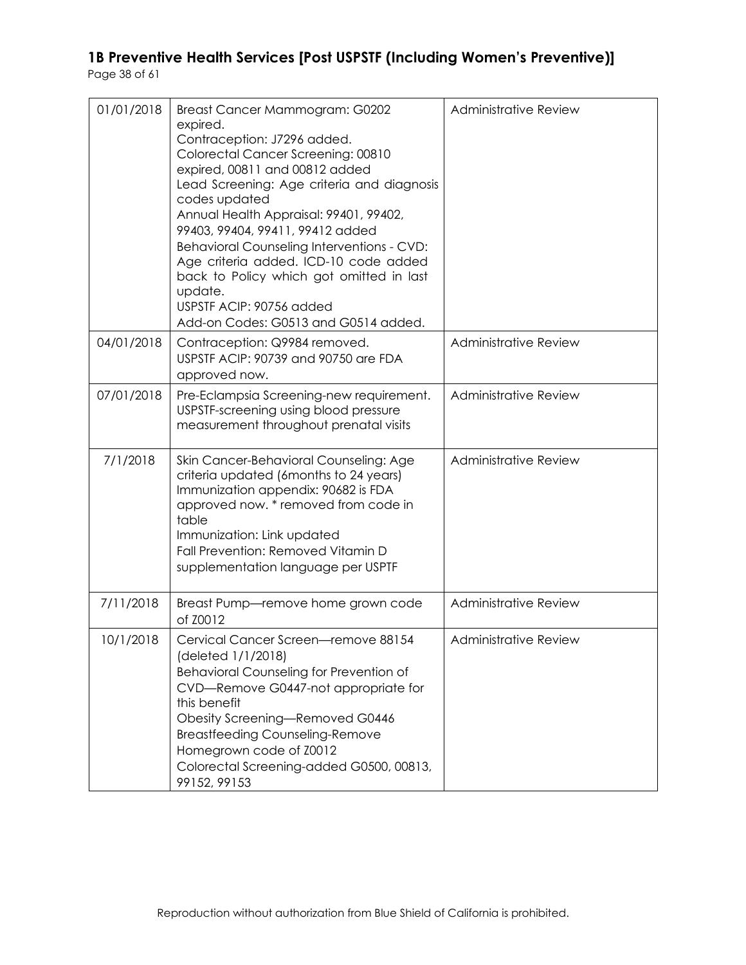| 01/01/2018 | Breast Cancer Mammogram: G0202<br>expired.<br>Contraception: J7296 added.<br>Colorectal Cancer Screening: 00810<br>expired, 00811 and 00812 added<br>Lead Screening: Age criteria and diagnosis<br>codes updated<br>Annual Health Appraisal: 99401, 99402,<br>99403, 99404, 99411, 99412 added<br>Behavioral Counseling Interventions - CVD:<br>Age criteria added. ICD-10 code added<br>back to Policy which got omitted in last<br>update.<br>USPSTF ACIP: 90756 added<br>Add-on Codes: G0513 and G0514 added. | Administrative Review        |
|------------|------------------------------------------------------------------------------------------------------------------------------------------------------------------------------------------------------------------------------------------------------------------------------------------------------------------------------------------------------------------------------------------------------------------------------------------------------------------------------------------------------------------|------------------------------|
| 04/01/2018 | Contraception: Q9984 removed.<br>USPSTF ACIP: 90739 and 90750 are FDA<br>approved now.                                                                                                                                                                                                                                                                                                                                                                                                                           | <b>Administrative Review</b> |
| 07/01/2018 | Pre-Eclampsia Screening-new requirement.<br>USPSTF-screening using blood pressure<br>measurement throughout prenatal visits                                                                                                                                                                                                                                                                                                                                                                                      | <b>Administrative Review</b> |
| 7/1/2018   | Skin Cancer-Behavioral Counseling: Age<br>criteria updated (6months to 24 years)<br>Immunization appendix: 90682 is FDA<br>approved now. * removed from code in<br>table<br>Immunization: Link updated<br>Fall Prevention: Removed Vitamin D<br>supplementation language per USPTF                                                                                                                                                                                                                               | <b>Administrative Review</b> |
| 7/11/2018  | Breast Pump-remove home grown code<br>of Z0012                                                                                                                                                                                                                                                                                                                                                                                                                                                                   | Administrative Review        |
| 10/1/2018  | Cervical Cancer Screen-remove 88154<br>(deleted 1/1/2018)<br>Behavioral Counseling for Prevention of<br>CVD-Remove G0447-not appropriate for<br>this benefit<br>Obesity Screening-Removed G0446<br><b>Breastfeeding Counseling-Remove</b><br>Homegrown code of Z0012<br>Colorectal Screening-added G0500, 00813,<br>99152, 99153                                                                                                                                                                                 | Administrative Review        |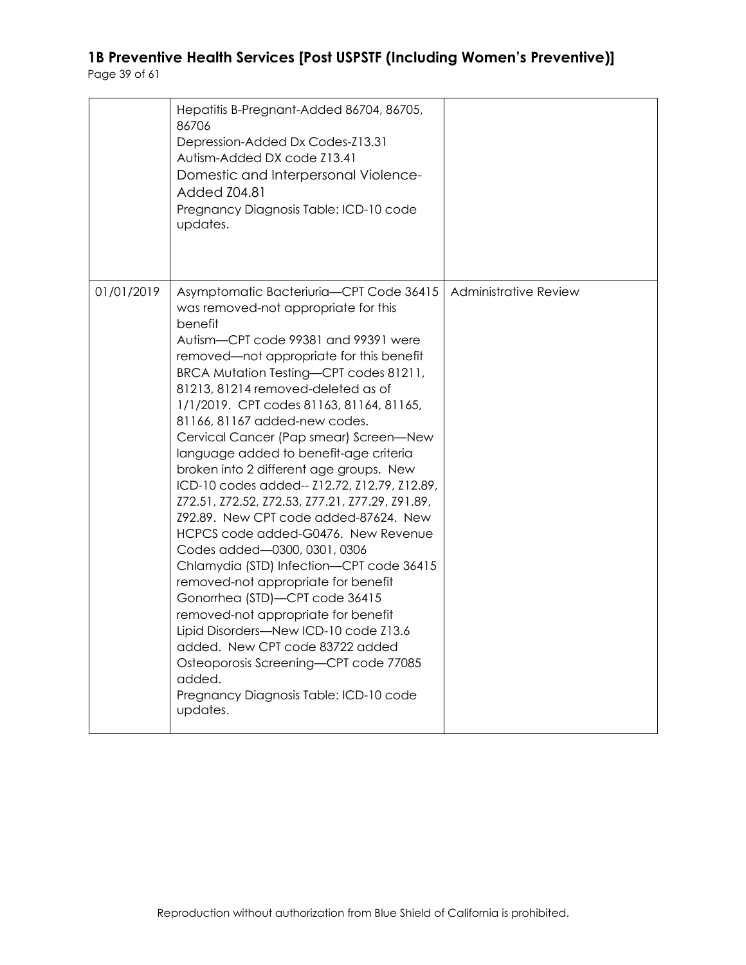|            | Hepatitis B-Pregnant-Added 86704, 86705,<br>86706<br>Depression-Added Dx Codes-Z13.31<br>Autism-Added DX code Z13.41<br>Domestic and Interpersonal Violence-<br>Added Z04.81<br>Pregnancy Diagnosis Table: ICD-10 code<br>updates.                                                                                                                                                                                                                                                                                                                                                                                                                                                                                                                                                                                                                                                                                                                                                                                                             |                       |
|------------|------------------------------------------------------------------------------------------------------------------------------------------------------------------------------------------------------------------------------------------------------------------------------------------------------------------------------------------------------------------------------------------------------------------------------------------------------------------------------------------------------------------------------------------------------------------------------------------------------------------------------------------------------------------------------------------------------------------------------------------------------------------------------------------------------------------------------------------------------------------------------------------------------------------------------------------------------------------------------------------------------------------------------------------------|-----------------------|
| 01/01/2019 | Asymptomatic Bacteriuria-CPT Code 36415<br>was removed-not appropriate for this<br>benefit<br>Autism-CPT code 99381 and 99391 were<br>removed—not appropriate for this benefit<br>BRCA Mutation Testing-CPT codes 81211,<br>81213, 81214 removed-deleted as of<br>1/1/2019. CPT codes 81163, 81164, 81165,<br>81166, 81167 added-new codes.<br>Cervical Cancer (Pap smear) Screen-New<br>language added to benefit-age criteria<br>broken into 2 different age groups. New<br>ICD-10 codes added-- Z12.72, Z12.79, Z12.89,<br>Z72.51, Z72.52, Z72.53, Z77.21, Z77.29, Z91.89,<br>Z92.89. New CPT code added-87624. New<br>HCPCS code added-G0476. New Revenue<br>Codes added-0300, 0301, 0306<br>Chlamydia (STD) Infection-CPT code 36415<br>removed-not appropriate for benefit<br>Gonorrhea (STD)-CPT code 36415<br>removed-not appropriate for benefit<br>Lipid Disorders-New ICD-10 code Z13.6<br>added. New CPT code 83722 added<br>Osteoporosis Screening-CPT code 77085<br>added.<br>Pregnancy Diagnosis Table: ICD-10 code<br>updates. | Administrative Review |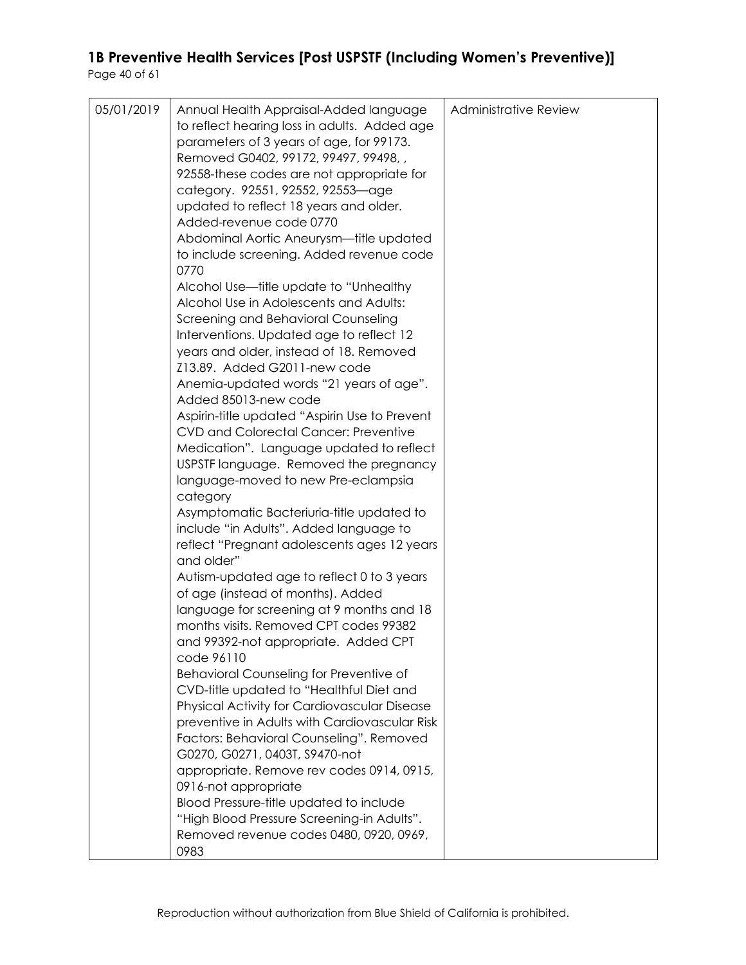| 05/01/2019 | Annual Health Appraisal-Added language        | <b>Administrative Review</b> |
|------------|-----------------------------------------------|------------------------------|
|            | to reflect hearing loss in adults. Added age  |                              |
|            | parameters of 3 years of age, for 99173.      |                              |
|            | Removed G0402, 99172, 99497, 99498,,          |                              |
|            | 92558-these codes are not appropriate for     |                              |
|            | category. 92551, 92552, 92553-age             |                              |
|            |                                               |                              |
|            | updated to reflect 18 years and older.        |                              |
|            | Added-revenue code 0770                       |                              |
|            | Abdominal Aortic Aneurysm-title updated       |                              |
|            | to include screening. Added revenue code      |                              |
|            | 0770                                          |                              |
|            | Alcohol Use-title update to "Unhealthy        |                              |
|            | Alcohol Use in Adolescents and Adults:        |                              |
|            | Screening and Behavioral Counseling           |                              |
|            | Interventions. Updated age to reflect 12      |                              |
|            | years and older, instead of 18. Removed       |                              |
|            | Z13.89. Added G2011-new code                  |                              |
|            |                                               |                              |
|            | Anemia-updated words "21 years of age".       |                              |
|            | Added 85013-new code                          |                              |
|            | Aspirin-title updated "Aspirin Use to Prevent |                              |
|            | <b>CVD and Colorectal Cancer: Preventive</b>  |                              |
|            | Medication". Language updated to reflect      |                              |
|            | USPSTF language. Removed the pregnancy        |                              |
|            | language-moved to new Pre-eclampsia           |                              |
|            | category                                      |                              |
|            | Asymptomatic Bacteriuria-title updated to     |                              |
|            | include "in Adults". Added language to        |                              |
|            | reflect "Pregnant adolescents ages 12 years   |                              |
|            | and older"                                    |                              |
|            | Autism-updated age to reflect 0 to 3 years    |                              |
|            |                                               |                              |
|            | of age (instead of months). Added             |                              |
|            | language for screening at 9 months and 18     |                              |
|            | months visits. Removed CPT codes 99382        |                              |
|            | and 99392-not appropriate. Added CPT          |                              |
|            | code 96110                                    |                              |
|            | Behavioral Counseling for Preventive of       |                              |
|            | CVD-title updated to "Healthful Diet and      |                              |
|            | Physical Activity for Cardiovascular Disease  |                              |
|            | preventive in Adults with Cardiovascular Risk |                              |
|            | Factors: Behavioral Counseling". Removed      |                              |
|            | G0270, G0271, 0403T, S9470-not                |                              |
|            | appropriate. Remove rev codes 0914, 0915,     |                              |
|            | 0916-not appropriate                          |                              |
|            | Blood Pressure-title updated to include       |                              |
|            |                                               |                              |
|            | "High Blood Pressure Screening-in Adults".    |                              |
|            | Removed revenue codes 0480, 0920, 0969,       |                              |
|            | 0983                                          |                              |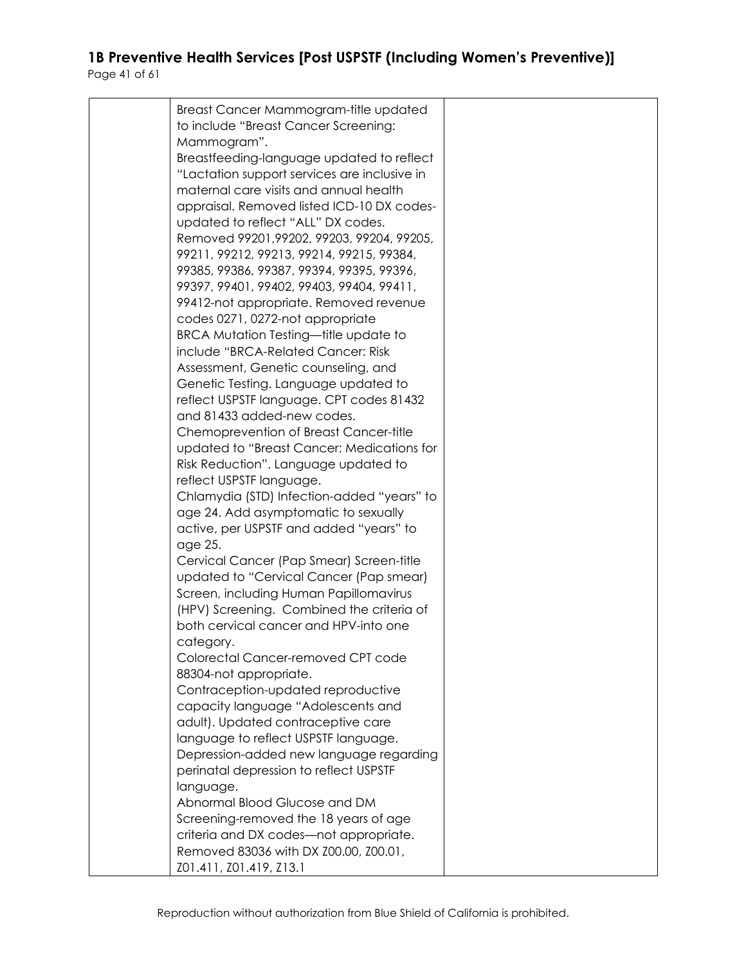| Breast Cancer Mammogram-title updated        |  |
|----------------------------------------------|--|
| to include "Breast Cancer Screening:         |  |
| Mammogram".                                  |  |
|                                              |  |
| Breastfeeding-language updated to reflect    |  |
| "Lactation support services are inclusive in |  |
| maternal care visits and annual health       |  |
| appraisal. Removed listed ICD-10 DX codes-   |  |
| updated to reflect "ALL" DX codes.           |  |
| Removed 99201, 99202, 99203, 99204, 99205,   |  |
| 99211, 99212, 99213, 99214, 99215, 99384,    |  |
|                                              |  |
| 99385, 99386, 99387, 99394, 99395, 99396,    |  |
| 99397, 99401, 99402, 99403, 99404, 99411,    |  |
| 99412-not appropriate. Removed revenue       |  |
| codes 0271, 0272-not appropriate             |  |
| <b>BRCA Mutation Testing-title update to</b> |  |
| include "BRCA-Related Cancer: Risk           |  |
| Assessment, Genetic counseling, and          |  |
| Genetic Testing. Language updated to         |  |
| reflect USPSTF language. CPT codes 81432     |  |
|                                              |  |
| and 81433 added-new codes.                   |  |
| Chemoprevention of Breast Cancer-title       |  |
| updated to "Breast Cancer: Medications for   |  |
| Risk Reduction". Language updated to         |  |
| reflect USPSTF language.                     |  |
| Chlamydia (STD) Infection-added "years" to   |  |
| age 24. Add asymptomatic to sexually         |  |
| active, per USPSTF and added "years" to      |  |
| age 25.                                      |  |
|                                              |  |
| Cervical Cancer (Pap Smear) Screen-title     |  |
| updated to "Cervical Cancer (Pap smear)      |  |
| Screen, including Human Papillomavirus       |  |
| (HPV) Screening. Combined the criteria of    |  |
| both cervical cancer and HPV-into one        |  |
| category.                                    |  |
| Colorectal Cancer-removed CPT code           |  |
| 88304-not appropriate.                       |  |
| Contraception-updated reproductive           |  |
| capacity language "Adolescents and           |  |
| adult). Updated contraceptive care           |  |
|                                              |  |
| language to reflect USPSTF language.         |  |
| Depression-added new language regarding      |  |
| perinatal depression to reflect USPSTF       |  |
| language.                                    |  |
| Abnormal Blood Glucose and DM                |  |
| Screening-removed the 18 years of age        |  |
| criteria and DX codes-not appropriate.       |  |
| Removed 83036 with DX Z00.00, Z00.01,        |  |
|                                              |  |
| Z01.411, Z01.419, Z13.1                      |  |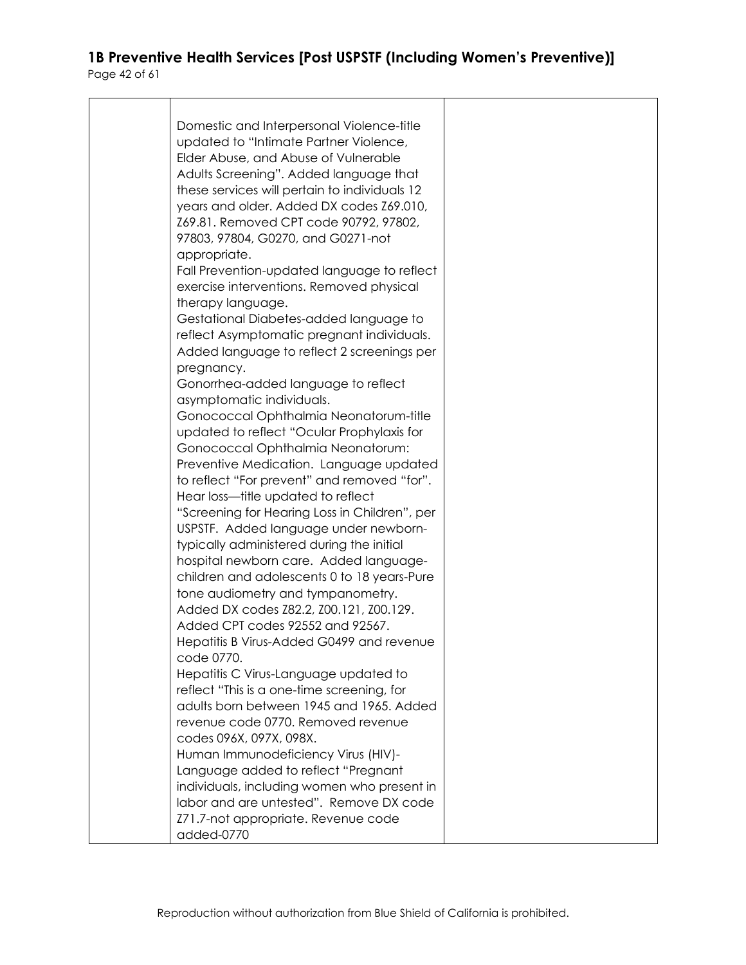| Domestic and Interpersonal Violence-title                     |  |
|---------------------------------------------------------------|--|
| updated to "Intimate Partner Violence,                        |  |
| Elder Abuse, and Abuse of Vulnerable                          |  |
| Adults Screening". Added language that                        |  |
| these services will pertain to individuals 12                 |  |
| years and older. Added DX codes Z69.010,                      |  |
| Z69.81. Removed CPT code 90792, 97802,                        |  |
| 97803, 97804, G0270, and G0271-not                            |  |
| appropriate.                                                  |  |
| Fall Prevention-updated language to reflect                   |  |
| exercise interventions. Removed physical<br>therapy language. |  |
| Gestational Diabetes-added language to                        |  |
| reflect Asymptomatic pregnant individuals.                    |  |
| Added language to reflect 2 screenings per                    |  |
| pregnancy.                                                    |  |
| Gonorrhea-added language to reflect                           |  |
| asymptomatic individuals.                                     |  |
| Gonococcal Ophthalmia Neonatorum-title                        |  |
| updated to reflect "Ocular Prophylaxis for                    |  |
| Gonococcal Ophthalmia Neonatorum:                             |  |
| Preventive Medication. Language updated                       |  |
| to reflect "For prevent" and removed "for".                   |  |
| Hear loss—title updated to reflect                            |  |
| "Screening for Hearing Loss in Children", per                 |  |
| USPSTF. Added language under newborn-                         |  |
| typically administered during the initial                     |  |
| hospital newborn care. Added language-                        |  |
| children and adolescents 0 to 18 years-Pure                   |  |
| tone audiometry and tympanometry.                             |  |
| Added DX codes Z82.2, Z00.121, Z00.129.                       |  |
| Added CPT codes 92552 and 92567.                              |  |
| Hepatitis B Virus-Added G0499 and revenue<br>code 0770.       |  |
| Hepatitis C Virus-Language updated to                         |  |
| reflect "This is a one-time screening, for                    |  |
| adults born between 1945 and 1965. Added                      |  |
| revenue code 0770. Removed revenue                            |  |
| codes 096X, 097X, 098X.                                       |  |
| Human Immunodeficiency Virus (HIV)-                           |  |
| Language added to reflect "Pregnant                           |  |
| individuals, including women who present in                   |  |
| labor and are untested". Remove DX code                       |  |
| Z71.7-not appropriate. Revenue code                           |  |
| added-0770                                                    |  |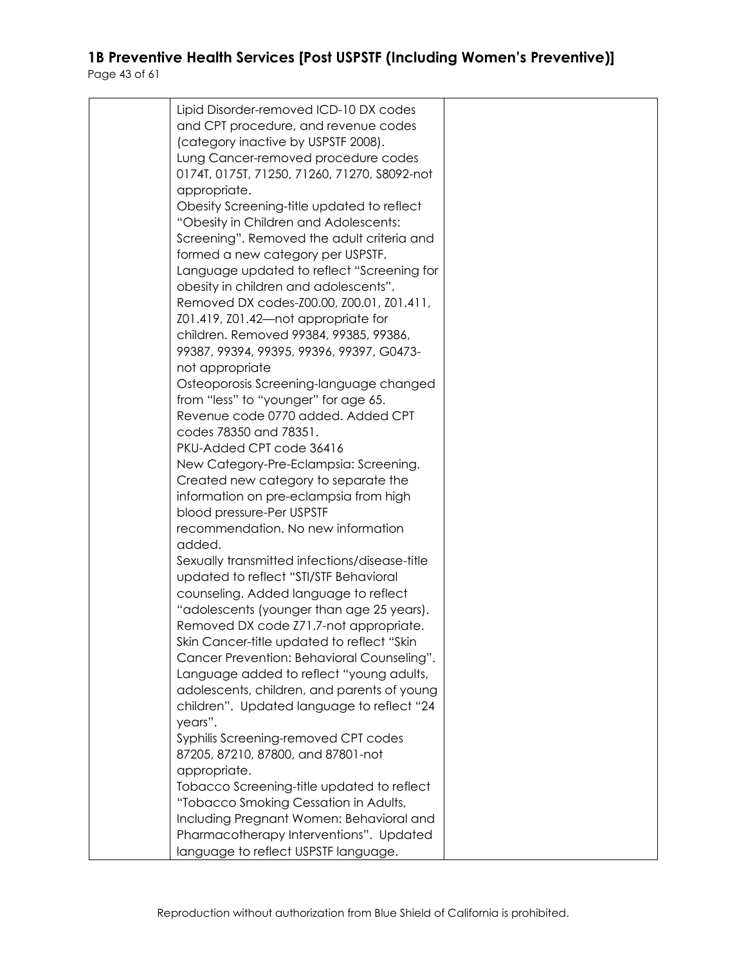| Lipid Disorder-removed ICD-10 DX codes        |  |
|-----------------------------------------------|--|
| and CPT procedure, and revenue codes          |  |
| (category inactive by USPSTF 2008).           |  |
| Lung Cancer-removed procedure codes           |  |
|                                               |  |
| 0174T, 0175T, 71250, 71260, 71270, S8092-not  |  |
| appropriate.                                  |  |
| Obesity Screening-title updated to reflect    |  |
| "Obesity in Children and Adolescents:         |  |
| Screening". Removed the adult criteria and    |  |
|                                               |  |
| formed a new category per USPSTF.             |  |
| Language updated to reflect "Screening for    |  |
| obesity in children and adolescents".         |  |
| Removed DX codes-Z00.00, Z00.01, Z01.411,     |  |
| Z01.419, Z01.42-not appropriate for           |  |
| children. Removed 99384, 99385, 99386,        |  |
|                                               |  |
| 99387, 99394, 99395, 99396, 99397, G0473-     |  |
| not appropriate                               |  |
| Osteoporosis Screening-language changed       |  |
| from "less" to "younger" for age 65.          |  |
| Revenue code 0770 added. Added CPT            |  |
| codes 78350 and 78351.                        |  |
| PKU-Added CPT code 36416                      |  |
|                                               |  |
| New Category-Pre-Eclampsia: Screening.        |  |
| Created new category to separate the          |  |
| information on pre-eclampsia from high        |  |
| blood pressure-Per USPSTF                     |  |
| recommendation. No new information            |  |
| added.                                        |  |
| Sexually transmitted infections/disease-title |  |
|                                               |  |
| updated to reflect "STI/STF Behavioral        |  |
| counseling. Added language to reflect         |  |
| "adolescents (younger than age 25 years).     |  |
| Removed DX code Z71.7-not appropriate.        |  |
| Skin Cancer-title updated to reflect "Skin    |  |
| Cancer Prevention: Behavioral Counseling".    |  |
| Language added to reflect "young adults,      |  |
|                                               |  |
| adolescents, children, and parents of young   |  |
| children". Updated language to reflect "24    |  |
| years".                                       |  |
| Syphilis Screening-removed CPT codes          |  |
| 87205, 87210, 87800, and 87801-not            |  |
| appropriate.                                  |  |
| Tobacco Screening-title updated to reflect    |  |
| "Tobacco Smoking Cessation in Adults,         |  |
|                                               |  |
| Including Pregnant Women: Behavioral and      |  |
| Pharmacotherapy Interventions". Updated       |  |
| language to reflect USPSTF language.          |  |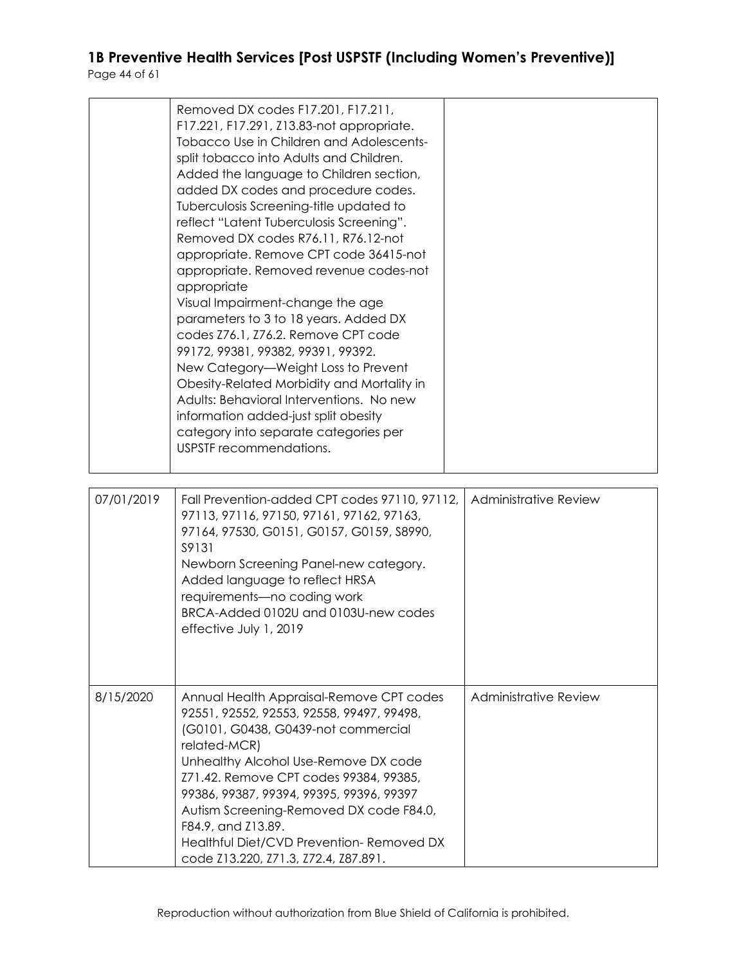|            | Removed DX codes F17.201, F17.211,<br>F17.221, F17.291, Z13.83-not appropriate.<br>Tobacco Use in Children and Adolescents-<br>split tobacco into Adults and Children.<br>Added the language to Children section,<br>added DX codes and procedure codes.<br>Tuberculosis Screening-title updated to<br>reflect "Latent Tuberculosis Screening".<br>Removed DX codes R76.11, R76.12-not<br>appropriate. Remove CPT code 36415-not<br>appropriate. Removed revenue codes-not<br>appropriate<br>Visual Impairment-change the age<br>parameters to 3 to 18 years. Added DX<br>codes Z76.1, Z76.2. Remove CPT code<br>99172, 99381, 99382, 99391, 99392.<br>New Category-Weight Loss to Prevent<br>Obesity-Related Morbidity and Mortality in<br>Adults: Behavioral Interventions. No new<br>information added-just split obesity<br>category into separate categories per<br>USPSTF recommendations. |                              |
|------------|--------------------------------------------------------------------------------------------------------------------------------------------------------------------------------------------------------------------------------------------------------------------------------------------------------------------------------------------------------------------------------------------------------------------------------------------------------------------------------------------------------------------------------------------------------------------------------------------------------------------------------------------------------------------------------------------------------------------------------------------------------------------------------------------------------------------------------------------------------------------------------------------------|------------------------------|
| 07/01/2019 | Fall Prevention-added CPT codes 97110, 97112,<br>97113, 97116, 97150, 97161, 97162, 97163,                                                                                                                                                                                                                                                                                                                                                                                                                                                                                                                                                                                                                                                                                                                                                                                                       | <b>Administrative Review</b> |

|           | 97113, 97116, 97150, 97161, 97162, 97163,<br>97164, 97530, G0151, G0157, G0159, S8990,<br>S9131<br>Newborn Screening Panel-new category.<br>Added language to reflect HRSA<br>requirements-no coding work<br>BRCA-Added 0102U and 0103U-new codes<br>effective July 1, 2019                                                                                                                                                     |                              |
|-----------|---------------------------------------------------------------------------------------------------------------------------------------------------------------------------------------------------------------------------------------------------------------------------------------------------------------------------------------------------------------------------------------------------------------------------------|------------------------------|
| 8/15/2020 | Annual Health Appraisal-Remove CPT codes<br>92551, 92552, 92553, 92558, 99497, 99498,<br>(G0101, G0438, G0439-not commercial<br>related-MCR)<br>Unhealthy Alcohol Use-Remove DX code<br>Z71.42. Remove CPT codes 99384, 99385,<br>99386, 99387, 99394, 99395, 99396, 99397<br>Autism Screening-Removed DX code F84.0,<br>F84.9, and Z13.89.<br>Healthful Diet/CVD Prevention-Removed DX<br>code Z13.220, Z71.3, Z72.4, Z87.891. | <b>Administrative Review</b> |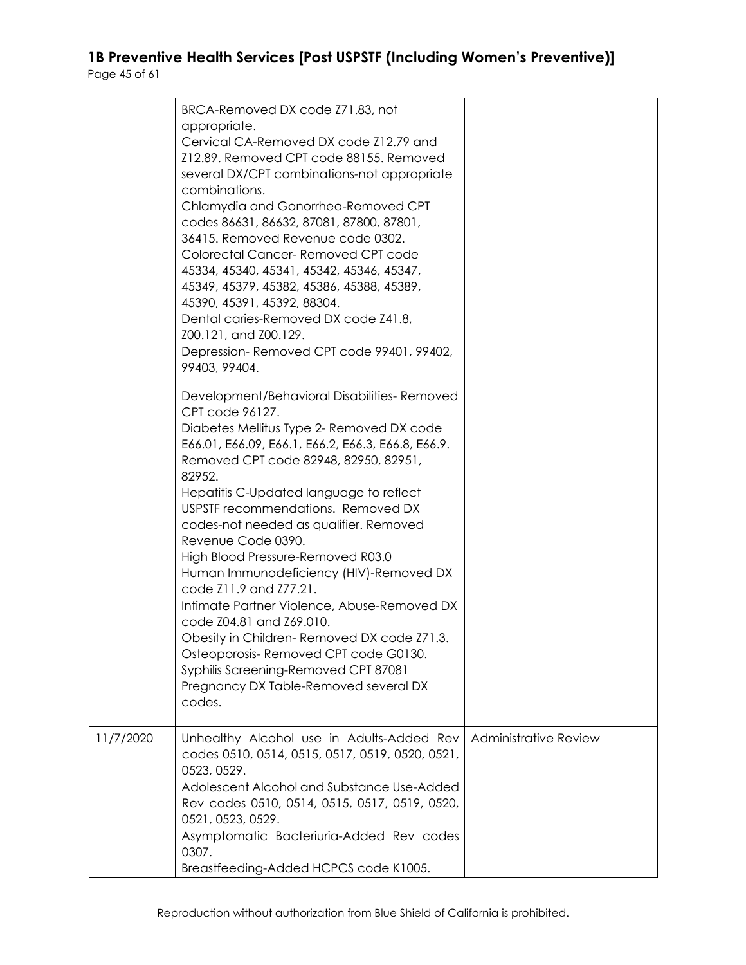|           | BRCA-Removed DX code Z71.83, not<br>appropriate.<br>Cervical CA-Removed DX code Z12.79 and<br>Z12.89. Removed CPT code 88155. Removed<br>several DX/CPT combinations-not appropriate<br>combinations.<br>Chlamydia and Gonorrhea-Removed CPT<br>codes 86631, 86632, 87081, 87800, 87801,<br>36415. Removed Revenue code 0302.<br>Colorectal Cancer-Removed CPT code<br>45334, 45340, 45341, 45342, 45346, 45347,<br>45349, 45379, 45382, 45386, 45388, 45389,<br>45390, 45391, 45392, 88304.<br>Dental caries-Removed DX code Z41.8,<br>Z00.121, and Z00.129.<br>Depression-Removed CPT code 99401, 99402,<br>99403, 99404.<br>Development/Behavioral Disabilities-Removed<br>CPT code 96127.<br>Diabetes Mellitus Type 2- Removed DX code<br>E66.01, E66.09, E66.1, E66.2, E66.3, E66.8, E66.9.<br>Removed CPT code 82948, 82950, 82951,<br>82952.<br>Hepatitis C-Updated language to reflect<br>USPSTF recommendations. Removed DX<br>codes-not needed as qualifier. Removed<br>Revenue Code 0390.<br>High Blood Pressure-Removed R03.0<br>Human Immunodeficiency (HIV)-Removed DX<br>code Z11.9 and Z77.21.<br>Intimate Partner Violence, Abuse-Removed DX<br>code Z04.81 and Z69.010.<br>Obesity in Children-Removed DX code Z71.3.<br>Osteoporosis-Removed CPT code G0130.<br>Syphilis Screening-Removed CPT 87081<br>Pregnancy DX Table-Removed several DX<br>codes. |                              |
|-----------|----------------------------------------------------------------------------------------------------------------------------------------------------------------------------------------------------------------------------------------------------------------------------------------------------------------------------------------------------------------------------------------------------------------------------------------------------------------------------------------------------------------------------------------------------------------------------------------------------------------------------------------------------------------------------------------------------------------------------------------------------------------------------------------------------------------------------------------------------------------------------------------------------------------------------------------------------------------------------------------------------------------------------------------------------------------------------------------------------------------------------------------------------------------------------------------------------------------------------------------------------------------------------------------------------------------------------------------------------------------------------|------------------------------|
| 11/7/2020 | Unhealthy Alcohol use in Adults-Added Rev<br>codes 0510, 0514, 0515, 0517, 0519, 0520, 0521,<br>0523, 0529.<br>Adolescent Alcohol and Substance Use-Added<br>Rev codes 0510, 0514, 0515, 0517, 0519, 0520,<br>0521, 0523, 0529.<br>Asymptomatic Bacteriuria-Added Rev codes<br>0307.<br>Breastfeeding-Added HCPCS code K1005.                                                                                                                                                                                                                                                                                                                                                                                                                                                                                                                                                                                                                                                                                                                                                                                                                                                                                                                                                                                                                                              | <b>Administrative Review</b> |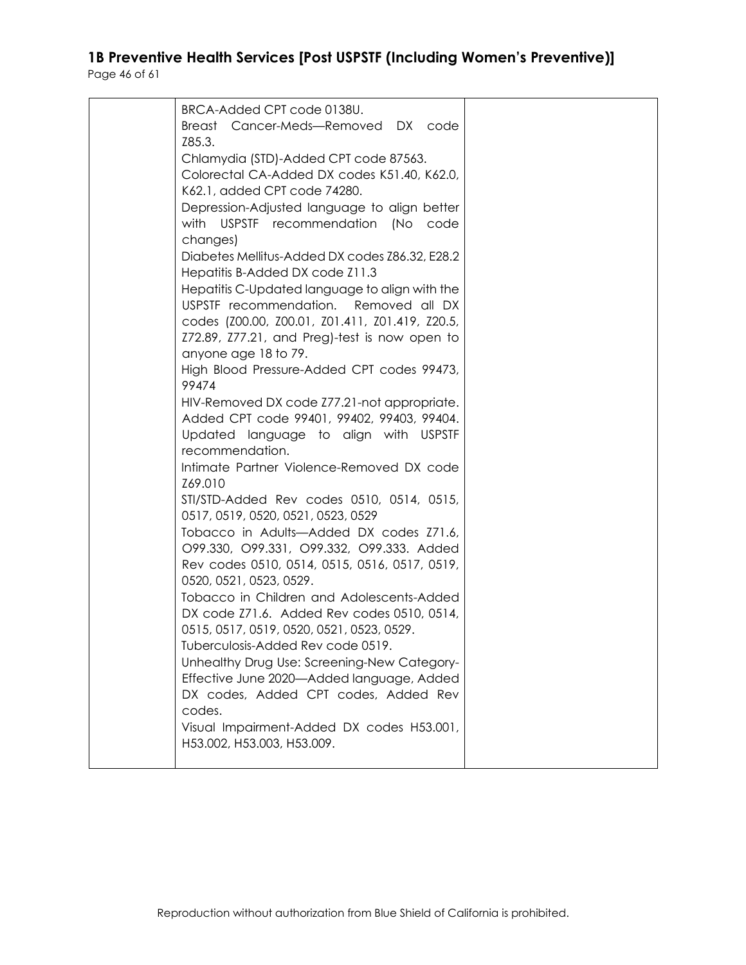| BRCA-Added CPT code 0138U.                      |  |
|-------------------------------------------------|--|
| Breast Cancer-Meds-Removed DX code              |  |
| Z85.3.                                          |  |
| Chlamydia (STD)-Added CPT code 87563.           |  |
| Colorectal CA-Added DX codes K51.40, K62.0,     |  |
| K62.1, added CPT code 74280.                    |  |
| Depression-Adjusted language to align better    |  |
| with USPSTF recommendation (No                  |  |
| code                                            |  |
| changes)                                        |  |
| Diabetes Mellitus-Added DX codes Z86.32, E28.2  |  |
| Hepatitis B-Added DX code Z11.3                 |  |
| Hepatitis C-Updated language to align with the  |  |
| USPSTF recommendation.<br>Removed all DX        |  |
| codes (Z00.00, Z00.01, Z01.411, Z01.419, Z20.5, |  |
| Z72.89, Z77.21, and Preg)-test is now open to   |  |
| anyone age 18 to 79.                            |  |
| High Blood Pressure-Added CPT codes 99473,      |  |
| 99474                                           |  |
| HIV-Removed DX code Z77.21-not appropriate.     |  |
| Added CPT code 99401, 99402, 99403, 99404.      |  |
|                                                 |  |
| Updated language to align with USPSTF           |  |
| recommendation.                                 |  |
| Intimate Partner Violence-Removed DX code       |  |
| Z69.010                                         |  |
| STI/STD-Added Rev codes 0510, 0514, 0515,       |  |
| 0517, 0519, 0520, 0521, 0523, 0529              |  |
| Tobacco in Adults-Added DX codes Z71.6,         |  |
| O99.330, O99.331, O99.332, O99.333. Added       |  |
| Rev codes 0510, 0514, 0515, 0516, 0517, 0519,   |  |
| 0520, 0521, 0523, 0529.                         |  |
| Tobacco in Children and Adolescents-Added       |  |
| DX code Z71.6. Added Rev codes 0510, 0514,      |  |
| 0515, 0517, 0519, 0520, 0521, 0523, 0529.       |  |
| Tuberculosis-Added Rev code 0519.               |  |
| Unhealthy Drug Use: Screening-New Category-     |  |
|                                                 |  |
| Effective June 2020-Added language, Added       |  |
| DX codes, Added CPT codes, Added Rev            |  |
| codes.                                          |  |
| Visual Impairment-Added DX codes H53.001,       |  |
| H53.002, H53.003, H53.009.                      |  |
|                                                 |  |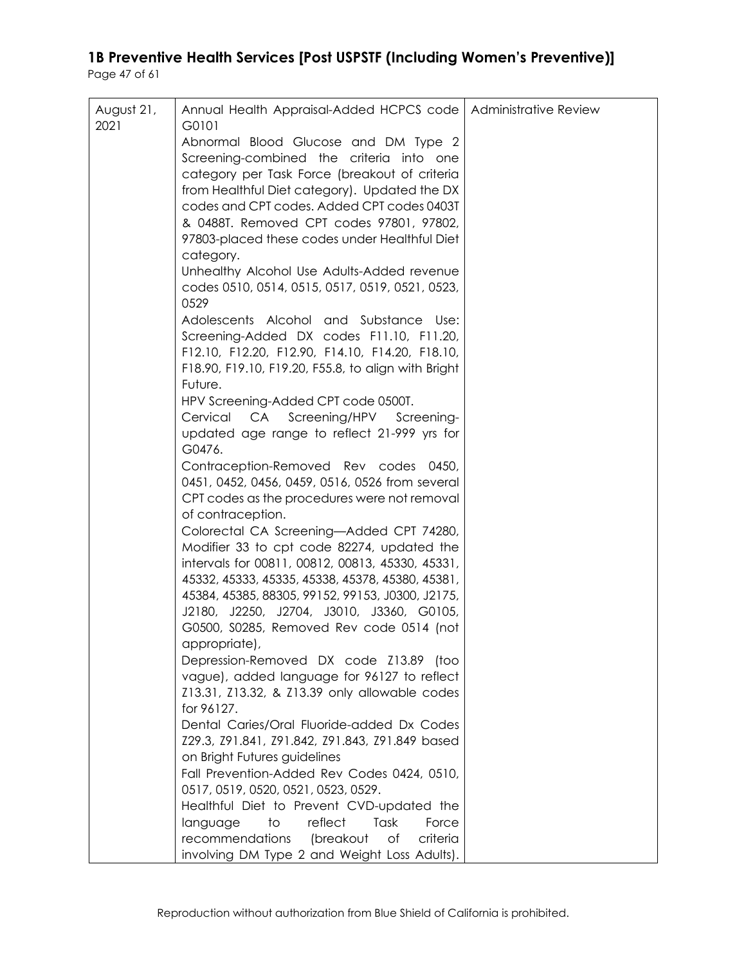| August 21, | Annual Health Appraisal-Added HCPCS code   Administrative Review                                       |  |
|------------|--------------------------------------------------------------------------------------------------------|--|
| 2021       | G0101                                                                                                  |  |
|            | Abnormal Blood Glucose and DM Type 2                                                                   |  |
|            | Screening-combined the criteria into one                                                               |  |
|            | category per Task Force (breakout of criteria<br>from Healthful Diet category). Updated the DX         |  |
|            | codes and CPT codes. Added CPT codes 0403T                                                             |  |
|            | & 0488T. Removed CPT codes 97801, 97802,                                                               |  |
|            | 97803-placed these codes under Healthful Diet                                                          |  |
|            | category.                                                                                              |  |
|            | Unhealthy Alcohol Use Adults-Added revenue                                                             |  |
|            | codes 0510, 0514, 0515, 0517, 0519, 0521, 0523,                                                        |  |
|            | 0529                                                                                                   |  |
|            | Adolescents Alcohol and Substance Use:                                                                 |  |
|            | Screening-Added DX codes F11.10, F11.20,                                                               |  |
|            | F12.10, F12.20, F12.90, F14.10, F14.20, F18.10,<br>F18.90, F19.10, F19.20, F55.8, to align with Bright |  |
|            | Future.                                                                                                |  |
|            | HPV Screening-Added CPT code 0500T.                                                                    |  |
|            | CA<br>Screening/HPV Screening-<br>Cervical                                                             |  |
|            | updated age range to reflect 21-999 yrs for                                                            |  |
|            | G0476.                                                                                                 |  |
|            | Contraception-Removed Rev codes 0450,                                                                  |  |
|            | 0451, 0452, 0456, 0459, 0516, 0526 from several                                                        |  |
|            | CPT codes as the procedures were not removal                                                           |  |
|            | of contraception.                                                                                      |  |
|            | Colorectal CA Screening-Added CPT 74280,<br>Modifier 33 to cpt code 82274, updated the                 |  |
|            | intervals for 00811, 00812, 00813, 45330, 45331,                                                       |  |
|            | 45332, 45333, 45335, 45338, 45378, 45380, 45381,                                                       |  |
|            | 45384, 45385, 88305, 99152, 99153, J0300, J2175,                                                       |  |
|            | J2180, J2250, J2704, J3010, J3360, G0105,                                                              |  |
|            | G0500, S0285, Removed Rev code 0514 (not                                                               |  |
|            | appropriate),                                                                                          |  |
|            | Depression-Removed DX code Z13.89 (too                                                                 |  |
|            | vague), added language for 96127 to reflect                                                            |  |
|            | Z13.31, Z13.32, & Z13.39 only allowable codes                                                          |  |
|            | for 96127.<br>Dental Caries/Oral Fluoride-added Dx Codes                                               |  |
|            | Z29.3, Z91.841, Z91.842, Z91.843, Z91.849 based                                                        |  |
|            | on Bright Futures guidelines                                                                           |  |
|            | Fall Prevention-Added Rev Codes 0424, 0510,                                                            |  |
|            | 0517, 0519, 0520, 0521, 0523, 0529.                                                                    |  |
|            | Healthful Diet to Prevent CVD-updated the                                                              |  |
|            | reflect<br>Task<br>Force<br>language<br>to                                                             |  |
|            | recommendations<br>(breakout<br>of<br>criteria                                                         |  |
|            | involving DM Type 2 and Weight Loss Adults).                                                           |  |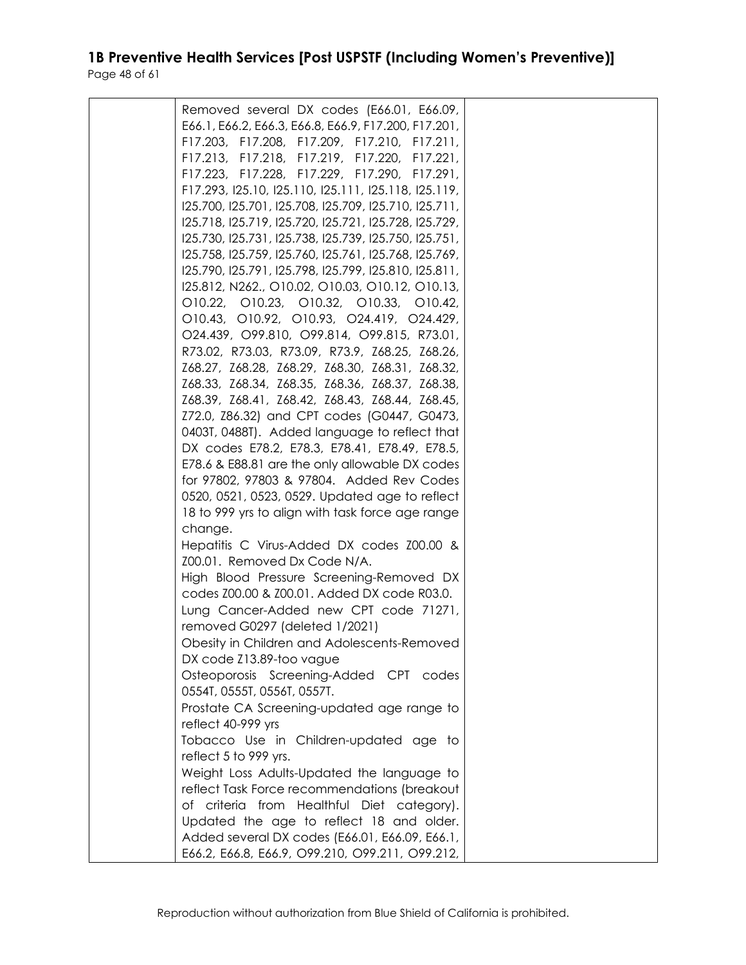| Removed several DX codes (E66.01, E66.09,             |  |
|-------------------------------------------------------|--|
| E66.1, E66.2, E66.3, E66.8, E66.9, F17.200, F17.201,  |  |
| F17.203, F17.208, F17.209, F17.210, F17.211,          |  |
| F17.213, F17.218, F17.219, F17.220, F17.221,          |  |
| F17.223, F17.228, F17.229, F17.290, F17.291,          |  |
| F17.293, I25.10, I25.110, I25.111, I25.118, I25.119,  |  |
| 125.700, 125.701, 125.708, 125.709, 125.710, 125.711, |  |
|                                                       |  |
| 125.718, 125.719, 125.720, 125.721, 125.728, 125.729, |  |
| 125.730, 125.731, 125.738, 125.739, 125.750, 125.751, |  |
| 125.758, 125.759, 125.760, 125.761, 125.768, 125.769, |  |
| 125.790, 125.791, 125.798, 125.799, 125.810, 125.811, |  |
| I25.812, N262., O10.02, O10.03, O10.12, O10.13,       |  |
| 010.22, 010.23, 010.32, 010.33, 010.42,               |  |
| 010.43, 010.92, 010.93, 024.419, 024.429,             |  |
| O24.439, O99.810, O99.814, O99.815, R73.01,           |  |
| R73.02, R73.03, R73.09, R73.9, Z68.25, Z68.26,        |  |
| Z68.27, Z68.28, Z68.29, Z68.30, Z68.31, Z68.32,       |  |
| Z68.33, Z68.34, Z68.35, Z68.36, Z68.37, Z68.38,       |  |
| Z68.39, Z68.41, Z68.42, Z68.43, Z68.44, Z68.45,       |  |
| Z72.0, Z86.32) and CPT codes (G0447, G0473,           |  |
| 0403T, 0488T). Added language to reflect that         |  |
| DX codes E78.2, E78.3, E78.41, E78.49, E78.5,         |  |
| E78.6 & E88.81 are the only allowable DX codes        |  |
| for 97802, 97803 & 97804. Added Rev Codes             |  |
| 0520, 0521, 0523, 0529. Updated age to reflect        |  |
| 18 to 999 yrs to align with task force age range      |  |
| change.                                               |  |
| Hepatitis C Virus-Added DX codes Z00.00 &             |  |
|                                                       |  |
| Z00.01. Removed Dx Code N/A.                          |  |
| High Blood Pressure Screening-Removed DX              |  |
| codes Z00.00 & Z00.01. Added DX code R03.0.           |  |
| Lung Cancer-Added new CPT code 71271,                 |  |
| removed G0297 (deleted 1/2021)                        |  |
| Obesity in Children and Adolescents-Removed           |  |
| DX code Z13.89-too vague                              |  |
| Osteoporosis Screening-Added CPT codes                |  |
| 0554T, 0555T, 0556T, 0557T.                           |  |
| Prostate CA Screening-updated age range to            |  |
| reflect 40-999 yrs                                    |  |
| Tobacco Use in Children-updated age to                |  |
| reflect 5 to 999 yrs.                                 |  |
| Weight Loss Adults-Updated the language to            |  |
| reflect Task Force recommendations (breakout          |  |
| of criteria from Healthful Diet category).            |  |
| Updated the age to reflect 18 and older.              |  |
|                                                       |  |
| Added several DX codes (E66.01, E66.09, E66.1,        |  |
| E66.2, E66.8, E66.9, O99.210, O99.211, O99.212,       |  |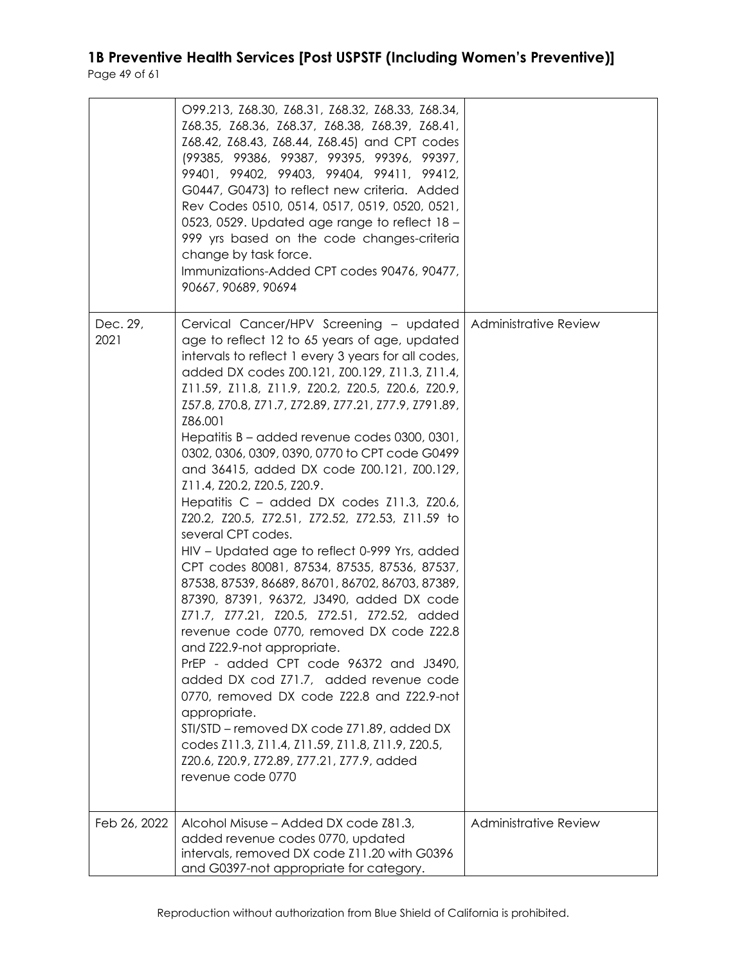|                  | O99.213, Z68.30, Z68.31, Z68.32, Z68.33, Z68.34,<br>Z68.35, Z68.36, Z68.37, Z68.38, Z68.39, Z68.41,<br>Z68.42, Z68.43, Z68.44, Z68.45) and CPT codes<br>(99385, 99386, 99387, 99395, 99396, 99397,<br>99401, 99402, 99403, 99404, 99411, 99412,<br>G0447, G0473) to reflect new criteria. Added<br>Rev Codes 0510, 0514, 0517, 0519, 0520, 0521,<br>0523, 0529. Updated age range to reflect 18 -<br>999 yrs based on the code changes-criteria<br>change by task force.<br>Immunizations-Added CPT codes 90476, 90477,<br>90667, 90689, 90694                                                                                                                                                                                                                                                                                                                                                                                                                                                                                                                                                                                                                                                                                                                                    |                              |
|------------------|-----------------------------------------------------------------------------------------------------------------------------------------------------------------------------------------------------------------------------------------------------------------------------------------------------------------------------------------------------------------------------------------------------------------------------------------------------------------------------------------------------------------------------------------------------------------------------------------------------------------------------------------------------------------------------------------------------------------------------------------------------------------------------------------------------------------------------------------------------------------------------------------------------------------------------------------------------------------------------------------------------------------------------------------------------------------------------------------------------------------------------------------------------------------------------------------------------------------------------------------------------------------------------------|------------------------------|
| Dec. 29,<br>2021 | Cervical Cancer/HPV Screening - updated<br>age to reflect 12 to 65 years of age, updated<br>intervals to reflect 1 every 3 years for all codes,<br>added DX codes Z00.121, Z00.129, Z11.3, Z11.4,<br>Z11.59, Z11.8, Z11.9, Z20.2, Z20.5, Z20.6, Z20.9,<br>Z57.8, Z70.8, Z71.7, Z72.89, Z77.21, Z77.9, Z791.89,<br>Z86.001<br>Hepatitis B – added revenue codes 0300, 0301,<br>0302, 0306, 0309, 0390, 0770 to CPT code G0499<br>and 36415, added DX code Z00.121, Z00.129,<br>Z11.4, Z20.2, Z20.5, Z20.9.<br>Hepatitis C – added DX codes Z11.3, Z20.6,<br>Z20.2, Z20.5, Z72.51, Z72.52, Z72.53, Z11.59 to<br>several CPT codes.<br>HIV – Updated age to reflect 0-999 Yrs, added<br>CPT codes 80081, 87534, 87535, 87536, 87537,<br>87538, 87539, 86689, 86701, 86702, 86703, 87389,<br>87390, 87391, 96372, J3490, added DX code<br>Z71.7, Z77.21, Z20.5, Z72.51, Z72.52, added<br>revenue code 0770, removed DX code Z22.8<br>and Z22.9-not appropriate.<br>PrEP - added CPT code 96372 and J3490,<br>added DX cod Z71.7, added revenue code<br>0770, removed DX code Z22.8 and Z22.9-not<br>appropriate.<br>STI/STD - removed DX code Z71.89, added DX<br>codes Z11.3, Z11.4, Z11.59, Z11.8, Z11.9, Z20.5,<br>Z20.6, Z20.9, Z72.89, Z77.21, Z77.9, added<br>revenue code 0770 | <b>Administrative Review</b> |
| Feb 26, 2022     | Alcohol Misuse - Added DX code Z81.3,<br>added revenue codes 0770, updated<br>intervals, removed DX code Z11.20 with G0396<br>and G0397-not appropriate for category.                                                                                                                                                                                                                                                                                                                                                                                                                                                                                                                                                                                                                                                                                                                                                                                                                                                                                                                                                                                                                                                                                                             | Administrative Review        |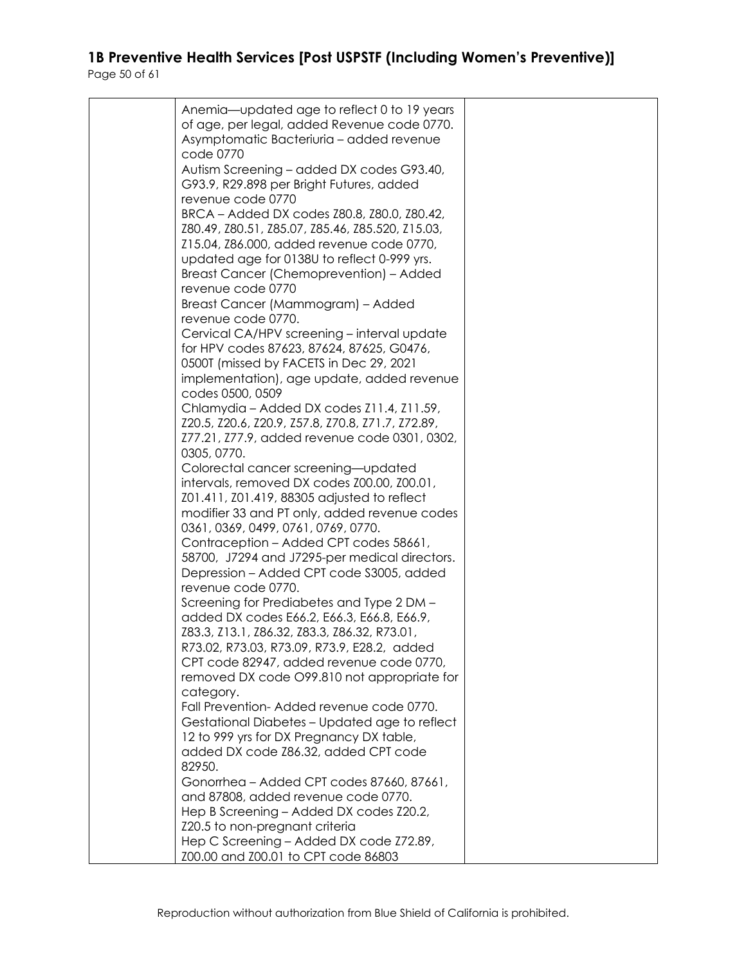| Anemia-updated age to reflect 0 to 19 years       |  |
|---------------------------------------------------|--|
| of age, per legal, added Revenue code 0770.       |  |
| Asymptomatic Bacteriuria - added revenue          |  |
| code 0770                                         |  |
| Autism Screening - added DX codes G93.40,         |  |
| G93.9, R29.898 per Bright Futures, added          |  |
| revenue code 0770                                 |  |
| BRCA - Added DX codes Z80.8, Z80.0, Z80.42,       |  |
| Z80.49, Z80.51, Z85.07, Z85.46, Z85.520, Z15.03,  |  |
| Z15.04, Z86.000, added revenue code 0770,         |  |
| updated age for 0138U to reflect 0-999 yrs.       |  |
| Breast Cancer (Chemoprevention) – Added           |  |
| revenue code 0770                                 |  |
|                                                   |  |
| Breast Cancer (Mammogram) - Added                 |  |
| revenue code 0770.                                |  |
| Cervical CA/HPV screening - interval update       |  |
| for HPV codes 87623, 87624, 87625, G0476,         |  |
| 0500T (missed by FACETS in Dec 29, 2021           |  |
| implementation), age update, added revenue        |  |
| codes 0500, 0509                                  |  |
| Chlamydia – Added DX codes Z11.4, Z11.59,         |  |
| Z20.5, Z20.6, Z20.9, Z57.8, Z70.8, Z71.7, Z72.89, |  |
| Z77.21, Z77.9, added revenue code 0301, 0302,     |  |
| 0305, 0770.                                       |  |
| Colorectal cancer screening-updated               |  |
| intervals, removed DX codes Z00.00, Z00.01,       |  |
| Z01.411, Z01.419, 88305 adjusted to reflect       |  |
| modifier 33 and PT only, added revenue codes      |  |
| 0361, 0369, 0499, 0761, 0769, 0770.               |  |
|                                                   |  |
| Contraception - Added CPT codes 58661,            |  |
| 58700, J7294 and J7295-per medical directors.     |  |
| Depression – Added CPT code \$3005, added         |  |
| revenue code 0770.                                |  |
| Screening for Prediabetes and Type 2 DM -         |  |
| added DX codes E66.2, E66.3, E66.8, E66.9,        |  |
| Z83.3, Z13.1, Z86.32, Z83.3, Z86.32, R73.01,      |  |
| R73.02, R73.03, R73.09, R73.9, E28.2, added       |  |
| CPT code 82947, added revenue code 0770,          |  |
| removed DX code O99.810 not appropriate for       |  |
| category.                                         |  |
| Fall Prevention-Added revenue code 0770.          |  |
| Gestational Diabetes - Updated age to reflect     |  |
| 12 to 999 yrs for DX Pregnancy DX table,          |  |
| added DX code Z86.32, added CPT code              |  |
| 82950.                                            |  |
| Gonorrhea - Added CPT codes 87660, 87661,         |  |
| and 87808, added revenue code 0770.               |  |
| Hep B Screening - Added DX codes Z20.2,           |  |
| Z20.5 to non-pregnant criteria                    |  |
| Hep C Screening - Added DX code Z72.89,           |  |
| Z00.00 and Z00.01 to CPT code 86803               |  |
|                                                   |  |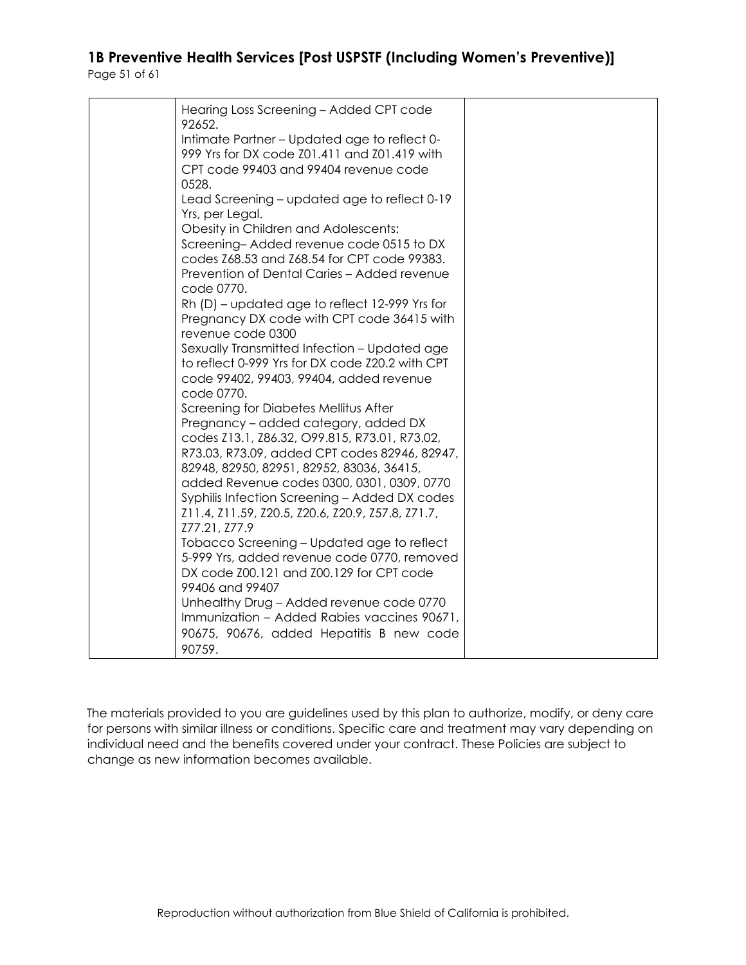| Hearing Loss Screening - Added CPT code<br>92652.                                                                                                                                                                                                                                                                                                                                |  |
|----------------------------------------------------------------------------------------------------------------------------------------------------------------------------------------------------------------------------------------------------------------------------------------------------------------------------------------------------------------------------------|--|
| Intimate Partner - Updated age to reflect 0-<br>999 Yrs for DX code Z01.411 and Z01.419 with<br>CPT code 99403 and 99404 revenue code<br>0528.                                                                                                                                                                                                                                   |  |
| Lead Screening – updated age to reflect 0-19<br>Yrs, per Legal.<br>Obesity in Children and Adolescents:<br>Screening-Added revenue code 0515 to DX<br>codes Z68.53 and Z68.54 for CPT code 99383.                                                                                                                                                                                |  |
| Prevention of Dental Caries - Added revenue<br>code 0770.                                                                                                                                                                                                                                                                                                                        |  |
| Rh (D) – updated age to reflect 12-999 Yrs for<br>Pregnancy DX code with CPT code 36415 with<br>revenue code 0300                                                                                                                                                                                                                                                                |  |
| Sexually Transmitted Infection - Updated age<br>to reflect 0-999 Yrs for DX code Z20.2 with CPT<br>code 99402, 99403, 99404, added revenue<br>code 0770.                                                                                                                                                                                                                         |  |
| Screening for Diabetes Mellitus After<br>Pregnancy – added category, added DX<br>codes Z13.1, Z86.32, O99.815, R73.01, R73.02,<br>R73.03, R73.09, added CPT codes 82946, 82947,<br>82948, 82950, 82951, 82952, 83036, 36415,<br>added Revenue codes 0300, 0301, 0309, 0770<br>Syphilis Infection Screening - Added DX codes<br>Z11.4, Z11.59, Z20.5, Z20.6, Z20.9, Z57.8, Z71.7, |  |
| Z77.21, Z77.9<br>Tobacco Screening – Updated age to reflect<br>5-999 Yrs, added revenue code 0770, removed<br>DX code Z00.121 and Z00.129 for CPT code<br>99406 and 99407                                                                                                                                                                                                        |  |
| Unhealthy Drug - Added revenue code 0770<br>Immunization - Added Rabies vaccines 90671,<br>90675, 90676, added Hepatitis B new code<br>90759.                                                                                                                                                                                                                                    |  |

The materials provided to you are guidelines used by this plan to authorize, modify, or deny care for persons with similar illness or conditions. Specific care and treatment may vary depending on individual need and the benefits covered under your contract. These Policies are subject to change as new information becomes available.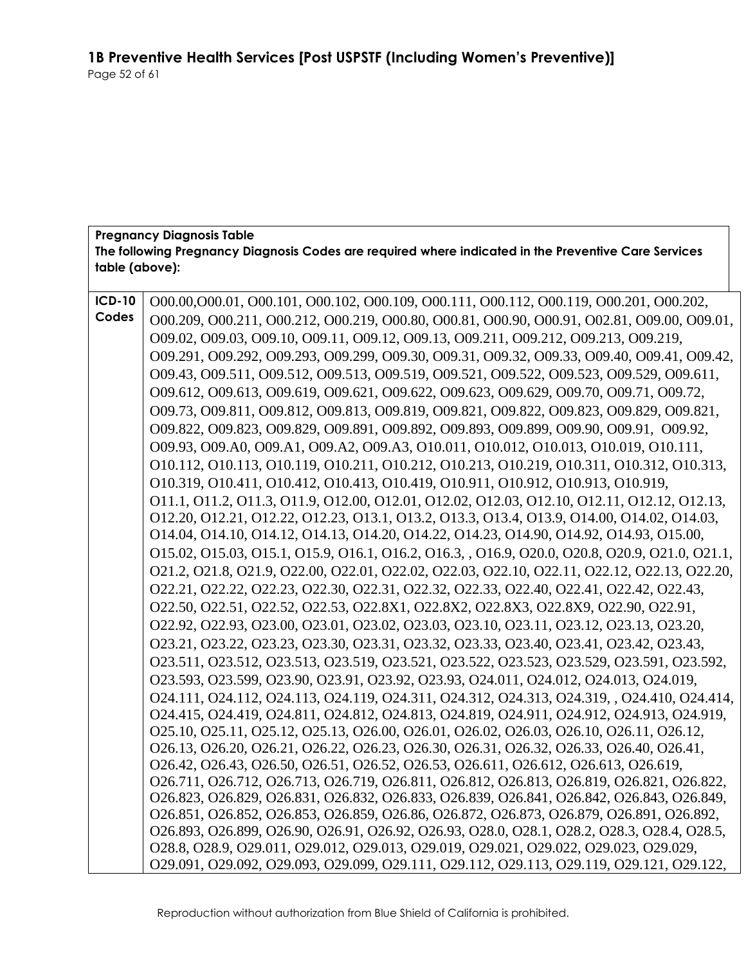#### **Pregnancy Diagnosis Table The following Pregnancy Diagnosis Codes are required where indicated in the Preventive Care Services table (above):**

| <b>ICD-10</b> | 000.00,000.01, 000.101, 000.102, 000.109, 000.111, 000.112, 000.119, 000.201, 000.202,                                                                                                |
|---------------|---------------------------------------------------------------------------------------------------------------------------------------------------------------------------------------|
| Codes         | 000.209, 000.211, 000.212, 000.219, 000.80, 000.81, 000.90, 000.91, 002.81, 009.00, 009.01,                                                                                           |
|               | 009.02, 009.03, 009.10, 009.11, 009.12, 009.13, 009.211, 009.212, 009.213, 009.219,                                                                                                   |
|               | 009.291, 009.292, 009.293, 009.299, 009.30, 009.31, 009.32, 009.33, 009.40, 009.41, 009.42,                                                                                           |
|               | 009.43, 009.511, 009.512, 009.513, 009.519, 009.521, 009.522, 009.523, 009.529, 009.611,                                                                                              |
|               | 009.612, 009.613, 009.619, 009.621, 009.622, 009.623, 009.629, 009.70, 009.71, 009.72,                                                                                                |
|               | 009.73, 009.811, 009.812, 009.813, 009.819, 009.821, 009.822, 009.823, 009.829, 009.821,                                                                                              |
|               | 009.822, 009.823, 009.829, 009.891, 009.892, 009.893, 009.899, 009.90, 009.91, 009.92,                                                                                                |
|               | 009.93, 009.A0, 009.A1, 009.A2, 009.A3, 010.011, 010.012, 010.013, 010.019, 010.111,                                                                                                  |
|               | 010.112, 010.113, 010.119, 010.211, 010.212, 010.213, 010.219, 010.311, 010.312, 010.313,                                                                                             |
|               | 010.319, 010.411, 010.412, 010.413, 010.419, 010.911, 010.912, 010.913, 010.919,                                                                                                      |
|               | 011.1, 011.2, 011.3, 011.9, 012.00, 012.01, 012.02, 012.03, 012.10, 012.11, 012.12, 012.13,                                                                                           |
|               | 012.20, 012.21, 012.22, 012.23, 013.1, 013.2, 013.3, 013.4, 013.9, 014.00, 014.02, 014.03,                                                                                            |
|               | 014.04, 014.10, 014.12, 014.13, 014.20, 014.22, 014.23, 014.90, 014.92, 014.93, 015.00,                                                                                               |
|               | 015.02, 015.03, 015.1, 015.9, 016.1, 016.2, 016.3, , 016.9, 020.0, 020.8, 020.9, 021.0, 021.1,                                                                                        |
|               | 021.2, 021.8, 021.9, 022.00, 022.01, 022.02, 022.03, 022.10, 022.11, 022.12, 022.13, 022.20,                                                                                          |
|               | 022.21, 022.22, 022.23, 022.30, 022.31, 022.32, 022.33, 022.40, 022.41, 022.42, 022.43,                                                                                               |
|               | O22.50, O22.51, O22.52, O22.53, O22.8X1, O22.8X2, O22.8X3, O22.8X9, O22.90, O22.91,                                                                                                   |
|               | 022.92, 022.93, 023.00, 023.01, 023.02, 023.03, 023.10, 023.11, 023.12, 023.13, 023.20,                                                                                               |
|               | 023.21, 023.22, 023.23, 023.30, 023.31, 023.32, 023.33, 023.40, 023.41, 023.42, 023.43,                                                                                               |
|               | 023.511, 023.512, 023.513, 023.519, 023.521, 023.522, 023.523, 023.529, 023.591, 023.592,                                                                                             |
|               | 023.593, 023.599, 023.90, 023.91, 023.92, 023.93, 024.011, 024.012, 024.013, 024.019,                                                                                                 |
|               | 024.111, 024.112, 024.113, 024.119, 024.311, 024.312, 024.313, 024.319, 024.410, 024.414,                                                                                             |
|               | 024.415, 024.419, 024.811, 024.812, 024.813, 024.819, 024.911, 024.912, 024.913, 024.919,                                                                                             |
|               | 025.10, 025.11, 025.12, 025.13, 026.00, 026.01, 026.02, 026.03, 026.10, 026.11, 026.12,                                                                                               |
|               | 026.13, 026.20, 026.21, 026.22, 026.23, 026.30, 026.31, 026.32, 026.33, 026.40, 026.41,                                                                                               |
|               | 026.42, 026.43, 026.50, 026.51, 026.52, 026.53, 026.611, 026.612, 026.613, 026.619,                                                                                                   |
|               | 026.711, 026.712, 026.713, 026.719, 026.811, 026.812, 026.813, 026.819, 026.821, 026.822,                                                                                             |
|               | 026.823, 026.829, 026.831, 026.832, 026.833, 026.839, 026.841, 026.842, 026.843, 026.849,<br>026.851, 026.852, 026.853, 026.859, 026.86, 026.872, 026.873, 026.879, 026.891, 026.892, |
|               | 026.893, 026.899, 026.90, 026.91, 026.92, 026.93, 028.0, 028.1, 028.2, 028.3, 028.4, 028.5,                                                                                           |
|               | 028.8, 028.9, 029.011, 029.012, 029.013, 029.019, 029.021, 029.022, 029.023, 029.029,                                                                                                 |
|               | 029.091, 029.092, 029.093, 029.099, 029.111, 029.112, 029.113, 029.119, 029.121, 029.122,                                                                                             |
|               |                                                                                                                                                                                       |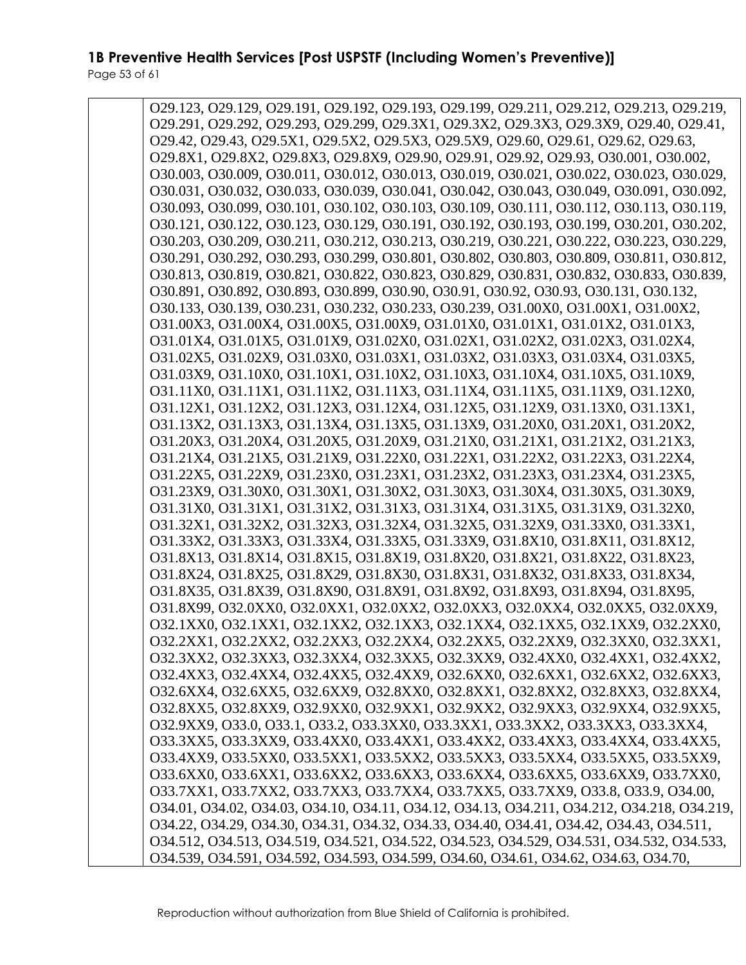O29.123, O29.129, O29.191, O29.192, O29.193, O29.199, O29.211, O29.212, O29.213, O29.219, O29.291, O29.292, O29.293, O29.299, O29.3X1, O29.3X2, O29.3X3, O29.3X9, O29.40, O29.41, O29.42, O29.43, O29.5X1, O29.5X2, O29.5X3, O29.5X9, O29.60, O29.61, O29.62, O29.63, O29.8X1, O29.8X2, O29.8X3, O29.8X9, O29.90, O29.91, O29.92, O29.93, O30.001, O30.002, O30.003, O30.009, O30.011, O30.012, O30.013, O30.019, O30.021, O30.022, O30.023, O30.029, O30.031, O30.032, O30.033, O30.039, O30.041, O30.042, O30.043, O30.049, O30.091, O30.092, O30.093, O30.099, O30.101, O30.102, O30.103, O30.109, O30.111, O30.112, O30.113, O30.119, O30.121, O30.122, O30.123, O30.129, O30.191, O30.192, O30.193, O30.199, O30.201, O30.202, O30.203, O30.209, O30.211, O30.212, O30.213, O30.219, O30.221, O30.222, O30.223, O30.229, O30.291, O30.292, O30.293, O30.299, O30.801, O30.802, O30.803, O30.809, O30.811, O30.812, O30.813, O30.819, O30.821, O30.822, O30.823, O30.829, O30.831, O30.832, O30.833, O30.839, O30.891, O30.892, O30.893, O30.899, O30.90, O30.91, O30.92, O30.93, O30.131, O30.132, O30.133, O30.139, O30.231, O30.232, O30.233, O30.239, O31.00X0, O31.00X1, O31.00X2, O31.00X3, O31.00X4, O31.00X5, O31.00X9, O31.01X0, O31.01X1, O31.01X2, O31.01X3, O31.01X4, O31.01X5, O31.01X9, O31.02X0, O31.02X1, O31.02X2, O31.02X3, O31.02X4, O31.02X5, O31.02X9, O31.03X0, O31.03X1, O31.03X2, O31.03X3, O31.03X4, O31.03X5, O31.03X9, O31.10X0, O31.10X1, O31.10X2, O31.10X3, O31.10X4, O31.10X5, O31.10X9, O31.11X0, O31.11X1, O31.11X2, O31.11X3, O31.11X4, O31.11X5, O31.11X9, O31.12X0, O31.12X1, O31.12X2, O31.12X3, O31.12X4, O31.12X5, O31.12X9, O31.13X0, O31.13X1, O31.13X2, O31.13X3, O31.13X4, O31.13X5, O31.13X9, O31.20X0, O31.20X1, O31.20X2, O31.20X3, O31.20X4, O31.20X5, O31.20X9, O31.21X0, O31.21X1, O31.21X2, O31.21X3, O31.21X4, O31.21X5, O31.21X9, O31.22X0, O31.22X1, O31.22X2, O31.22X3, O31.22X4, O31.22X5, O31.22X9, O31.23X0, O31.23X1, O31.23X2, O31.23X3, O31.23X4, O31.23X5, O31.23X9, O31.30X0, O31.30X1, O31.30X2, O31.30X3, O31.30X4, O31.30X5, O31.30X9, O31.31X0, O31.31X1, O31.31X2, O31.31X3, O31.31X4, O31.31X5, O31.31X9, O31.32X0, O31.32X1, O31.32X2, O31.32X3, O31.32X4, O31.32X5, O31.32X9, O31.33X0, O31.33X1, O31.33X2, O31.33X3, O31.33X4, O31.33X5, O31.33X9, O31.8X10, O31.8X11, O31.8X12, O31.8X13, O31.8X14, O31.8X15, O31.8X19, O31.8X20, O31.8X21, O31.8X22, O31.8X23, O31.8X24, O31.8X25, O31.8X29, O31.8X30, O31.8X31, O31.8X32, O31.8X33, O31.8X34, O31.8X35, O31.8X39, O31.8X90, O31.8X91, O31.8X92, O31.8X93, O31.8X94, O31.8X95, O31.8X99, O32.0XX0, O32.0XX1, O32.0XX2, O32.0XX3, O32.0XX4, O32.0XX5, O32.0XX9, O32.1XX0, O32.1XX1, O32.1XX2, O32.1XX3, O32.1XX4, O32.1XX5, O32.1XX9, O32.2XX0, O32.2XX1, O32.2XX2, O32.2XX3, O32.2XX4, O32.2XX5, O32.2XX9, O32.3XX0, O32.3XX1, O32.3XX2, O32.3XX3, O32.3XX4, O32.3XX5, O32.3XX9, O32.4XX0, O32.4XX1, O32.4XX2, O32.4XX3, O32.4XX4, O32.4XX5, O32.4XX9, O32.6XX0, O32.6XX1, O32.6XX2, O32.6XX3, O32.6XX4, O32.6XX5, O32.6XX9, O32.8XX0, O32.8XX1, O32.8XX2, O32.8XX3, O32.8XX4, O32.8XX5, O32.8XX9, O32.9XX0, O32.9XX1, O32.9XX2, O32.9XX3, O32.9XX4, O32.9XX5, O32.9XX9, O33.0, O33.1, O33.2, O33.3XX0, O33.3XX1, O33.3XX2, O33.3XX3, O33.3XX4, O33.3XX5, O33.3XX9, O33.4XX0, O33.4XX1, O33.4XX2, O33.4XX3, O33.4XX4, O33.4XX5, O33.4XX9, O33.5XX0, O33.5XX1, O33.5XX2, O33.5XX3, O33.5XX4, O33.5XX5, O33.5XX9, O33.6XX0, O33.6XX1, O33.6XX2, O33.6XX3, O33.6XX4, O33.6XX5, O33.6XX9, O33.7XX0, O33.7XX1, O33.7XX2, O33.7XX3, O33.7XX4, O33.7XX5, O33.7XX9, O33.8, O33.9, O34.00, O34.01, O34.02, O34.03, O34.10, O34.11, O34.12, O34.13, O34.211, O34.212, O34.218, O34.219, O34.22, O34.29, O34.30, O34.31, O34.32, O34.33, O34.40, O34.41, O34.42, O34.43, O34.511, O34.512, O34.513, O34.519, O34.521, O34.522, O34.523, O34.529, O34.531, O34.532, O34.533, O34.539, O34.591, O34.592, O34.593, O34.599, O34.60, O34.61, O34.62, O34.63, O34.70,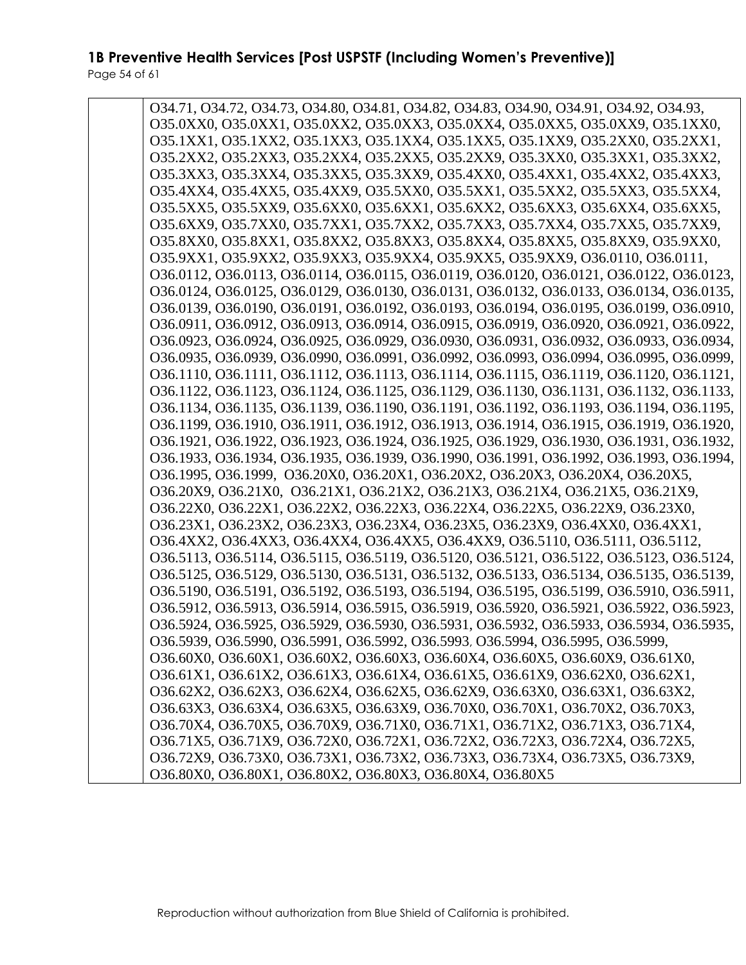O34.71, O34.72, O34.73, O34.80, O34.81, O34.82, O34.83, O34.90, O34.91, O34.92, O34.93, O35.0XX0, O35.0XX1, O35.0XX2, O35.0XX3, O35.0XX4, O35.0XX5, O35.0XX9, O35.1XX0, O35.1XX1, O35.1XX2, O35.1XX3, O35.1XX4, O35.1XX5, O35.1XX9, O35.2XX0, O35.2XX1, O35.2XX2, O35.2XX3, O35.2XX4, O35.2XX5, O35.2XX9, O35.3XX0, O35.3XX1, O35.3XX2, O35.3XX3, O35.3XX4, O35.3XX5, O35.3XX9, O35.4XX0, O35.4XX1, O35.4XX2, O35.4XX3, O35.4XX4, O35.4XX5, O35.4XX9, O35.5XX0, O35.5XX1, O35.5XX2, O35.5XX3, O35.5XX4, O35.5XX5, O35.5XX9, O35.6XX0, O35.6XX1, O35.6XX2, O35.6XX3, O35.6XX4, O35.6XX5, O35.6XX9, O35.7XX0, O35.7XX1, O35.7XX2, O35.7XX3, O35.7XX4, O35.7XX5, O35.7XX9, O35.8XX0, O35.8XX1, O35.8XX2, O35.8XX3, O35.8XX4, O35.8XX5, O35.8XX9, O35.9XX0, O35.9XX1, O35.9XX2, O35.9XX3, O35.9XX4, O35.9XX5, O35.9XX9, O36.0110, O36.0111, O36.0112, O36.0113, O36.0114, O36.0115, O36.0119, O36.0120, O36.0121, O36.0122, O36.0123, O36.0124, O36.0125, O36.0129, O36.0130, O36.0131, O36.0132, O36.0133, O36.0134, O36.0135, O36.0139, O36.0190, O36.0191, O36.0192, O36.0193, O36.0194, O36.0195, O36.0199, O36.0910, O36.0911, O36.0912, O36.0913, O36.0914, O36.0915, O36.0919, O36.0920, O36.0921, O36.0922, O36.0923, O36.0924, O36.0925, O36.0929, O36.0930, O36.0931, O36.0932, O36.0933, O36.0934, O36.0935, O36.0939, O36.0990, O36.0991, O36.0992, O36.0993, O36.0994, O36.0995, O36.0999, O36.1110, O36.1111, O36.1112, O36.1113, O36.1114, O36.1115, O36.1119, O36.1120, O36.1121, O36.1122, O36.1123, O36.1124, O36.1125, O36.1129, O36.1130, O36.1131, O36.1132, O36.1133, O36.1134, O36.1135, O36.1139, O36.1190, O36.1191, O36.1192, O36.1193, O36.1194, O36.1195, O36.1199, O36.1910, O36.1911, O36.1912, O36.1913, O36.1914, O36.1915, O36.1919, O36.1920, O36.1921, O36.1922, O36.1923, O36.1924, O36.1925, O36.1929, O36.1930, O36.1931, O36.1932, O36.1933, O36.1934, O36.1935, O36.1939, O36.1990, O36.1991, O36.1992, O36.1993, O36.1994, O36.1995, O36.1999, O36.20X0, O36.20X1, O36.20X2, O36.20X3, O36.20X4, O36.20X5, O36.20X9, O36.21X0, O36.21X1, O36.21X2, O36.21X3, O36.21X4, O36.21X5, O36.21X9, O36.22X0, O36.22X1, O36.22X2, O36.22X3, O36.22X4, O36.22X5, O36.22X9, O36.23X0, O36.23X1, O36.23X2, O36.23X3, O36.23X4, O36.23X5, O36.23X9, O36.4XX0, O36.4XX1, O36.4XX2, O36.4XX3, O36.4XX4, O36.4XX5, O36.4XX9, O36.5110, O36.5111, O36.5112, O36.5113, O36.5114, O36.5115, O36.5119, O36.5120, O36.5121, O36.5122, O36.5123, O36.5124, O36.5125, O36.5129, O36.5130, O36.5131, O36.5132, O36.5133, O36.5134, O36.5135, O36.5139, O36.5190, O36.5191, O36.5192, O36.5193, O36.5194, O36.5195, O36.5199, O36.5910, O36.5911, O36.5912, O36.5913, O36.5914, O36.5915, O36.5919, O36.5920, O36.5921, O36.5922, O36.5923, O36.5924, O36.5925, O36.5929, O36.5930, O36.5931, O36.5932, O36.5933, O36.5934, O36.5935, O36.5939, O36.5990, O36.5991, O36.5992, O36.5993, O36.5994, O36.5995, O36.5999, O36.60X0, O36.60X1, O36.60X2, O36.60X3, O36.60X4, O36.60X5, O36.60X9, O36.61X0, O36.61X1, O36.61X2, O36.61X3, O36.61X4, O36.61X5, O36.61X9, O36.62X0, O36.62X1, O36.62X2, O36.62X3, O36.62X4, O36.62X5, O36.62X9, O36.63X0, O36.63X1, O36.63X2, O36.63X3, O36.63X4, O36.63X5, O36.63X9, O36.70X0, O36.70X1, O36.70X2, O36.70X3, O36.70X4, O36.70X5, O36.70X9, O36.71X0, O36.71X1, O36.71X2, O36.71X3, O36.71X4, O36.71X5, O36.71X9, O36.72X0, O36.72X1, O36.72X2, O36.72X3, O36.72X4, O36.72X5, O36.72X9, O36.73X0, O36.73X1, O36.73X2, O36.73X3, O36.73X4, O36.73X5, O36.73X9, O36.80X0, O36.80X1, O36.80X2, O36.80X3, O36.80X4, O36.80X5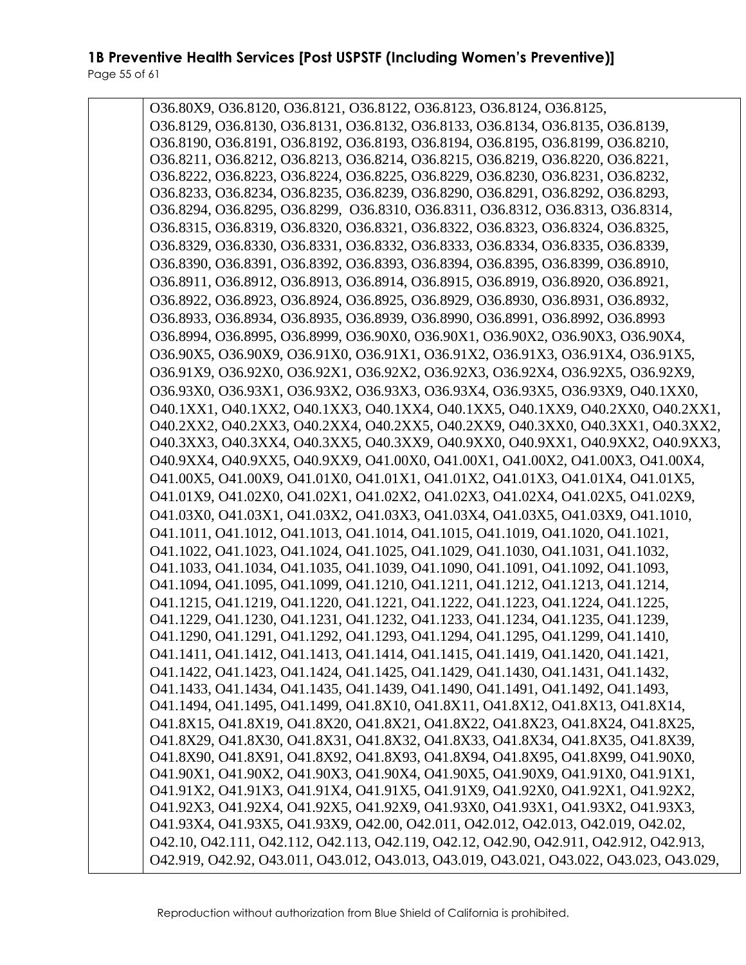O36.80X9, O36.8120, O36.8121, O36.8122, O36.8123, O36.8124, O36.8125, O36.8129, O36.8130, O36.8131, O36.8132, O36.8133, O36.8134, O36.8135, O36.8139, O36.8190, O36.8191, O36.8192, O36.8193, O36.8194, O36.8195, O36.8199, O36.8210, O36.8211, O36.8212, O36.8213, O36.8214, O36.8215, O36.8219, O36.8220, O36.8221, O36.8222, O36.8223, O36.8224, O36.8225, O36.8229, O36.8230, O36.8231, O36.8232, O36.8233, O36.8234, O36.8235, O36.8239, O36.8290, O36.8291, O36.8292, O36.8293, O36.8294, O36.8295, O36.8299, O36.8310, O36.8311, O36.8312, O36.8313, O36.8314, O36.8315, O36.8319, O36.8320, O36.8321, O36.8322, O36.8323, O36.8324, O36.8325, O36.8329, O36.8330, O36.8331, O36.8332, O36.8333, O36.8334, O36.8335, O36.8339, O36.8390, O36.8391, O36.8392, O36.8393, O36.8394, O36.8395, O36.8399, O36.8910, O36.8911, O36.8912, O36.8913, O36.8914, O36.8915, O36.8919, O36.8920, O36.8921, O36.8922, O36.8923, O36.8924, O36.8925, O36.8929, O36.8930, O36.8931, O36.8932, O36.8933, O36.8934, O36.8935, O36.8939, O36.8990, O36.8991, O36.8992, O36.8993 O36.8994, O36.8995, O36.8999, O36.90X0, O36.90X1, O36.90X2, O36.90X3, O36.90X4, O36.90X5, O36.90X9, O36.91X0, O36.91X1, O36.91X2, O36.91X3, O36.91X4, O36.91X5, O36.91X9, O36.92X0, O36.92X1, O36.92X2, O36.92X3, O36.92X4, O36.92X5, O36.92X9, O36.93X0, O36.93X1, O36.93X2, O36.93X3, O36.93X4, O36.93X5, O36.93X9, O40.1XX0, O40.1XX1, O40.1XX2, O40.1XX3, O40.1XX4, O40.1XX5, O40.1XX9, O40.2XX0, O40.2XX1, O40.2XX2, O40.2XX3, O40.2XX4, O40.2XX5, O40.2XX9, O40.3XX0, O40.3XX1, O40.3XX2, O40.3XX3, O40.3XX4, O40.3XX5, O40.3XX9, O40.9XX0, O40.9XX1, O40.9XX2, O40.9XX3, O40.9XX4, O40.9XX5, O40.9XX9, O41.00X0, O41.00X1, O41.00X2, O41.00X3, O41.00X4, O41.00X5, O41.00X9, O41.01X0, O41.01X1, O41.01X2, O41.01X3, O41.01X4, O41.01X5, O41.01X9, O41.02X0, O41.02X1, O41.02X2, O41.02X3, O41.02X4, O41.02X5, O41.02X9, O41.03X0, O41.03X1, O41.03X2, O41.03X3, O41.03X4, O41.03X5, O41.03X9, O41.1010, O41.1011, O41.1012, O41.1013, O41.1014, O41.1015, O41.1019, O41.1020, O41.1021, O41.1022, O41.1023, O41.1024, O41.1025, O41.1029, O41.1030, O41.1031, O41.1032, O41.1033, O41.1034, O41.1035, O41.1039, O41.1090, O41.1091, O41.1092, O41.1093, O41.1094, O41.1095, O41.1099, O41.1210, O41.1211, O41.1212, O41.1213, O41.1214, O41.1215, O41.1219, O41.1220, O41.1221, O41.1222, O41.1223, O41.1224, O41.1225, O41.1229, O41.1230, O41.1231, O41.1232, O41.1233, O41.1234, O41.1235, O41.1239, O41.1290, O41.1291, O41.1292, O41.1293, O41.1294, O41.1295, O41.1299, O41.1410, O41.1411, O41.1412, O41.1413, O41.1414, O41.1415, O41.1419, O41.1420, O41.1421, O41.1422, O41.1423, O41.1424, O41.1425, O41.1429, O41.1430, O41.1431, O41.1432, O41.1433, O41.1434, O41.1435, O41.1439, O41.1490, O41.1491, O41.1492, O41.1493, O41.1494, O41.1495, O41.1499, O41.8X10, O41.8X11, O41.8X12, O41.8X13, O41.8X14, O41.8X15, O41.8X19, O41.8X20, O41.8X21, O41.8X22, O41.8X23, O41.8X24, O41.8X25, O41.8X29, O41.8X30, O41.8X31, O41.8X32, O41.8X33, O41.8X34, O41.8X35, O41.8X39, O41.8X90, O41.8X91, O41.8X92, O41.8X93, O41.8X94, O41.8X95, O41.8X99, O41.90X0, O41.90X1, O41.90X2, O41.90X3, O41.90X4, O41.90X5, O41.90X9, O41.91X0, O41.91X1, O41.91X2, O41.91X3, O41.91X4, O41.91X5, O41.91X9, O41.92X0, O41.92X1, O41.92X2, O41.92X3, O41.92X4, O41.92X5, O41.92X9, O41.93X0, O41.93X1, O41.93X2, O41.93X3, O41.93X4, O41.93X5, O41.93X9, O42.00, O42.011, O42.012, O42.013, O42.019, O42.02, O42.10, O42.111, O42.112, O42.113, O42.119, O42.12, O42.90, O42.911, O42.912, O42.913, O42.919, O42.92, O43.011, O43.012, O43.013, O43.019, O43.021, O43.022, O43.023, O43.029,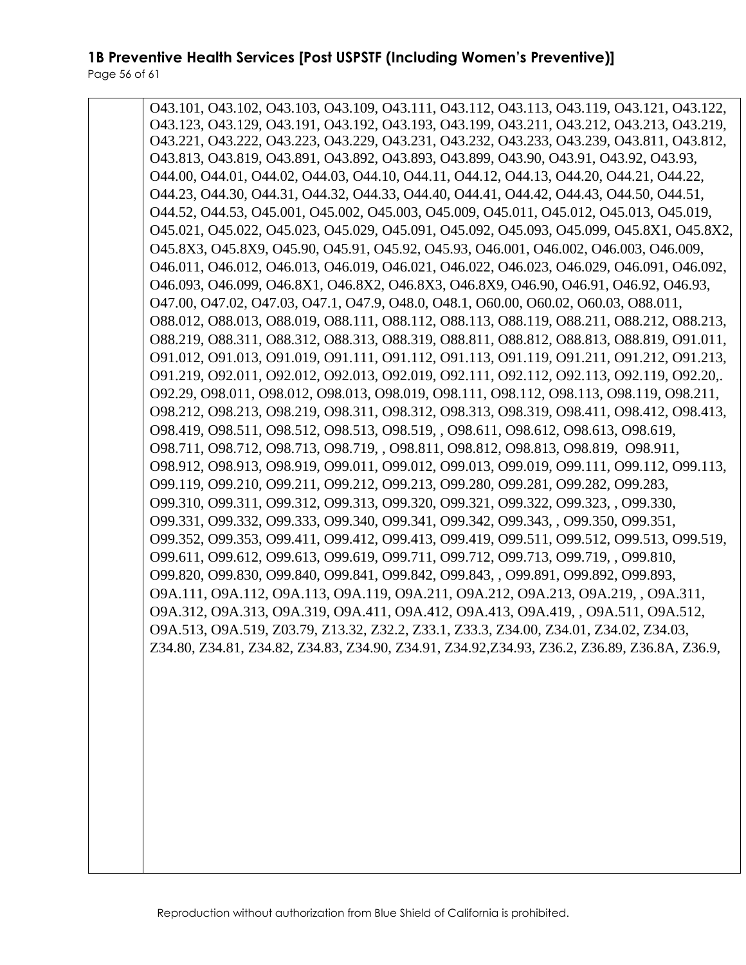O43.101, O43.102, O43.103, O43.109, O43.111, O43.112, O43.113, O43.119, O43.121, O43.122, O43.123, O43.129, O43.191, O43.192, O43.193, O43.199, O43.211, O43.212, O43.213, O43.219, O43.221, O43.222, O43.223, O43.229, O43.231, O43.232, O43.233, O43.239, O43.811, O43.812, O43.813, O43.819, O43.891, O43.892, O43.893, O43.899, O43.90, O43.91, O43.92, O43.93, O44.00, O44.01, O44.02, O44.03, O44.10, O44.11, O44.12, O44.13, O44.20, O44.21, O44.22, O44.23, O44.30, O44.31, O44.32, O44.33, O44.40, O44.41, O44.42, O44.43, O44.50, O44.51, O44.52, O44.53, O45.001, O45.002, O45.003, O45.009, O45.011, O45.012, O45.013, O45.019, O45.021, O45.022, O45.023, O45.029, O45.091, O45.092, O45.093, O45.099, O45.8X1, O45.8X2, O45.8X3, O45.8X9, O45.90, O45.91, O45.92, O45.93, O46.001, O46.002, O46.003, O46.009, O46.011, O46.012, O46.013, O46.019, O46.021, O46.022, O46.023, O46.029, O46.091, O46.092, O46.093, O46.099, O46.8X1, O46.8X2, O46.8X3, O46.8X9, O46.90, O46.91, O46.92, O46.93, O47.00, O47.02, O47.03, O47.1, O47.9, O48.0, O48.1, O60.00, O60.02, O60.03, O88.011, O88.012, O88.013, O88.019, O88.111, O88.112, O88.113, O88.119, O88.211, O88.212, O88.213, O88.219, O88.311, O88.312, O88.313, O88.319, O88.811, O88.812, O88.813, O88.819, O91.011, O91.012, O91.013, O91.019, O91.111, O91.112, O91.113, O91.119, O91.211, O91.212, O91.213, O91.219, O92.011, O92.012, O92.013, O92.019, O92.111, O92.112, O92.113, O92.119, O92.20,. O92.29, O98.011, O98.012, O98.013, O98.019, O98.111, O98.112, O98.113, O98.119, O98.211, O98.212, O98.213, O98.219, O98.311, O98.312, O98.313, O98.319, O98.411, O98.412, O98.413, O98.419, O98.511, O98.512, O98.513, O98.519, , O98.611, O98.612, O98.613, O98.619, O98.711, O98.712, O98.713, O98.719, , O98.811, O98.812, O98.813, O98.819, O98.911, O98.912, O98.913, O98.919, O99.011, O99.012, O99.013, O99.019, O99.111, O99.112, O99.113, O99.119, O99.210, O99.211, O99.212, O99.213, O99.280, O99.281, O99.282, O99.283, O99.310, O99.311, O99.312, O99.313, O99.320, O99.321, O99.322, O99.323, , O99.330, O99.331, O99.332, O99.333, O99.340, O99.341, O99.342, O99.343, , O99.350, O99.351, O99.352, O99.353, O99.411, O99.412, O99.413, O99.419, O99.511, O99.512, O99.513, O99.519, O99.611, O99.612, O99.613, O99.619, O99.711, O99.712, O99.713, O99.719, , O99.810, O99.820, O99.830, O99.840, O99.841, O99.842, O99.843, , O99.891, O99.892, O99.893, O9A.111, O9A.112, O9A.113, O9A.119, O9A.211, O9A.212, O9A.213, O9A.219, , O9A.311, O9A.312, O9A.313, O9A.319, O9A.411, O9A.412, O9A.413, O9A.419, , O9A.511, O9A.512, O9A.513, O9A.519, Z03.79, Z13.32, Z32.2, Z33.1, Z33.3, Z34.00, Z34.01, Z34.02, Z34.03, Z34.80, Z34.81, Z34.82, Z34.83, Z34.90, Z34.91, Z34.92,Z34.93, Z36.2, Z36.89, Z36.8A, Z36.9,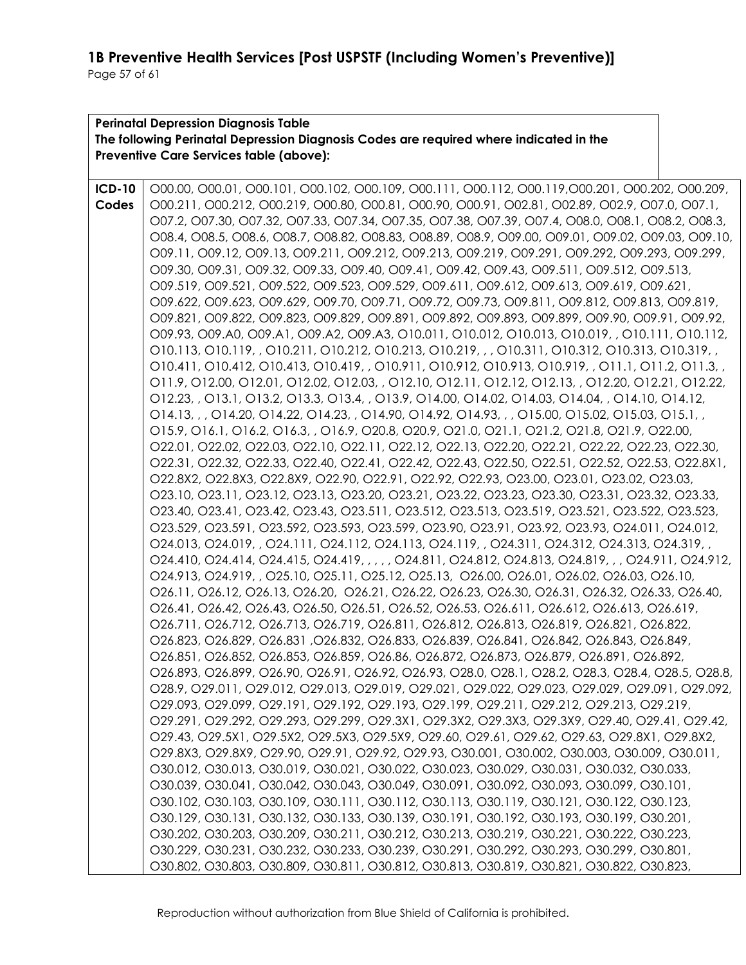| <b>Perinatal Depression Diagnosis Table</b><br>The following Perinatal Depression Diagnosis Codes are required where indicated in the |                                                                                                                                                                                                                                                                                                                                                                                                                                                                                                                                                                                                                                                                                                                                                                                                                                                                                                                                                                                                                                                                                                                                                                                                               |  |  |  |
|---------------------------------------------------------------------------------------------------------------------------------------|---------------------------------------------------------------------------------------------------------------------------------------------------------------------------------------------------------------------------------------------------------------------------------------------------------------------------------------------------------------------------------------------------------------------------------------------------------------------------------------------------------------------------------------------------------------------------------------------------------------------------------------------------------------------------------------------------------------------------------------------------------------------------------------------------------------------------------------------------------------------------------------------------------------------------------------------------------------------------------------------------------------------------------------------------------------------------------------------------------------------------------------------------------------------------------------------------------------|--|--|--|
|                                                                                                                                       | Preventive Care Services table (above):                                                                                                                                                                                                                                                                                                                                                                                                                                                                                                                                                                                                                                                                                                                                                                                                                                                                                                                                                                                                                                                                                                                                                                       |  |  |  |
| <b>ICD-10</b><br>Codes                                                                                                                | O00.00, O00.01, O00.101, O00.102, O00.109, O00.111, O00.112, O00.119, O00.201, O00.202, O00.209,<br>000.211, 000.212, 000.219, 000.80, 000.81, 000.90, 000.91, 002.81, 002.89, 002.9, 007.0, 007.1,<br>O07.2, O07.30, O07.32, O07.33, O07.34, O07.35, O07.38, O07.39, O07.4, O08.0, O08.1, O08.2, O08.3,<br>O08.4, O08.5, O08.6, O08.7, O08.82, O08.83, O08.89, O08.9, O09.00, O09.01, O09.02, O09.03, O09.10,<br>O09.11, O09.12, O09.13, O09.211, O09.212, O09.213, O09.219, O09.291, O09.292, O09.293, O09.299,<br>O09.30, O09.31, O09.32, O09.33, O09.40, O09.41, O09.42, O09.43, O09.511, O09.512, O09.513,<br>O09.519, O09.521, O09.522, O09.523, O09.529, O09.611, O09.612, O09.613, O09.619, O09.621,<br>O09.622, O09.623, O09.629, O09.70, O09.71, O09.72, O09.73, O09.811, O09.812, O09.813, O09.819,<br>O09.821, O09.822, O09.823, O09.829, O09.891, O09.892, O09.893, O09.899, O09.90, O09.91, O09.92,<br>O09.93, O09.A0, O09.A1, O09.A2, O09.A3, O10.011, O10.012, O10.013, O10.019, , O10.111, O10.112,                                                                                                                                                                                          |  |  |  |
|                                                                                                                                       | 010.113, 010.119, , 010.211, 010.212, 010.213, 010.219, , , 010.311, 010.312, 010.313, 010.319, ,<br>010.411, 010.412, 010.413, 010.419, , 010.911, 010.912, 010.913, 010.919, , 011.1, 011.2, 011.3, ,<br>O11.9, O12.00, O12.01, O12.02, O12.03, , O12.10, O12.11, O12.12, O12.13, , O12.20, O12.21, O12.22,<br>O12.23, , O13.1, O13.2, O13.3, O13.4, , O13.9, O14.00, O14.02, O14.03, O14.04, , O14.10, O14.12,<br>O14.13, , , O14.20, O14.22, O14.23, , O14.90, O14.92, O14.93, , , O15.00, O15.02, O15.03, O15.1, ,<br>O15.9, O16.1, O16.2, O16.3, , O16.9, O20.8, O20.9, O21.0, O21.1, O21.2, O21.8, O21.9, O22.00,<br>022.01, 022.02, 022.03, 022.10, 022.11, 022.12, 022.13, 022.20, 022.21, 022.22, 022.23, 022.30,<br>O22.31, O22.32, O22.33, O22.40, O22.41, O22.42, O22.43, O22.50, O22.51, O22.52, O22.53, O22.8X1,<br>O22.8X2, O22.8X3, O22.8X9, O22.90, O22.91, O22.92, O22.93, O23.00, O23.01, O23.02, O23.03,<br>O23.10, O23.11, O23.12, O23.13, O23.20, O23.21, O23.22, O23.23, O23.30, O23.31, O23.32, O23.33,                                                                                                                                                                              |  |  |  |
|                                                                                                                                       | O23.40, O23.41, O23.42, O23.43, O23.511, O23.512, O23.513, O23.519, O23.521, O23.522, O23.523,<br>O23.529, O23.591, O23.592, O23.593, O23.599, O23.90, O23.91, O23.92, O23.93, O24.011, O24.012,<br>024.013, 024.019, , 024.111, 024.112, 024.113, 024.119, , 024.311, 024.312, 024.313, 024.319, ,<br>O24.410, O24.414, O24.415, O24.419, , , , , O24.811, O24.812, O24.813, O24.819, , , O24.911, O24.912,<br>O24.913, O24.919, , O25.10, O25.11, O25.12, O25.13, O26.00, O26.01, O26.02, O26.03, O26.10,<br>O26.11, O26.12, O26.13, O26.20, O26.21, O26.22, O26.23, O26.30, O26.31, O26.32, O26.33, O26.40,<br>O26.41, O26.42, O26.43, O26.50, O26.51, O26.52, O26.53, O26.611, O26.612, O26.613, O26.619,<br>O26.711, O26.712, O26.713, O26.719, O26.811, O26.812, O26.813, O26.819, O26.821, O26.822,<br>O26.823, O26.829, O26.831, O26.832, O26.833, O26.839, O26.841, O26.842, O26.843, O26.849,<br>O26.851, O26.852, O26.853, O26.859, O26.86, O26.872, O26.873, O26.879, O26.891, O26.892,<br>O26.893, O26.899, O26.90, O26.91, O26.92, O26.93, O28.0, O28.1, O28.2, O28.3, O28.4, O28.5, O28.8,<br>028.9, 029.011, 029.012, 029.013, 029.019, 029.021, 029.022, 029.023, 029.029, 029.091, 029.092, |  |  |  |
|                                                                                                                                       | 029.093, 029.099, 029.191, 029.192, 029.193, 029.199, 029.211, 029.212, 029.213, 029.219,<br>O29.291, O29.292, O29.293, O29.299, O29.3X1, O29.3X2, O29.3X3, O29.3X9, O29.40, O29.41, O29.42,<br>O29.43, O29.5X1, O29.5X2, O29.5X3, O29.5X9, O29.60, O29.61, O29.62, O29.63, O29.8X1, O29.8X2,<br>O29.8X3, O29.8X9, O29.90, O29.91, O29.92, O29.93, O30.001, O30.002, O30.003, O30.009, O30.011,<br>030.012, 030.013, 030.019, 030.021, 030.022, 030.023, 030.029, 030.031, 030.032, 030.033,<br>030.039, 030.041, 030.042, 030.043, 030.049, 030.091, 030.092, 030.093, 030.099, 030.101,<br>030.102, 030.103, 030.109, 030.111, 030.112, 030.113, 030.119, 030.121, 030.122, 030.123,<br>O30.129, O30.131, O30.132, O30.133, O30.139, O30.191, O30.192, O30.193, O30.199, O30.201,<br>O30.202, O30.203, O30.209, O30.211, O30.212, O30.213, O30.219, O30.221, O30.222, O30.223,<br>O30.229, O30.231, O30.232, O30.233, O30.239, O30.291, O30.292, O30.293, O30.299, O30.801,<br>030.802, 030.803, 030.809, 030.811, 030.812, 030.813, 030.819, 030.821, 030.822, 030.823,                                                                                                                                    |  |  |  |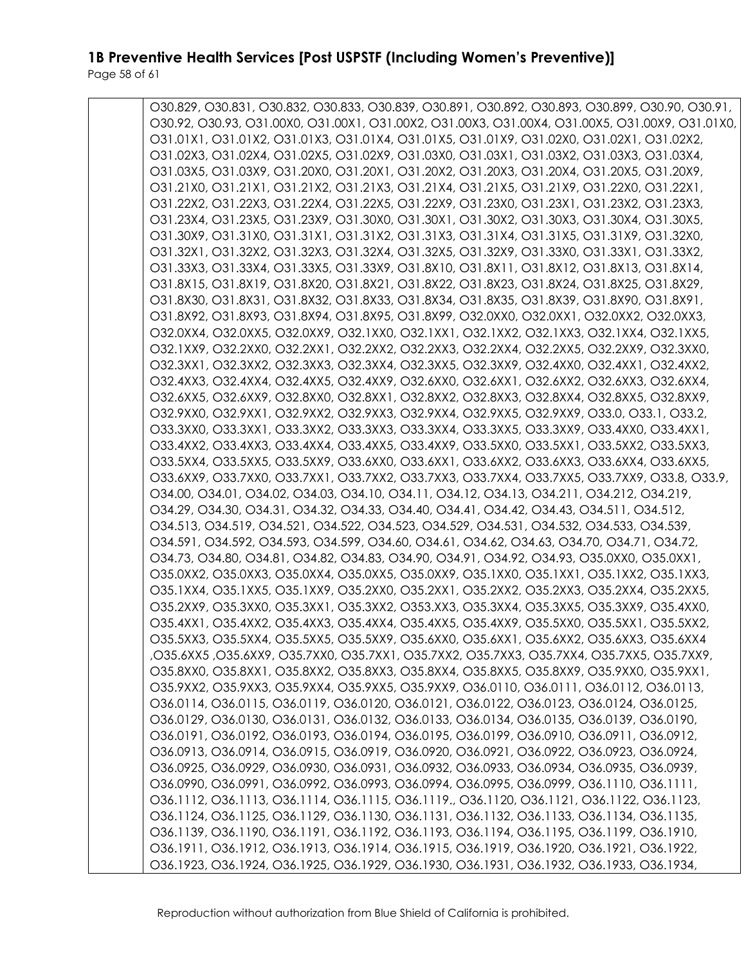Page 58 of 61

| O30.829, O30.831, O30.832, O30.833, O30.839, O30.891, O30.892, O30.893, O30.899, O30.90, O30.91, |
|--------------------------------------------------------------------------------------------------|
| O30.92, O30.93, O31.00X0, O31.00X1, O31.00X2, O31.00X3, O31.00X4, O31.00X5, O31.00X9, O31.01X0,  |
| O31.01X1, O31.01X2, O31.01X3, O31.01X4, O31.01X5, O31.01X9, O31.02X0, O31.02X1, O31.02X2,        |
| O31.02X3, O31.02X4, O31.02X5, O31.02X9, O31.03X0, O31.03X1, O31.03X2, O31.03X3, O31.03X4,        |
| O31.03X5, O31.03X9, O31.20X0, O31.20X1, O31.20X2, O31.20X3, O31.20X4, O31.20X5, O31.20X9,        |
| O31.21X0, O31.21X1, O31.21X2, O31.21X3, O31.21X4, O31.21X5, O31.21X9, O31.22X0, O31.22X1,        |
| O31.22X2, O31.22X3, O31.22X4, O31.22X5, O31.22X9, O31.23X0, O31.23X1, O31.23X2, O31.23X3,        |
| O31.23X4, O31.23X5, O31.23X9, O31.30X0, O31.30X1, O31.30X2, O31.30X3, O31.30X4, O31.30X5,        |
| O31.30X9, O31.31X0, O31.31X1, O31.31X2, O31.31X3, O31.31X4, O31.31X5, O31.31X9, O31.32X0,        |
| O31.32X1, O31.32X2, O31.32X3, O31.32X4, O31.32X5, O31.32X9, O31.33X0, O31.33X1, O31.33X2,        |
| O31.33X3, O31.33X4, O31.33X5, O31.33X9, O31.8X10, O31.8X11, O31.8X12, O31.8X13, O31.8X14,        |
| O31.8X15, O31.8X19, O31.8X20, O31.8X21, O31.8X22, O31.8X23, O31.8X24, O31.8X25, O31.8X29,        |
| O31.8X30, O31.8X31, O31.8X32, O31.8X33, O31.8X34, O31.8X35, O31.8X39, O31.8X90, O31.8X91,        |
| O31.8X92, O31.8X93, O31.8X94, O31.8X95, O31.8X99, O32.0XX0, O32.0XX1, O32.0XX2, O32.0XX3,        |
| O32.0XX4, O32.0XX5, O32.0XX9, O32.1XX0, O32.1XX1, O32.1XX2, O32.1XX3, O32.1XX4, O32.1XX5,        |
| O32.1XX9, O32.2XX0, O32.2XX1, O32.2XX2, O32.2XX3, O32.2XX4, O32.2XX5, O32.2XX9, O32.3XX0,        |
| O32.3XX1, O32.3XX2, O32.3XX3, O32.3XX4, O32.3XX5, O32.3XX9, O32.4XX0, O32.4XX1, O32.4XX2,        |
| O32.4XX3, O32.4XX4, O32.4XX5, O32.4XX9, O32.6XX0, O32.6XX1, O32.6XX2, O32.6XX3, O32.6XX4,        |
| O32.6XX5, O32.6XX9, O32.8XX0, O32.8XX1, O32.8XX2, O32.8XX3, O32.8XX4, O32.8XX5, O32.8XX9,        |
| O32.9XX0, O32.9XX1, O32.9XX2, O32.9XX3, O32.9XX4, O32.9XX5, O32.9XX9, O33.0, O33.1, O33.2,       |
| O33.3XX0, O33.3XX1, O33.3XX2, O33.3XX3, O33.3XX4, O33.3XX5, O33.3XX9, O33.4XX0, O33.4XX1,        |
| O33.4XX2, O33.4XX3, O33.4XX4, O33.4XX5, O33.4XX9, O33.5XX0, O33.5XX1, O33.5XX2, O33.5XX3,        |
| O33.5XX4, O33.5XX5, O33.5XX9, O33.6XX0, O33.6XX1, O33.6XX2, O33.6XX3, O33.6XX4, O33.6XX5,        |
| O33.6XX9, O33.7XX0, O33.7XX1, O33.7XX2, O33.7XX3, O33.7XX4, O33.7XX5, O33.7XX9, O33.8, O33.9,    |
| 034.00, 034.01, 034.02, 034.03, 034.10, 034.11, 034.12, 034.13, 034.211, 034.212, 034.219,       |
| 034.29, 034.30, 034.31, 034.32, 034.33, 034.40, 034.41, 034.42, 034.43, 034.511, 034.512,        |
| O34.513, O34.519, O34.521, O34.522, O34.523, O34.529, O34.531, O34.532, O34.533, O34.539,        |
| O34.591, O34.592, O34.593, O34.599, O34.60, O34.61, O34.62, O34.63, O34.70, O34.71, O34.72,      |
| O34.73, O34.80, O34.81, O34.82, O34.83, O34.90, O34.91, O34.92, O34.93, O35.0XX0, O35.0XX1,      |
| O35.0XX2, O35.0XX3, O35.0XX4, O35.0XX5, O35.0XX9, O35.1XX0, O35.1XX1, O35.1XX2, O35.1XX3,        |
| O35.1XX4, O35.1XX5, O35.1XX9, O35.2XX0, O35.2XX1, O35.2XX2, O35.2XX3, O35.2XX4, O35.2XX5,        |
| O35.2XX9, O35.3XX0, O35.3XX1, O35.3XX2, O353.XX3, O35.3XX4, O35.3XX5, O35.3XX9, O35.4XX0,        |
| O35.4XX1, O35.4XX2, O35.4XX3, O35.4XX4, O35.4XX5, O35.4XX9, O35.5XX0, O35.5XX1, O35.5XX2,        |
| O35.5XX3, O35.5XX4, O35.5XX5, O35.5XX9, O35.6XX0, O35.6XX1, O35.6XX2, O35.6XX3, O35.6XX4         |
| , O35.6XX5 ,O35.6XX9, O35.7XX0, O35.7XX1, O35.7XX2, O35.7XX3, O35.7XX4, O35.7XX5, O35.7XX9,      |
| O35.8XX0, O35.8XX1, O35.8XX2, O35.8XX3, O35.8XX4, O35.8XX5, O35.8XX9, O35.9XX0, O35.9XX1,        |
| O35.9XX2, O35.9XX3, O35.9XX4, O35.9XX5, O35.9XX9, O36.0110, O36.0111, O36.0112, O36.0113,        |
| 036.0114, 036.0115, 036.0119, 036.0120, 036.0121, 036.0122, 036.0123, 036.0124, 036.0125,        |
| O36.0129, O36.0130, O36.0131, O36.0132, O36.0133, O36.0134, O36.0135, O36.0139, O36.0190,        |
| 036.0191, 036.0192, 036.0193, 036.0194, 036.0195, 036.0199, 036.0910, 036.0911, 036.0912,        |
| O36.0913, O36.0914, O36.0915, O36.0919, O36.0920, O36.0921, O36.0922, O36.0923, O36.0924,        |
| O36.0925, O36.0929, O36.0930, O36.0931, O36.0932, O36.0933, O36.0934, O36.0935, O36.0939,        |
| O36.0990, O36.0991, O36.0992, O36.0993, O36.0994, O36.0995, O36.0999, O36.1110, O36.1111,        |
| 036.1112, 036.1113, 036.1114, 036.1115, 036.1119., 036.1120, 036.1121, 036.1122, 036.1123,       |
| 036.1124, 036.1125, 036.1129, 036.1130, 036.1131, 036.1132, 036.1133, 036.1134, 036.1135,        |
| 036.1139, 036.1190, 036.1191, 036.1192, 036.1193, 036.1194, 036.1195, 036.1199, 036.1910,        |
| 036.1911, 036.1912, 036.1913, 036.1914, 036.1915, 036.1919, 036.1920, 036.1921, 036.1922,        |
| O36.1923, O36.1924, O36.1925, O36.1929, O36.1930, O36.1931, O36.1932, O36.1933, O36.1934,        |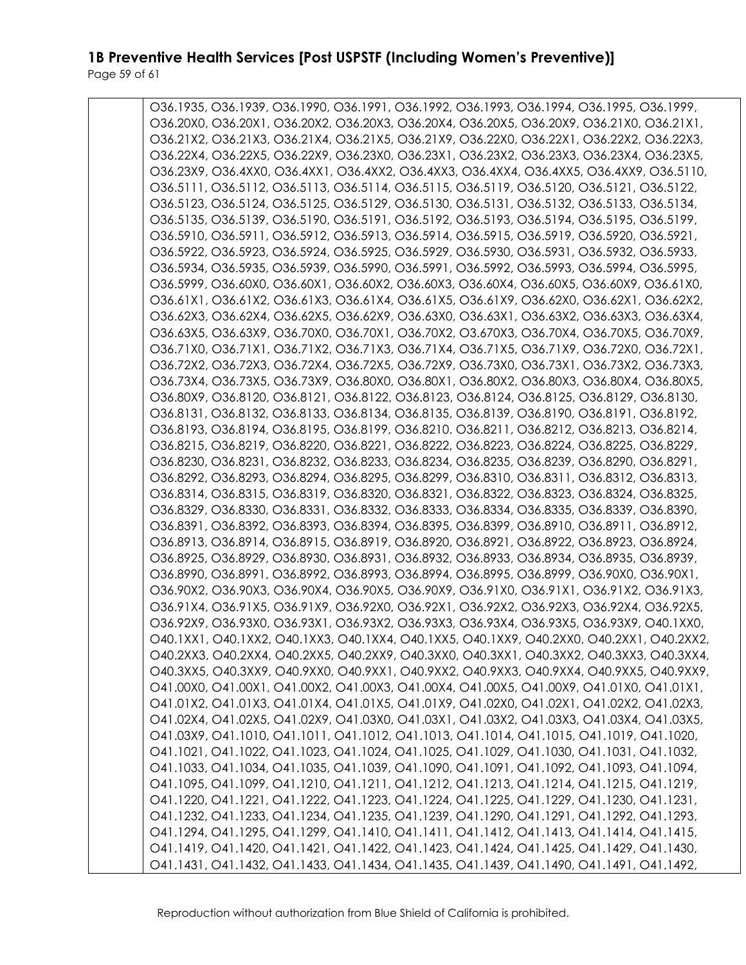Page 59 of 61

| O36.1935, O36.1939, O36.1990, O36.1991, O36.1992, O36.1993, O36.1994, O36.1995, O36.1999, |
|-------------------------------------------------------------------------------------------|
| O36.20X0, O36.20X1, O36.20X2, O36.20X3, O36.20X4, O36.20X5, O36.20X9, O36.21X0, O36.21X1, |
| O36.21X2, O36.21X3, O36.21X4, O36.21X5, O36.21X9, O36.22X0, O36.22X1, O36.22X2, O36.22X3, |
| O36.22X4, O36.22X5, O36.22X9, O36.23X0, O36.23X1, O36.23X2, O36.23X3, O36.23X4, O36.23X5, |
| O36.23X9, O36.4XX0, O36.4XX1, O36.4XX2, O36.4XX3, O36.4XX4, O36.4XX5, O36.4XX9, O36.5110, |
| 036.5111, 036.5112, 036.5113, 036.5114, 036.5115, 036.5119, 036.5120, 036.5121, 036.5122, |
| O36.5123, O36.5124, O36.5125, O36.5129, O36.5130, O36.5131, O36.5132, O36.5133, O36.5134, |
| O36.5135, O36.5139, O36.5190, O36.5191, O36.5192, O36.5193, O36.5194, O36.5195, O36.5199, |
| O36.5910, O36.5911, O36.5912, O36.5913, O36.5914, O36.5915, O36.5919, O36.5920, O36.5921, |
| O36.5922, O36.5923, O36.5924, O36.5925, O36.5929, O36.5930, O36.5931, O36.5932, O36.5933, |
| O36.5934, O36.5935, O36.5939, O36.5990, O36.5991, O36.5992, O36.5993, O36.5994, O36.5995, |
| O36.5999, O36.60X0, O36.60X1, O36.60X2, O36.60X3, O36.60X4, O36.60X5, O36.60X9, O36.61X0, |
|                                                                                           |
| O36.61X1, O36.61X2, O36.61X3, O36.61X4, O36.61X5, O36.61X9, O36.62X0, O36.62X1, O36.62X2, |
| O36.62X3, O36.62X4, O36.62X5, O36.62X9, O36.63X0, O36.63X1, O36.63X2, O36.63X3, O36.63X4, |
| O36.63X5, O36.63X9, O36.70X0, O36.70X1, O36.70X2, O3.670X3, O36.70X4, O36.70X5, O36.70X9, |
| O36.71X0, O36.71X1, O36.71X2, O36.71X3, O36.71X4, O36.71X5, O36.71X9, O36.72X0, O36.72X1, |
| O36.72X2, O36.72X3, O36.72X4, O36.72X5, O36.72X9, O36.73X0, O36.73X1, O36.73X2, O36.73X3, |
| O36.73X4, O36.73X5, O36.73X9, O36.80X0, O36.80X1, O36.80X2, O36.80X3, O36.80X4, O36.80X5, |
| O36.80X9, O36.8120, O36.8121, O36.8122, O36.8123, O36.8124, O36.8125, O36.8129, O36.8130, |
| 036.8131, 036.8132, 036.8133, 036.8134, 036.8135, 036.8139, 036.8190, 036.8191, 036.8192, |
| O36.8193, O36.8194, O36.8195, O36.8199, O36.8210. O36.8211, O36.8212, O36.8213, O36.8214, |
| O36.8215, O36.8219, O36.8220, O36.8221, O36.8222, O36.8223, O36.8224, O36.8225, O36.8229, |
| O36.8230, O36.8231, O36.8232, O36.8233, O36.8234, O36.8235, O36.8239, O36.8290, O36.8291, |
| O36.8292, O36.8293, O36.8294, O36.8295, O36.8299, O36.8310, O36.8311, O36.8312, O36.8313, |
| O36.8314, O36.8315, O36.8319, O36.8320, O36.8321, O36.8322, O36.8323, O36.8324, O36.8325, |
| O36.8329, O36.8330, O36.8331, O36.8332, O36.8333, O36.8334, O36.8335, O36.8339, O36.8390, |
| O36.8391, O36.8392, O36.8393, O36.8394, O36.8395, O36.8399, O36.8910, O36.8911, O36.8912, |
| O36.8913, O36.8914, O36.8915, O36.8919, O36.8920, O36.8921, O36.8922, O36.8923, O36.8924, |
| O36.8925, O36.8929, O36.8930, O36.8931, O36.8932, O36.8933, O36.8934, O36.8935, O36.8939, |
| O36.8990, O36.8991, O36.8992, O36.8993, O36.8994, O36.8995, O36.8999, O36.90X0, O36.90X1, |
| O36.90X2, O36.90X3, O36.90X4, O36.90X5, O36.90X9, O36.91X0, O36.91X1, O36.91X2, O36.91X3, |
| O36.91X4, O36.91X5, O36.91X9, O36.92X0, O36.92X1, O36.92X2, O36.92X3, O36.92X4, O36.92X5, |
| O36.92X9, O36.93X0, O36.93X1, O36.93X2, O36.93X3, O36.93X4, O36.93X5, O36.93X9, O40.1XX0, |
| O40.1XX1, O40.1XX2, O40.1XX3, O40.1XX4, O40.1XX5, O40.1XX9, O40.2XX0, O40.2XX1, O40.2XX2, |
| O40.2XX3, O40.2XX4, O40.2XX5, O40.2XX9, O40.3XX0, O40.3XX1, O40.3XX2, O40.3XX3, O40.3XX4, |
| O40.3XX5, O40.3XX9, O40.9XX0, O40.9XX1, O40.9XX2, O40.9XX3, O40.9XX4, O40.9XX5, O40.9XX9, |
| O41.00X0, O41.00X1, O41.00X2, O41.00X3, O41.00X4, O41.00X5, O41.00X9, O41.01X0, O41.01X1, |
| O41.01X2, O41.01X3, O41.01X4, O41.01X5, O41.01X9, O41.02X0, O41.02X1, O41.02X2, O41.02X3, |
| O41.02X4, O41.02X5, O41.02X9, O41.03X0, O41.03X1, O41.03X2, O41.03X3, O41.03X4, O41.03X5, |
| O41.03X9, O41.1010, O41.1011, O41.1012, O41.1013, O41.1014, O41.1015, O41.1019, O41.1020, |
| O41.1021, O41.1022, O41.1023, O41.1024, O41.1025, O41.1029, O41.1030, O41.1031, O41.1032, |
|                                                                                           |
| O41.1033, O41.1034, O41.1035, O41.1039, O41.1090, O41.1091, O41.1092, O41.1093, O41.1094, |
| O41.1095, O41.1099, O41.1210, O41.1211, O41.1212, O41.1213, O41.1214, O41.1215, O41.1219, |
| O41.1220, O41.1221, O41.1222, O41.1223, O41.1224, O41.1225, O41.1229, O41.1230, O41.1231, |
| O41.1232, O41.1233, O41.1234, O41.1235, O41.1239, O41.1290, O41.1291, O41.1292, O41.1293, |
| O41.1294, O41.1295, O41.1299, O41.1410, O41.1411, O41.1412, O41.1413, O41.1414, O41.1415, |
| O41.1419, O41.1420, O41.1421, O41.1422, O41.1423, O41.1424, O41.1425, O41.1429, O41.1430, |
| O41.1431, O41.1432, O41.1433, O41.1434, O41.1435, O41.1439, O41.1490, O41.1491, O41.1492, |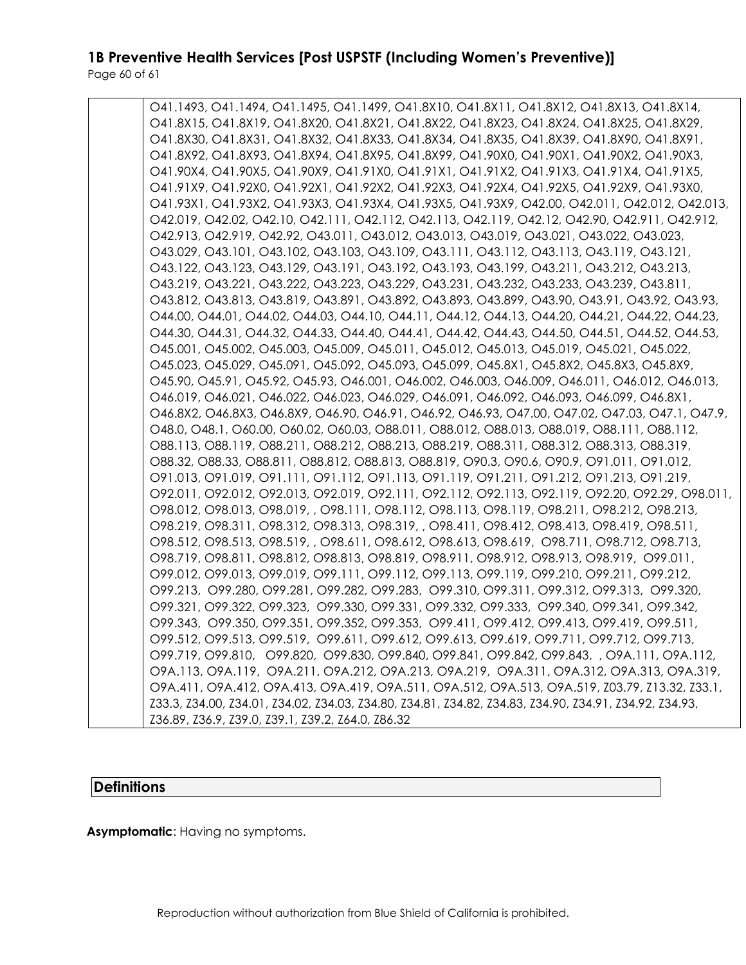O41.1493, O41.1494, O41.1495, O41.1499, O41.8X10, O41.8X11, O41.8X12, O41.8X13, O41.8X14, O41.8X15, O41.8X19, O41.8X20, O41.8X21, O41.8X22, O41.8X23, O41.8X24, O41.8X25, O41.8X29, O41.8X30, O41.8X31, O41.8X32, O41.8X33, O41.8X34, O41.8X35, O41.8X39, O41.8X90, O41.8X91, O41.8X92, O41.8X93, O41.8X94, O41.8X95, O41.8X99, O41.90X0, O41.90X1, O41.90X2, O41.90X3, O41.90X4, O41.90X5, O41.90X9, O41.91X0, O41.91X1, O41.91X2, O41.91X3, O41.91X4, O41.91X5, O41.91X9, O41.92X0, O41.92X1, O41.92X2, O41.92X3, O41.92X4, O41.92X5, O41.92X9, O41.93X0, O41.93X1, O41.93X2, O41.93X3, O41.93X4, O41.93X5, O41.93X9, O42.00, O42.011, O42.012, O42.013, O42.019, O42.02, O42.10, O42.111, O42.112, O42.113, O42.119, O42.12, O42.90, O42.911, O42.912, O42.913, O42.919, O42.92, O43.011, O43.012, O43.013, O43.019, O43.021, O43.022, O43.023, O43.029, O43.101, O43.102, O43.103, O43.109, O43.111, O43.112, O43.113, O43.119, O43.121, O43.122, O43.123, O43.129, O43.191, O43.192, O43.193, O43.199, O43.211, O43.212, O43.213, O43.219, O43.221, O43.222, O43.223, O43.229, O43.231, O43.232, O43.233, O43.239, O43.811, O43.812, O43.813, O43.819, O43.891, O43.892, O43.893, O43.899, O43.90, O43.91, O43.92, O43.93, O44.00, O44.01, O44.02, O44.03, O44.10, O44.11, O44.12, O44.13, O44.20, O44.21, O44.22, O44.23, O44.30, O44.31, O44.32, O44.33, O44.40, O44.41, O44.42, O44.43, O44.50, O44.51, O44.52, O44.53, O45.001, O45.002, O45.003, O45.009, O45.011, O45.012, O45.013, O45.019, O45.021, O45.022, O45.023, O45.029, O45.091, O45.092, O45.093, O45.099, O45.8X1, O45.8X2, O45.8X3, O45.8X9, O45.90, O45.91, O45.92, O45.93, O46.001, O46.002, O46.003, O46.009, O46.011, O46.012, O46.013, O46.019, O46.021, O46.022, O46.023, O46.029, O46.091, O46.092, O46.093, O46.099, O46.8X1, O46.8X2, O46.8X3, O46.8X9, O46.90, O46.91, O46.92, O46.93, O47.00, O47.02, O47.03, O47.1, O47.9, O48.0, O48.1, O60.00, O60.02, O60.03, O88.011, O88.012, O88.013, O88.019, O88.111, O88.112, O88.113, O88.119, O88.211, O88.212, O88.213, O88.219, O88.311, O88.312, O88.313, O88.319, O88.32, O88.33, O88.811, O88.812, O88.813, O88.819, O90.3, O90.6, O90.9, O91.011, O91.012, O91.013, O91.019, O91.111, O91.112, O91.113, O91.119, O91.211, O91.212, O91.213, O91.219, O92.011, O92.012, O92.013, O92.019, O92.111, O92.112, O92.113, O92.119, O92.20, O92.29, O98.011, O98.012, O98.013, O98.019, , O98.111, O98.112, O98.113, O98.119, O98.211, O98.212, O98.213, O98.219, O98.311, O98.312, O98.313, O98.319, , O98.411, O98.412, O98.413, O98.419, O98.511, O98.512, O98.513, O98.519, , O98.611, O98.612, O98.613, O98.619, O98.711, O98.712, O98.713, O98.719, O98.811, O98.812, O98.813, O98.819, O98.911, O98.912, O98.913, O98.919, O99.011, O99.012, O99.013, O99.019, O99.111, O99.112, O99.113, O99.119, O99.210, O99.211, O99.212, O99.213, O99.280, O99.281, O99.282, O99.283, O99.310, O99.311, O99.312, O99.313, O99.320, O99.321, O99.322, O99.323, O99.330, O99.331, O99.332, O99.333, O99.340, O99.341, O99.342, O99.343, O99.350, O99.351, O99.352, O99.353, O99.411, O99.412, O99.413, O99.419, O99.511, O99.512, O99.513, O99.519, O99.611, O99.612, O99.613, O99.619, O99.711, O99.712, O99.713, O99.719, O99.810, O99.820, O99.830, O99.840, O99.841, O99.842, O99.843, , O9A.111, O9A.112, O9A.113, O9A.119, O9A.211, O9A.212, O9A.213, O9A.219, O9A.311, O9A.312, O9A.313, O9A.319, O9A.411, O9A.412, O9A.413, O9A.419, O9A.511, O9A.512, O9A.513, O9A.519, Z03.79, Z13.32, Z33.1, Z33.3, Z34.00, Z34.01, Z34.02, Z34.03, Z34.80, Z34.81, Z34.82, Z34.83, Z34.90, Z34.91, Z34.92, Z34.93, Z36.89, Z36.9, Z39.0, Z39.1, Z39.2, Z64.0, Z86.32

### **Definitions**

**Asymptomatic**: Having no symptoms.